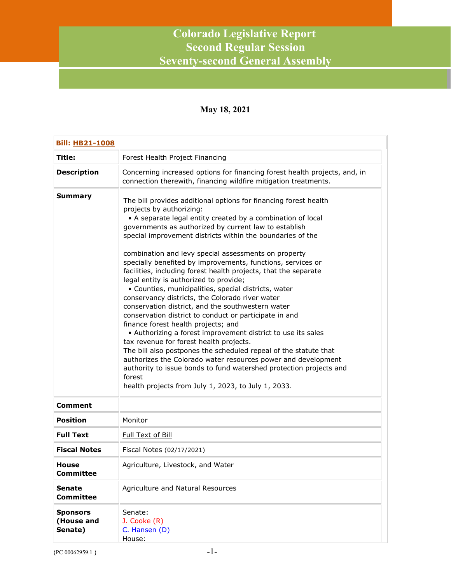## **Colorado Legislative Report Second Regular Session Seventy-second General Assembly**

## **May 18, 2021**

| <b>Bill: HB21-1008</b>                   |                                                                                                                                                                                                                                                                                                                                                                                                                                                                                                                                                                                                                                                                                                                                                                                                                                                                                                                                                                                                                                                                                                                                                                                |  |
|------------------------------------------|--------------------------------------------------------------------------------------------------------------------------------------------------------------------------------------------------------------------------------------------------------------------------------------------------------------------------------------------------------------------------------------------------------------------------------------------------------------------------------------------------------------------------------------------------------------------------------------------------------------------------------------------------------------------------------------------------------------------------------------------------------------------------------------------------------------------------------------------------------------------------------------------------------------------------------------------------------------------------------------------------------------------------------------------------------------------------------------------------------------------------------------------------------------------------------|--|
| Title:                                   | Forest Health Project Financing                                                                                                                                                                                                                                                                                                                                                                                                                                                                                                                                                                                                                                                                                                                                                                                                                                                                                                                                                                                                                                                                                                                                                |  |
| <b>Description</b>                       | Concerning increased options for financing forest health projects, and, in<br>connection therewith, financing wildfire mitigation treatments.                                                                                                                                                                                                                                                                                                                                                                                                                                                                                                                                                                                                                                                                                                                                                                                                                                                                                                                                                                                                                                  |  |
| Summary                                  | The bill provides additional options for financing forest health<br>projects by authorizing:<br>• A separate legal entity created by a combination of local<br>governments as authorized by current law to establish<br>special improvement districts within the boundaries of the<br>combination and levy special assessments on property<br>specially benefited by improvements, functions, services or<br>facilities, including forest health projects, that the separate<br>legal entity is authorized to provide;<br>· Counties, municipalities, special districts, water<br>conservancy districts, the Colorado river water<br>conservation district, and the southwestern water<br>conservation district to conduct or participate in and<br>finance forest health projects; and<br>• Authorizing a forest improvement district to use its sales<br>tax revenue for forest health projects.<br>The bill also postpones the scheduled repeal of the statute that<br>authorizes the Colorado water resources power and development<br>authority to issue bonds to fund watershed protection projects and<br>forest<br>health projects from July 1, 2023, to July 1, 2033. |  |
| <b>Comment</b>                           |                                                                                                                                                                                                                                                                                                                                                                                                                                                                                                                                                                                                                                                                                                                                                                                                                                                                                                                                                                                                                                                                                                                                                                                |  |
| <b>Position</b>                          | Monitor                                                                                                                                                                                                                                                                                                                                                                                                                                                                                                                                                                                                                                                                                                                                                                                                                                                                                                                                                                                                                                                                                                                                                                        |  |
| <b>Full Text</b>                         | Full Text of Bill                                                                                                                                                                                                                                                                                                                                                                                                                                                                                                                                                                                                                                                                                                                                                                                                                                                                                                                                                                                                                                                                                                                                                              |  |
| <b>Fiscal Notes</b>                      | Fiscal Notes (02/17/2021)                                                                                                                                                                                                                                                                                                                                                                                                                                                                                                                                                                                                                                                                                                                                                                                                                                                                                                                                                                                                                                                                                                                                                      |  |
| House<br><b>Committee</b>                | Agriculture, Livestock, and Water                                                                                                                                                                                                                                                                                                                                                                                                                                                                                                                                                                                                                                                                                                                                                                                                                                                                                                                                                                                                                                                                                                                                              |  |
| <b>Senate</b><br><b>Committee</b>        | Agriculture and Natural Resources                                                                                                                                                                                                                                                                                                                                                                                                                                                                                                                                                                                                                                                                                                                                                                                                                                                                                                                                                                                                                                                                                                                                              |  |
| <b>Sponsors</b><br>(House and<br>Senate) | Senate:<br>J. Cooke (R)<br>C. Hansen (D)<br>House:                                                                                                                                                                                                                                                                                                                                                                                                                                                                                                                                                                                                                                                                                                                                                                                                                                                                                                                                                                                                                                                                                                                             |  |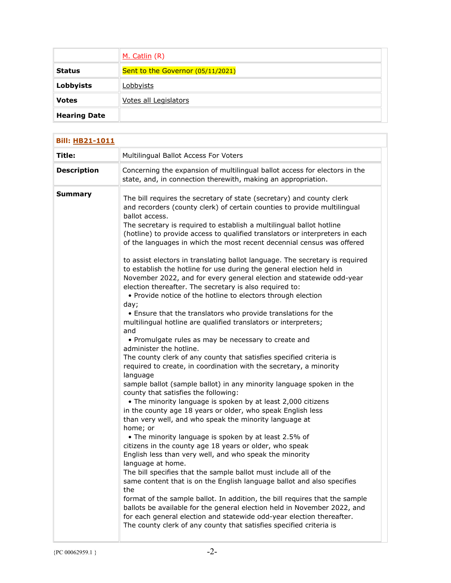|                     | M. Catlin (R)                     |
|---------------------|-----------------------------------|
| <b>Status</b>       | Sent to the Governor (05/11/2021) |
| Lobbyists           | Lobbyists                         |
| <b>Votes</b>        | Votes all Legislators             |
| <b>Hearing Date</b> |                                   |

| <b>Bill: HB21-1011</b> |                                                                                                                                                                                                                                                                                                                                                                                                                                                                                                                                                                                                                                                                                                                                                                                                                                                                                                                                                                                                                                                                                                                                                                                                                                                                                                                                                                                                                                                                                                                                                                                                                                                                                                                                                                                                                                                                                                                                                                                                                                                                                                                                                            |
|------------------------|------------------------------------------------------------------------------------------------------------------------------------------------------------------------------------------------------------------------------------------------------------------------------------------------------------------------------------------------------------------------------------------------------------------------------------------------------------------------------------------------------------------------------------------------------------------------------------------------------------------------------------------------------------------------------------------------------------------------------------------------------------------------------------------------------------------------------------------------------------------------------------------------------------------------------------------------------------------------------------------------------------------------------------------------------------------------------------------------------------------------------------------------------------------------------------------------------------------------------------------------------------------------------------------------------------------------------------------------------------------------------------------------------------------------------------------------------------------------------------------------------------------------------------------------------------------------------------------------------------------------------------------------------------------------------------------------------------------------------------------------------------------------------------------------------------------------------------------------------------------------------------------------------------------------------------------------------------------------------------------------------------------------------------------------------------------------------------------------------------------------------------------------------------|
| Title:                 | Multilingual Ballot Access For Voters                                                                                                                                                                                                                                                                                                                                                                                                                                                                                                                                                                                                                                                                                                                                                                                                                                                                                                                                                                                                                                                                                                                                                                                                                                                                                                                                                                                                                                                                                                                                                                                                                                                                                                                                                                                                                                                                                                                                                                                                                                                                                                                      |
| <b>Description</b>     | Concerning the expansion of multilingual ballot access for electors in the<br>state, and, in connection therewith, making an appropriation.                                                                                                                                                                                                                                                                                                                                                                                                                                                                                                                                                                                                                                                                                                                                                                                                                                                                                                                                                                                                                                                                                                                                                                                                                                                                                                                                                                                                                                                                                                                                                                                                                                                                                                                                                                                                                                                                                                                                                                                                                |
| <b>Summary</b>         | The bill requires the secretary of state (secretary) and county clerk<br>and recorders (county clerk) of certain counties to provide multilingual<br>ballot access.<br>The secretary is required to establish a multilingual ballot hotline<br>(hotline) to provide access to qualified translators or interpreters in each<br>of the languages in which the most recent decennial census was offered<br>to assist electors in translating ballot language. The secretary is required<br>to establish the hotline for use during the general election held in<br>November 2022, and for every general election and statewide odd-year<br>election thereafter. The secretary is also required to:<br>• Provide notice of the hotline to electors through election<br>day;<br>• Ensure that the translators who provide translations for the<br>multilingual hotline are qualified translators or interpreters;<br>and<br>• Promulgate rules as may be necessary to create and<br>administer the hotline.<br>The county clerk of any county that satisfies specified criteria is<br>required to create, in coordination with the secretary, a minority<br>language<br>sample ballot (sample ballot) in any minority language spoken in the<br>county that satisfies the following:<br>• The minority language is spoken by at least 2,000 citizens<br>in the county age 18 years or older, who speak English less<br>than very well, and who speak the minority language at<br>home; or<br>• The minority language is spoken by at least 2.5% of<br>citizens in the county age 18 years or older, who speak<br>English less than very well, and who speak the minority<br>language at home.<br>The bill specifies that the sample ballot must include all of the<br>same content that is on the English language ballot and also specifies<br>the<br>format of the sample ballot. In addition, the bill requires that the sample<br>ballots be available for the general election held in November 2022, and<br>for each general election and statewide odd-year election thereafter.<br>The county clerk of any county that satisfies specified criteria is |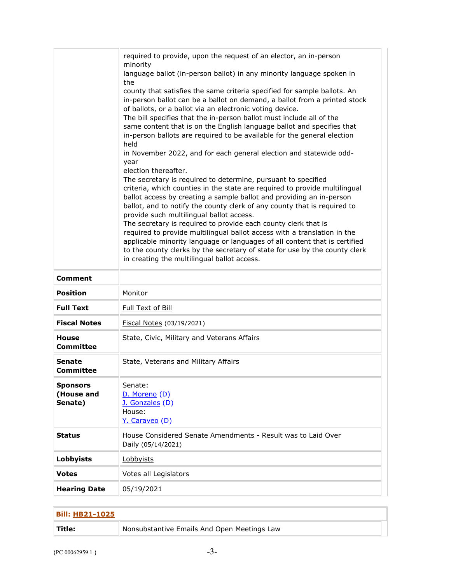| <b>Comment</b>                           | required to provide, upon the request of an elector, an in-person<br>minority<br>language ballot (in-person ballot) in any minority language spoken in<br>the<br>county that satisfies the same criteria specified for sample ballots. An<br>in-person ballot can be a ballot on demand, a ballot from a printed stock<br>of ballots, or a ballot via an electronic voting device.<br>The bill specifies that the in-person ballot must include all of the<br>same content that is on the English language ballot and specifies that<br>in-person ballots are required to be available for the general election<br>held<br>in November 2022, and for each general election and statewide odd-<br>year<br>election thereafter.<br>The secretary is required to determine, pursuant to specified<br>criteria, which counties in the state are required to provide multilingual<br>ballot access by creating a sample ballot and providing an in-person<br>ballot, and to notify the county clerk of any county that is required to<br>provide such multilingual ballot access.<br>The secretary is required to provide each county clerk that is<br>required to provide multilingual ballot access with a translation in the<br>applicable minority language or languages of all content that is certified<br>to the county clerks by the secretary of state for use by the county clerk<br>in creating the multilingual ballot access. |
|------------------------------------------|---------------------------------------------------------------------------------------------------------------------------------------------------------------------------------------------------------------------------------------------------------------------------------------------------------------------------------------------------------------------------------------------------------------------------------------------------------------------------------------------------------------------------------------------------------------------------------------------------------------------------------------------------------------------------------------------------------------------------------------------------------------------------------------------------------------------------------------------------------------------------------------------------------------------------------------------------------------------------------------------------------------------------------------------------------------------------------------------------------------------------------------------------------------------------------------------------------------------------------------------------------------------------------------------------------------------------------------------------------------------------------------------------------------------------------------|
| <b>Position</b>                          | Monitor                                                                                                                                                                                                                                                                                                                                                                                                                                                                                                                                                                                                                                                                                                                                                                                                                                                                                                                                                                                                                                                                                                                                                                                                                                                                                                                                                                                                                               |
| <b>Full Text</b>                         | Full Text of Bill                                                                                                                                                                                                                                                                                                                                                                                                                                                                                                                                                                                                                                                                                                                                                                                                                                                                                                                                                                                                                                                                                                                                                                                                                                                                                                                                                                                                                     |
| <b>Fiscal Notes</b>                      | Fiscal Notes (03/19/2021)                                                                                                                                                                                                                                                                                                                                                                                                                                                                                                                                                                                                                                                                                                                                                                                                                                                                                                                                                                                                                                                                                                                                                                                                                                                                                                                                                                                                             |
| <b>House</b><br>Committee                | State, Civic, Military and Veterans Affairs                                                                                                                                                                                                                                                                                                                                                                                                                                                                                                                                                                                                                                                                                                                                                                                                                                                                                                                                                                                                                                                                                                                                                                                                                                                                                                                                                                                           |
| Senate<br>Committee                      | State, Veterans and Military Affairs                                                                                                                                                                                                                                                                                                                                                                                                                                                                                                                                                                                                                                                                                                                                                                                                                                                                                                                                                                                                                                                                                                                                                                                                                                                                                                                                                                                                  |
| <b>Sponsors</b><br>(House and<br>Senate) | Senate:<br>D. Moreno (D)<br>J. Gonzales (D)<br>House:<br>Y. Caraveo (D)                                                                                                                                                                                                                                                                                                                                                                                                                                                                                                                                                                                                                                                                                                                                                                                                                                                                                                                                                                                                                                                                                                                                                                                                                                                                                                                                                               |
| <b>Status</b>                            | House Considered Senate Amendments - Result was to Laid Over<br>Daily (05/14/2021)                                                                                                                                                                                                                                                                                                                                                                                                                                                                                                                                                                                                                                                                                                                                                                                                                                                                                                                                                                                                                                                                                                                                                                                                                                                                                                                                                    |
| <b>Lobbyists</b>                         | Lobbyists                                                                                                                                                                                                                                                                                                                                                                                                                                                                                                                                                                                                                                                                                                                                                                                                                                                                                                                                                                                                                                                                                                                                                                                                                                                                                                                                                                                                                             |
| <b>Votes</b>                             | Votes all Legislators                                                                                                                                                                                                                                                                                                                                                                                                                                                                                                                                                                                                                                                                                                                                                                                                                                                                                                                                                                                                                                                                                                                                                                                                                                                                                                                                                                                                                 |
| <b>Hearing Date</b>                      | 05/19/2021                                                                                                                                                                                                                                                                                                                                                                                                                                                                                                                                                                                                                                                                                                                                                                                                                                                                                                                                                                                                                                                                                                                                                                                                                                                                                                                                                                                                                            |

| <b>Bill: HB21-1025</b> |                                             |
|------------------------|---------------------------------------------|
| Title:                 | Nonsubstantive Emails And Open Meetings Law |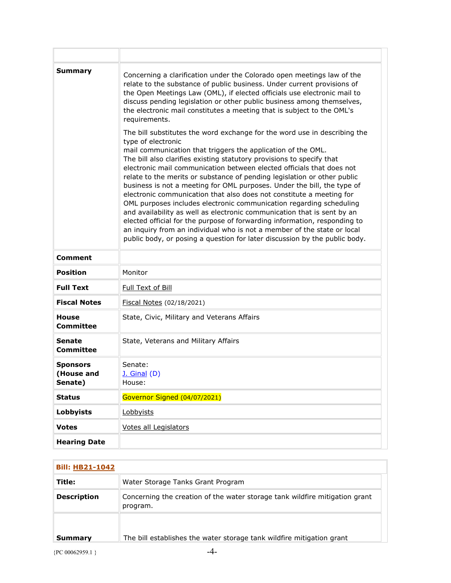| Summary                                  | Concerning a clarification under the Colorado open meetings law of the<br>relate to the substance of public business. Under current provisions of<br>the Open Meetings Law (OML), if elected officials use electronic mail to<br>discuss pending legislation or other public business among themselves,<br>the electronic mail constitutes a meeting that is subject to the OML's<br>requirements.                                                                                                                                                                                                                                                                                                                                                                                                                                                                                                                                       |
|------------------------------------------|------------------------------------------------------------------------------------------------------------------------------------------------------------------------------------------------------------------------------------------------------------------------------------------------------------------------------------------------------------------------------------------------------------------------------------------------------------------------------------------------------------------------------------------------------------------------------------------------------------------------------------------------------------------------------------------------------------------------------------------------------------------------------------------------------------------------------------------------------------------------------------------------------------------------------------------|
|                                          | The bill substitutes the word exchange for the word use in describing the<br>type of electronic<br>mail communication that triggers the application of the OML.<br>The bill also clarifies existing statutory provisions to specify that<br>electronic mail communication between elected officials that does not<br>relate to the merits or substance of pending legislation or other public<br>business is not a meeting for OML purposes. Under the bill, the type of<br>electronic communication that also does not constitute a meeting for<br>OML purposes includes electronic communication regarding scheduling<br>and availability as well as electronic communication that is sent by an<br>elected official for the purpose of forwarding information, responding to<br>an inquiry from an individual who is not a member of the state or local<br>public body, or posing a question for later discussion by the public body. |
| <b>Comment</b>                           |                                                                                                                                                                                                                                                                                                                                                                                                                                                                                                                                                                                                                                                                                                                                                                                                                                                                                                                                          |
| <b>Position</b>                          | Monitor                                                                                                                                                                                                                                                                                                                                                                                                                                                                                                                                                                                                                                                                                                                                                                                                                                                                                                                                  |
| <b>Full Text</b>                         | Full Text of Bill                                                                                                                                                                                                                                                                                                                                                                                                                                                                                                                                                                                                                                                                                                                                                                                                                                                                                                                        |
| <b>Fiscal Notes</b>                      | Fiscal Notes (02/18/2021)                                                                                                                                                                                                                                                                                                                                                                                                                                                                                                                                                                                                                                                                                                                                                                                                                                                                                                                |
| <b>House</b><br><b>Committee</b>         | State, Civic, Military and Veterans Affairs                                                                                                                                                                                                                                                                                                                                                                                                                                                                                                                                                                                                                                                                                                                                                                                                                                                                                              |
| <b>Senate</b><br><b>Committee</b>        | State, Veterans and Military Affairs                                                                                                                                                                                                                                                                                                                                                                                                                                                                                                                                                                                                                                                                                                                                                                                                                                                                                                     |
| <b>Sponsors</b><br>(House and<br>Senate) | Senate:<br>$J.$ Ginal $(D)$<br>House:                                                                                                                                                                                                                                                                                                                                                                                                                                                                                                                                                                                                                                                                                                                                                                                                                                                                                                    |
| <b>Status</b>                            | Governor Signed (04/07/2021)                                                                                                                                                                                                                                                                                                                                                                                                                                                                                                                                                                                                                                                                                                                                                                                                                                                                                                             |
| <b>Lobbyists</b>                         | Lobbyists                                                                                                                                                                                                                                                                                                                                                                                                                                                                                                                                                                                                                                                                                                                                                                                                                                                                                                                                |
| <b>Votes</b>                             | Votes all Legislators                                                                                                                                                                                                                                                                                                                                                                                                                                                                                                                                                                                                                                                                                                                                                                                                                                                                                                                    |
| <b>Hearing Date</b>                      |                                                                                                                                                                                                                                                                                                                                                                                                                                                                                                                                                                                                                                                                                                                                                                                                                                                                                                                                          |

| <b>Bill: HB21-1042</b> |                                                                                         |
|------------------------|-----------------------------------------------------------------------------------------|
| Title:                 | Water Storage Tanks Grant Program                                                       |
| <b>Description</b>     | Concerning the creation of the water storage tank wildfire mitigation grant<br>program. |
| Summary                | The bill establishes the water storage tank wildfire mitigation grant                   |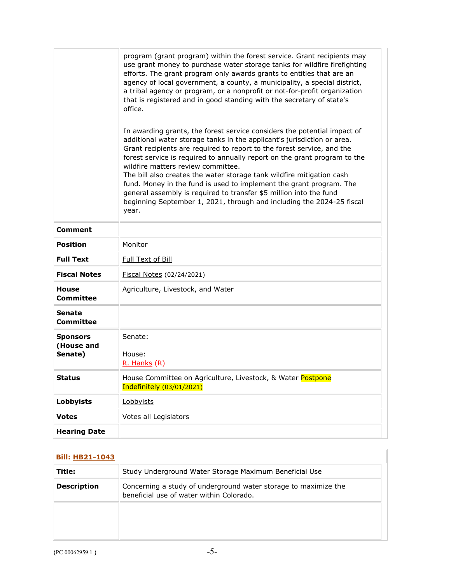|                                          | program (grant program) within the forest service. Grant recipients may<br>use grant money to purchase water storage tanks for wildfire firefighting<br>efforts. The grant program only awards grants to entities that are an<br>agency of local government, a county, a municipality, a special district,<br>a tribal agency or program, or a nonprofit or not-for-profit organization<br>that is registered and in good standing with the secretary of state's<br>office. |
|------------------------------------------|-----------------------------------------------------------------------------------------------------------------------------------------------------------------------------------------------------------------------------------------------------------------------------------------------------------------------------------------------------------------------------------------------------------------------------------------------------------------------------|
|                                          | In awarding grants, the forest service considers the potential impact of<br>additional water storage tanks in the applicant's jurisdiction or area.<br>Grant recipients are required to report to the forest service, and the<br>forest service is required to annually report on the grant program to the<br>wildfire matters review committee.                                                                                                                            |
|                                          | The bill also creates the water storage tank wildfire mitigation cash<br>fund. Money in the fund is used to implement the grant program. The<br>general assembly is required to transfer \$5 million into the fund<br>beginning September 1, 2021, through and including the 2024-25 fiscal<br>year.                                                                                                                                                                        |
| <b>Comment</b>                           |                                                                                                                                                                                                                                                                                                                                                                                                                                                                             |
| <b>Position</b>                          | Monitor                                                                                                                                                                                                                                                                                                                                                                                                                                                                     |
| <b>Full Text</b>                         | Full Text of Bill                                                                                                                                                                                                                                                                                                                                                                                                                                                           |
| <b>Fiscal Notes</b>                      | Fiscal Notes (02/24/2021)                                                                                                                                                                                                                                                                                                                                                                                                                                                   |
| <b>House</b><br><b>Committee</b>         | Agriculture, Livestock, and Water                                                                                                                                                                                                                                                                                                                                                                                                                                           |
| <b>Senate</b><br><b>Committee</b>        |                                                                                                                                                                                                                                                                                                                                                                                                                                                                             |
| <b>Sponsors</b><br>(House and<br>Senate) | Senate:<br>House:<br>R. Hanks (R)                                                                                                                                                                                                                                                                                                                                                                                                                                           |
| Status                                   | House Committee on Agriculture, Livestock, & Water Postpone<br>Indefinitely (03/01/2021)                                                                                                                                                                                                                                                                                                                                                                                    |
| <b>Lobbyists</b>                         | Lobbyists                                                                                                                                                                                                                                                                                                                                                                                                                                                                   |
| <b>Votes</b>                             | Votes all Legislators                                                                                                                                                                                                                                                                                                                                                                                                                                                       |
| <b>Hearing Date</b>                      |                                                                                                                                                                                                                                                                                                                                                                                                                                                                             |

| <b>Bill: HB21-1043</b> |                                                                                                             |
|------------------------|-------------------------------------------------------------------------------------------------------------|
| Title:                 | Study Underground Water Storage Maximum Beneficial Use                                                      |
| <b>Description</b>     | Concerning a study of underground water storage to maximize the<br>beneficial use of water within Colorado. |
|                        |                                                                                                             |
|                        |                                                                                                             |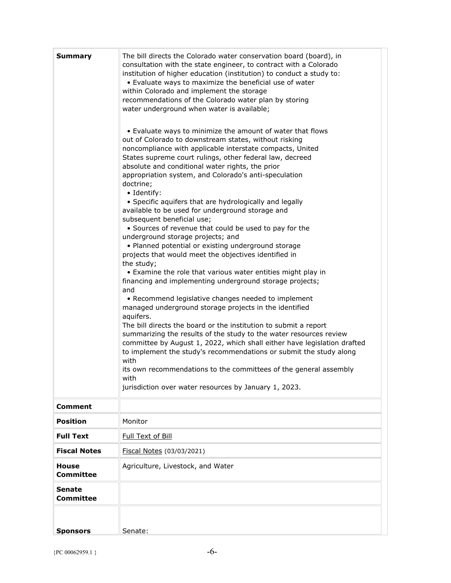| <b>Summary</b>                    | The bill directs the Colorado water conservation board (board), in<br>consultation with the state engineer, to contract with a Colorado<br>institution of higher education (institution) to conduct a study to:<br>• Evaluate ways to maximize the beneficial use of water<br>within Colorado and implement the storage<br>recommendations of the Colorado water plan by storing<br>water underground when water is available;<br>• Evaluate ways to minimize the amount of water that flows<br>out of Colorado to downstream states, without risking<br>noncompliance with applicable interstate compacts, United<br>States supreme court rulings, other federal law, decreed<br>absolute and conditional water rights, the prior<br>appropriation system, and Colorado's anti-speculation<br>doctrine;<br>· Identify:<br>• Specific aquifers that are hydrologically and legally<br>available to be used for underground storage and<br>subsequent beneficial use;<br>• Sources of revenue that could be used to pay for the<br>underground storage projects; and<br>• Planned potential or existing underground storage<br>projects that would meet the objectives identified in<br>the study;<br>• Examine the role that various water entities might play in<br>financing and implementing underground storage projects;<br>and<br>• Recommend legislative changes needed to implement<br>managed underground storage projects in the identified<br>aquifers.<br>The bill directs the board or the institution to submit a report<br>summarizing the results of the study to the water resources review<br>committee by August 1, 2022, which shall either have legislation drafted<br>to implement the study's recommendations or submit the study along<br>with<br>its own recommendations to the committees of the general assembly<br>with<br>jurisdiction over water resources by January 1, 2023. |
|-----------------------------------|--------------------------------------------------------------------------------------------------------------------------------------------------------------------------------------------------------------------------------------------------------------------------------------------------------------------------------------------------------------------------------------------------------------------------------------------------------------------------------------------------------------------------------------------------------------------------------------------------------------------------------------------------------------------------------------------------------------------------------------------------------------------------------------------------------------------------------------------------------------------------------------------------------------------------------------------------------------------------------------------------------------------------------------------------------------------------------------------------------------------------------------------------------------------------------------------------------------------------------------------------------------------------------------------------------------------------------------------------------------------------------------------------------------------------------------------------------------------------------------------------------------------------------------------------------------------------------------------------------------------------------------------------------------------------------------------------------------------------------------------------------------------------------------------------------------------------------------------------------------------------------------------------------------|
| <b>Comment</b>                    |                                                                                                                                                                                                                                                                                                                                                                                                                                                                                                                                                                                                                                                                                                                                                                                                                                                                                                                                                                                                                                                                                                                                                                                                                                                                                                                                                                                                                                                                                                                                                                                                                                                                                                                                                                                                                                                                                                              |
| <b>Position</b>                   | Monitor                                                                                                                                                                                                                                                                                                                                                                                                                                                                                                                                                                                                                                                                                                                                                                                                                                                                                                                                                                                                                                                                                                                                                                                                                                                                                                                                                                                                                                                                                                                                                                                                                                                                                                                                                                                                                                                                                                      |
| <b>Full Text</b>                  | Full Text of Bill                                                                                                                                                                                                                                                                                                                                                                                                                                                                                                                                                                                                                                                                                                                                                                                                                                                                                                                                                                                                                                                                                                                                                                                                                                                                                                                                                                                                                                                                                                                                                                                                                                                                                                                                                                                                                                                                                            |
| <b>Fiscal Notes</b>               | Fiscal Notes (03/03/2021)                                                                                                                                                                                                                                                                                                                                                                                                                                                                                                                                                                                                                                                                                                                                                                                                                                                                                                                                                                                                                                                                                                                                                                                                                                                                                                                                                                                                                                                                                                                                                                                                                                                                                                                                                                                                                                                                                    |
| <b>House</b><br><b>Committee</b>  | Agriculture, Livestock, and Water                                                                                                                                                                                                                                                                                                                                                                                                                                                                                                                                                                                                                                                                                                                                                                                                                                                                                                                                                                                                                                                                                                                                                                                                                                                                                                                                                                                                                                                                                                                                                                                                                                                                                                                                                                                                                                                                            |
| <b>Senate</b><br><b>Committee</b> |                                                                                                                                                                                                                                                                                                                                                                                                                                                                                                                                                                                                                                                                                                                                                                                                                                                                                                                                                                                                                                                                                                                                                                                                                                                                                                                                                                                                                                                                                                                                                                                                                                                                                                                                                                                                                                                                                                              |
| <b>Sponsors</b>                   | Senate:                                                                                                                                                                                                                                                                                                                                                                                                                                                                                                                                                                                                                                                                                                                                                                                                                                                                                                                                                                                                                                                                                                                                                                                                                                                                                                                                                                                                                                                                                                                                                                                                                                                                                                                                                                                                                                                                                                      |
|                                   |                                                                                                                                                                                                                                                                                                                                                                                                                                                                                                                                                                                                                                                                                                                                                                                                                                                                                                                                                                                                                                                                                                                                                                                                                                                                                                                                                                                                                                                                                                                                                                                                                                                                                                                                                                                                                                                                                                              |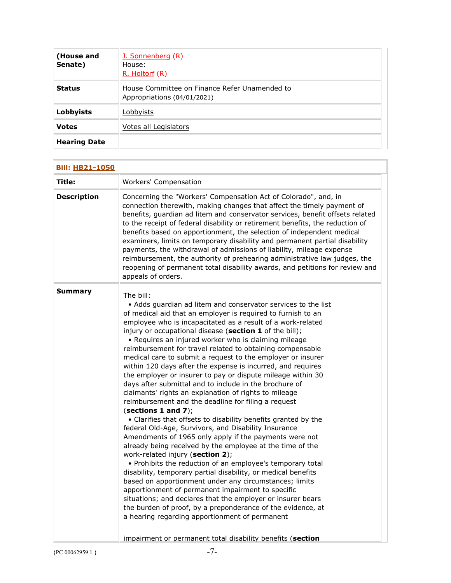| (House and<br>Senate) | J. Sonnenberg (R)<br>House:<br>R. Holtorf (R)                                |
|-----------------------|------------------------------------------------------------------------------|
| <b>Status</b>         | House Committee on Finance Refer Unamended to<br>Appropriations (04/01/2021) |
| Lobbyists             | Lobbyists                                                                    |
| <b>Votes</b>          | Votes all Legislators                                                        |
| <b>Hearing Date</b>   |                                                                              |

| <b>Bill: HB21-1050</b> |                                                                                                                                                                                                                                                                                                                                                                                                                                                                                                                                                                                                                                                                                                                                                                                                                                                                                                                                                                                                                                                                                                                                                                                                                                                                                                                                                                                                                                                                                                                                                                             |
|------------------------|-----------------------------------------------------------------------------------------------------------------------------------------------------------------------------------------------------------------------------------------------------------------------------------------------------------------------------------------------------------------------------------------------------------------------------------------------------------------------------------------------------------------------------------------------------------------------------------------------------------------------------------------------------------------------------------------------------------------------------------------------------------------------------------------------------------------------------------------------------------------------------------------------------------------------------------------------------------------------------------------------------------------------------------------------------------------------------------------------------------------------------------------------------------------------------------------------------------------------------------------------------------------------------------------------------------------------------------------------------------------------------------------------------------------------------------------------------------------------------------------------------------------------------------------------------------------------------|
| Title:                 | <b>Workers' Compensation</b>                                                                                                                                                                                                                                                                                                                                                                                                                                                                                                                                                                                                                                                                                                                                                                                                                                                                                                                                                                                                                                                                                                                                                                                                                                                                                                                                                                                                                                                                                                                                                |
| <b>Description</b>     | Concerning the "Workers' Compensation Act of Colorado", and, in<br>connection therewith, making changes that affect the timely payment of<br>benefits, guardian ad litem and conservator services, benefit offsets related<br>to the receipt of federal disability or retirement benefits, the reduction of<br>benefits based on apportionment, the selection of independent medical<br>examiners, limits on temporary disability and permanent partial disability<br>payments, the withdrawal of admissions of liability, mileage expense<br>reimbursement, the authority of prehearing administrative law judges, the<br>reopening of permanent total disability awards, and petitions for review and<br>appeals of orders.                                                                                                                                                                                                                                                                                                                                                                                                                                                                                                                                                                                                                                                                                                                                                                                                                                               |
| Summary                | The bill:<br>• Adds guardian ad litem and conservator services to the list<br>of medical aid that an employer is required to furnish to an<br>employee who is incapacitated as a result of a work-related<br>injury or occupational disease (section 1 of the bill);<br>• Requires an injured worker who is claiming mileage<br>reimbursement for travel related to obtaining compensable<br>medical care to submit a request to the employer or insurer<br>within 120 days after the expense is incurred, and requires<br>the employer or insurer to pay or dispute mileage within 30<br>days after submittal and to include in the brochure of<br>claimants' rights an explanation of rights to mileage<br>reimbursement and the deadline for filing a request<br>(sections 1 and $7$ );<br>• Clarifies that offsets to disability benefits granted by the<br>federal Old-Age, Survivors, and Disability Insurance<br>Amendments of 1965 only apply if the payments were not<br>already being received by the employee at the time of the<br>work-related injury (section 2);<br>• Prohibits the reduction of an employee's temporary total<br>disability, temporary partial disability, or medical benefits<br>based on apportionment under any circumstances; limits<br>apportionment of permanent impairment to specific<br>situations; and declares that the employer or insurer bears<br>the burden of proof, by a preponderance of the evidence, at<br>a hearing regarding apportionment of permanent<br>impairment or permanent total disability benefits (section |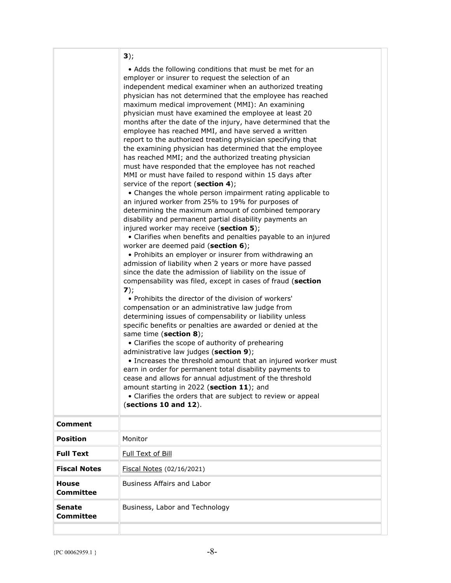|                                  | 3);                                                                                                                                                                                                                                                                                                                                                                                                                                                                                                                                                                                                                                                                                                                                                                                                                                                                                                                                                                                                                                                                                                                                                                                                                                                                                                                                                                                                                                                                                                                                                                                                                                                                                                                                                                                                                                                                                                                                                                                                                                                                                                                                                                    |
|----------------------------------|------------------------------------------------------------------------------------------------------------------------------------------------------------------------------------------------------------------------------------------------------------------------------------------------------------------------------------------------------------------------------------------------------------------------------------------------------------------------------------------------------------------------------------------------------------------------------------------------------------------------------------------------------------------------------------------------------------------------------------------------------------------------------------------------------------------------------------------------------------------------------------------------------------------------------------------------------------------------------------------------------------------------------------------------------------------------------------------------------------------------------------------------------------------------------------------------------------------------------------------------------------------------------------------------------------------------------------------------------------------------------------------------------------------------------------------------------------------------------------------------------------------------------------------------------------------------------------------------------------------------------------------------------------------------------------------------------------------------------------------------------------------------------------------------------------------------------------------------------------------------------------------------------------------------------------------------------------------------------------------------------------------------------------------------------------------------------------------------------------------------------------------------------------------------|
|                                  | • Adds the following conditions that must be met for an<br>employer or insurer to request the selection of an<br>independent medical examiner when an authorized treating<br>physician has not determined that the employee has reached<br>maximum medical improvement (MMI): An examining<br>physician must have examined the employee at least 20<br>months after the date of the injury, have determined that the<br>employee has reached MMI, and have served a written<br>report to the authorized treating physician specifying that<br>the examining physician has determined that the employee<br>has reached MMI; and the authorized treating physician<br>must have responded that the employee has not reached<br>MMI or must have failed to respond within 15 days after<br>service of the report (section 4);<br>• Changes the whole person impairment rating applicable to<br>an injured worker from 25% to 19% for purposes of<br>determining the maximum amount of combined temporary<br>disability and permanent partial disability payments an<br>injured worker may receive (section 5);<br>• Clarifies when benefits and penalties payable to an injured<br>worker are deemed paid (section 6);<br>• Prohibits an employer or insurer from withdrawing an<br>admission of liability when 2 years or more have passed<br>since the date the admission of liability on the issue of<br>compensability was filed, except in cases of fraud (section<br>7);<br>• Prohibits the director of the division of workers'<br>compensation or an administrative law judge from<br>determining issues of compensability or liability unless<br>specific benefits or penalties are awarded or denied at the<br>same time (section 8);<br>• Clarifies the scope of authority of prehearing<br>administrative law judges (section 9);<br>• Increases the threshold amount that an injured worker must<br>earn in order for permanent total disability payments to<br>cease and allows for annual adjustment of the threshold<br>amount starting in 2022 (section 11); and<br>• Clarifies the orders that are subject to review or appeal<br>(sections 10 and 12). |
| <b>Comment</b>                   |                                                                                                                                                                                                                                                                                                                                                                                                                                                                                                                                                                                                                                                                                                                                                                                                                                                                                                                                                                                                                                                                                                                                                                                                                                                                                                                                                                                                                                                                                                                                                                                                                                                                                                                                                                                                                                                                                                                                                                                                                                                                                                                                                                        |
| <b>Position</b>                  | Monitor                                                                                                                                                                                                                                                                                                                                                                                                                                                                                                                                                                                                                                                                                                                                                                                                                                                                                                                                                                                                                                                                                                                                                                                                                                                                                                                                                                                                                                                                                                                                                                                                                                                                                                                                                                                                                                                                                                                                                                                                                                                                                                                                                                |
| <b>Full Text</b>                 | Full Text of Bill                                                                                                                                                                                                                                                                                                                                                                                                                                                                                                                                                                                                                                                                                                                                                                                                                                                                                                                                                                                                                                                                                                                                                                                                                                                                                                                                                                                                                                                                                                                                                                                                                                                                                                                                                                                                                                                                                                                                                                                                                                                                                                                                                      |
| <b>Fiscal Notes</b>              | Fiscal Notes (02/16/2021)                                                                                                                                                                                                                                                                                                                                                                                                                                                                                                                                                                                                                                                                                                                                                                                                                                                                                                                                                                                                                                                                                                                                                                                                                                                                                                                                                                                                                                                                                                                                                                                                                                                                                                                                                                                                                                                                                                                                                                                                                                                                                                                                              |
| <b>House</b><br><b>Committee</b> | <b>Business Affairs and Labor</b>                                                                                                                                                                                                                                                                                                                                                                                                                                                                                                                                                                                                                                                                                                                                                                                                                                                                                                                                                                                                                                                                                                                                                                                                                                                                                                                                                                                                                                                                                                                                                                                                                                                                                                                                                                                                                                                                                                                                                                                                                                                                                                                                      |
| Senate<br>Committee              | Business, Labor and Technology                                                                                                                                                                                                                                                                                                                                                                                                                                                                                                                                                                                                                                                                                                                                                                                                                                                                                                                                                                                                                                                                                                                                                                                                                                                                                                                                                                                                                                                                                                                                                                                                                                                                                                                                                                                                                                                                                                                                                                                                                                                                                                                                         |
|                                  |                                                                                                                                                                                                                                                                                                                                                                                                                                                                                                                                                                                                                                                                                                                                                                                                                                                                                                                                                                                                                                                                                                                                                                                                                                                                                                                                                                                                                                                                                                                                                                                                                                                                                                                                                                                                                                                                                                                                                                                                                                                                                                                                                                        |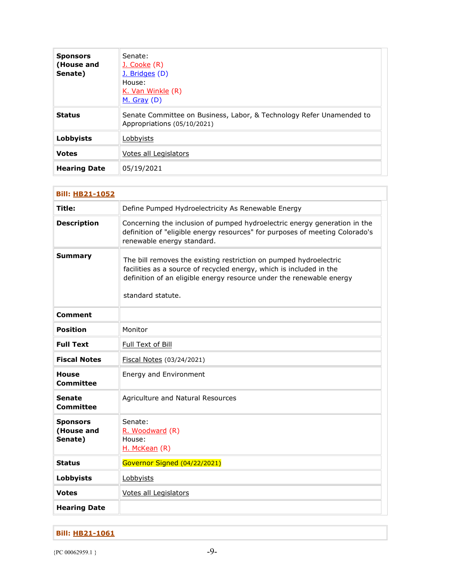| <b>Sponsors</b><br>(House and<br>Senate) | Senate:<br><u>J. Cooke</u> (R)<br>J. Bridges (D)<br>House:<br>K. Van Winkle (R)<br>$M.$ Gray (D)    |
|------------------------------------------|-----------------------------------------------------------------------------------------------------|
| <b>Status</b>                            | Senate Committee on Business, Labor, & Technology Refer Unamended to<br>Appropriations (05/10/2021) |
| <b>Lobbyists</b>                         | Lobbyists                                                                                           |
| <b>Votes</b>                             | Votes all Legislators                                                                               |
| <b>Hearing Date</b>                      | 05/19/2021                                                                                          |

| <b>Bill: HB21-1052</b>                   |                                                                                                                                                                                                                                       |
|------------------------------------------|---------------------------------------------------------------------------------------------------------------------------------------------------------------------------------------------------------------------------------------|
| Title:                                   | Define Pumped Hydroelectricity As Renewable Energy                                                                                                                                                                                    |
| <b>Description</b>                       | Concerning the inclusion of pumped hydroelectric energy generation in the<br>definition of "eligible energy resources" for purposes of meeting Colorado's<br>renewable energy standard.                                               |
| <b>Summary</b>                           | The bill removes the existing restriction on pumped hydroelectric<br>facilities as a source of recycled energy, which is included in the<br>definition of an eligible energy resource under the renewable energy<br>standard statute. |
| <b>Comment</b>                           |                                                                                                                                                                                                                                       |
| <b>Position</b>                          | Monitor                                                                                                                                                                                                                               |
| <b>Full Text</b>                         | Full Text of Bill                                                                                                                                                                                                                     |
| <b>Fiscal Notes</b>                      | Fiscal Notes (03/24/2021)                                                                                                                                                                                                             |
| House<br><b>Committee</b>                | Energy and Environment                                                                                                                                                                                                                |
| <b>Senate</b><br>Committee               | Agriculture and Natural Resources                                                                                                                                                                                                     |
| <b>Sponsors</b><br>(House and<br>Senate) | Senate:<br>R. Woodward (R)<br>House:<br>H. McKean (R)                                                                                                                                                                                 |
| <b>Status</b>                            | Governor Signed (04/22/2021)                                                                                                                                                                                                          |
| Lobbyists                                | Lobbyists                                                                                                                                                                                                                             |
| <b>Votes</b>                             | Votes all Legislators                                                                                                                                                                                                                 |
| <b>Hearing Date</b>                      |                                                                                                                                                                                                                                       |

## **Bill: [HB21-1061](http://coloradocapitolwatch.com/bill/1/HB21-1061/2021/0/)**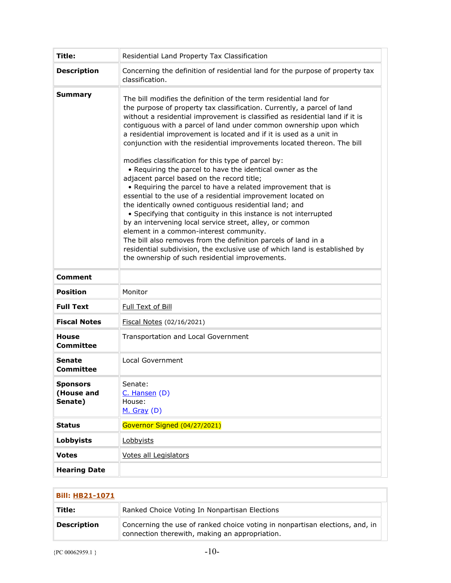| Title:                                   | Residential Land Property Tax Classification                                                                                                                                                                                                                                                                                                                                                                                                                                                                                                                                                                                                                                                                                                                                                                                                                                                                                                                                                                                                                                                                                                                                                   |
|------------------------------------------|------------------------------------------------------------------------------------------------------------------------------------------------------------------------------------------------------------------------------------------------------------------------------------------------------------------------------------------------------------------------------------------------------------------------------------------------------------------------------------------------------------------------------------------------------------------------------------------------------------------------------------------------------------------------------------------------------------------------------------------------------------------------------------------------------------------------------------------------------------------------------------------------------------------------------------------------------------------------------------------------------------------------------------------------------------------------------------------------------------------------------------------------------------------------------------------------|
| <b>Description</b>                       | Concerning the definition of residential land for the purpose of property tax<br>classification.                                                                                                                                                                                                                                                                                                                                                                                                                                                                                                                                                                                                                                                                                                                                                                                                                                                                                                                                                                                                                                                                                               |
| <b>Summary</b>                           | The bill modifies the definition of the term residential land for<br>the purpose of property tax classification. Currently, a parcel of land<br>without a residential improvement is classified as residential land if it is<br>contiguous with a parcel of land under common ownership upon which<br>a residential improvement is located and if it is used as a unit in<br>conjunction with the residential improvements located thereon. The bill<br>modifies classification for this type of parcel by:<br>• Requiring the parcel to have the identical owner as the<br>adjacent parcel based on the record title;<br>• Requiring the parcel to have a related improvement that is<br>essential to the use of a residential improvement located on<br>the identically owned contiguous residential land; and<br>• Specifying that contiguity in this instance is not interrupted<br>by an intervening local service street, alley, or common<br>element in a common-interest community.<br>The bill also removes from the definition parcels of land in a<br>residential subdivision, the exclusive use of which land is established by<br>the ownership of such residential improvements. |
| Comment                                  |                                                                                                                                                                                                                                                                                                                                                                                                                                                                                                                                                                                                                                                                                                                                                                                                                                                                                                                                                                                                                                                                                                                                                                                                |
| Position                                 | Monitor                                                                                                                                                                                                                                                                                                                                                                                                                                                                                                                                                                                                                                                                                                                                                                                                                                                                                                                                                                                                                                                                                                                                                                                        |
| <b>Full Text</b>                         | Full Text of Bill                                                                                                                                                                                                                                                                                                                                                                                                                                                                                                                                                                                                                                                                                                                                                                                                                                                                                                                                                                                                                                                                                                                                                                              |
| <b>Fiscal Notes</b>                      | Fiscal Notes (02/16/2021)                                                                                                                                                                                                                                                                                                                                                                                                                                                                                                                                                                                                                                                                                                                                                                                                                                                                                                                                                                                                                                                                                                                                                                      |
| <b>House</b><br><b>Committee</b>         | Transportation and Local Government                                                                                                                                                                                                                                                                                                                                                                                                                                                                                                                                                                                                                                                                                                                                                                                                                                                                                                                                                                                                                                                                                                                                                            |
| <b>Senate</b><br><b>Committee</b>        | Local Government                                                                                                                                                                                                                                                                                                                                                                                                                                                                                                                                                                                                                                                                                                                                                                                                                                                                                                                                                                                                                                                                                                                                                                               |
| <b>Sponsors</b><br>(House and<br>Senate) | Senate:<br>C. Hansen (D)<br>House:<br>M. Gray (D)                                                                                                                                                                                                                                                                                                                                                                                                                                                                                                                                                                                                                                                                                                                                                                                                                                                                                                                                                                                                                                                                                                                                              |
| <b>Status</b>                            | Governor Signed (04/27/2021)                                                                                                                                                                                                                                                                                                                                                                                                                                                                                                                                                                                                                                                                                                                                                                                                                                                                                                                                                                                                                                                                                                                                                                   |
| <b>Lobbyists</b>                         | Lobbyists                                                                                                                                                                                                                                                                                                                                                                                                                                                                                                                                                                                                                                                                                                                                                                                                                                                                                                                                                                                                                                                                                                                                                                                      |
| <b>Votes</b>                             | <b>Votes all Legislators</b>                                                                                                                                                                                                                                                                                                                                                                                                                                                                                                                                                                                                                                                                                                                                                                                                                                                                                                                                                                                                                                                                                                                                                                   |
| <b>Hearing Date</b>                      |                                                                                                                                                                                                                                                                                                                                                                                                                                                                                                                                                                                                                                                                                                                                                                                                                                                                                                                                                                                                                                                                                                                                                                                                |

| <b>Bill: HB21-1071</b> |                                                                                                                                |
|------------------------|--------------------------------------------------------------------------------------------------------------------------------|
| Title:                 | Ranked Choice Voting In Nonpartisan Elections                                                                                  |
| <b>Description</b>     | Concerning the use of ranked choice voting in nonpartisan elections, and, in<br>connection therewith, making an appropriation. |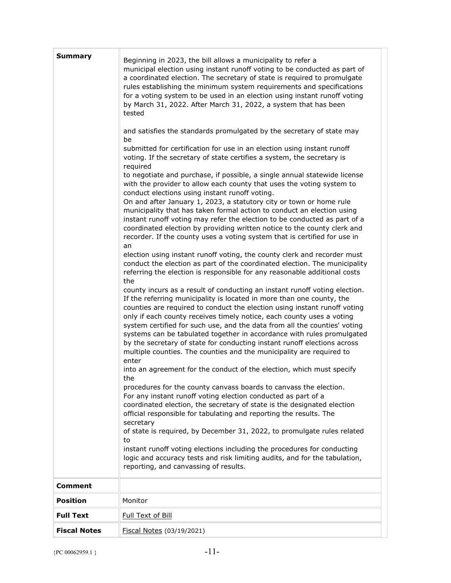| <b>Summary</b>      | Beginning in 2023, the bill allows a municipality to refer a<br>municipal election using instant runoff voting to be conducted as part of<br>a coordinated election. The secretary of state is required to promulgate<br>rules establishing the minimum system requirements and specifications<br>for a voting system to be used in an election using instant runoff voting<br>by March 31, 2022. After March 31, 2022, a system that has been<br>tested<br>and satisfies the standards promulgated by the secretary of state may<br>be<br>submitted for certification for use in an election using instant runoff<br>voting. If the secretary of state certifies a system, the secretary is<br>required<br>to negotiate and purchase, if possible, a single annual statewide license<br>with the provider to allow each county that uses the voting system to<br>conduct elections using instant runoff voting.<br>On and after January 1, 2023, a statutory city or town or home rule<br>municipality that has taken formal action to conduct an election using<br>instant runoff voting may refer the election to be conducted as part of a<br>coordinated election by providing written notice to the county clerk and<br>recorder. If the county uses a voting system that is certified for use in<br>an<br>election using instant runoff voting, the county clerk and recorder must |
|---------------------|-------------------------------------------------------------------------------------------------------------------------------------------------------------------------------------------------------------------------------------------------------------------------------------------------------------------------------------------------------------------------------------------------------------------------------------------------------------------------------------------------------------------------------------------------------------------------------------------------------------------------------------------------------------------------------------------------------------------------------------------------------------------------------------------------------------------------------------------------------------------------------------------------------------------------------------------------------------------------------------------------------------------------------------------------------------------------------------------------------------------------------------------------------------------------------------------------------------------------------------------------------------------------------------------------------------------------------------------------------------------------------------------|
|                     | conduct the election as part of the coordinated election. The municipality<br>referring the election is responsible for any reasonable additional costs<br>the<br>county incurs as a result of conducting an instant runoff voting election.<br>If the referring municipality is located in more than one county, the<br>counties are required to conduct the election using instant runoff voting<br>only if each county receives timely notice, each county uses a voting<br>system certified for such use, and the data from all the counties' voting<br>systems can be tabulated together in accordance with rules promulgated<br>by the secretary of state for conducting instant runoff elections across<br>multiple counties. The counties and the municipality are required to<br>enter<br>into an agreement for the conduct of the election, which must specify<br>the<br>procedures for the county canvass boards to canvass the election.<br>For any instant runoff voting election conducted as part of a<br>coordinated election, the secretary of state is the designated election<br>official responsible for tabulating and reporting the results. The<br>secretary<br>of state is required, by December 31, 2022, to promulgate rules related                                                                                                                            |
|                     | to<br>instant runoff voting elections including the procedures for conducting<br>logic and accuracy tests and risk limiting audits, and for the tabulation,<br>reporting, and canvassing of results.                                                                                                                                                                                                                                                                                                                                                                                                                                                                                                                                                                                                                                                                                                                                                                                                                                                                                                                                                                                                                                                                                                                                                                                      |
| <b>Comment</b>      |                                                                                                                                                                                                                                                                                                                                                                                                                                                                                                                                                                                                                                                                                                                                                                                                                                                                                                                                                                                                                                                                                                                                                                                                                                                                                                                                                                                           |
| <b>Position</b>     | Monitor                                                                                                                                                                                                                                                                                                                                                                                                                                                                                                                                                                                                                                                                                                                                                                                                                                                                                                                                                                                                                                                                                                                                                                                                                                                                                                                                                                                   |
| <b>Full Text</b>    | Full Text of Bill                                                                                                                                                                                                                                                                                                                                                                                                                                                                                                                                                                                                                                                                                                                                                                                                                                                                                                                                                                                                                                                                                                                                                                                                                                                                                                                                                                         |
| <b>Fiscal Notes</b> | Fiscal Notes (03/19/2021)                                                                                                                                                                                                                                                                                                                                                                                                                                                                                                                                                                                                                                                                                                                                                                                                                                                                                                                                                                                                                                                                                                                                                                                                                                                                                                                                                                 |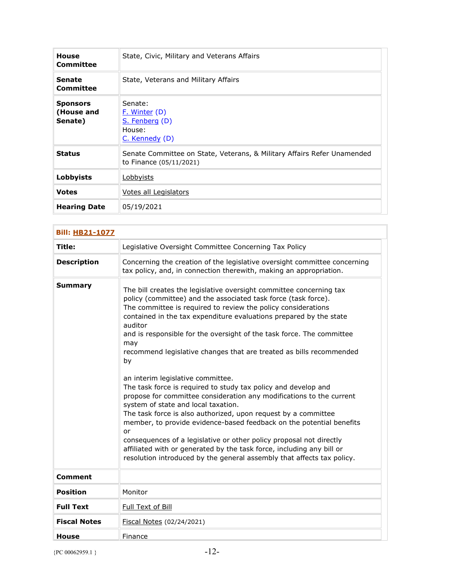| <b>House</b><br>Committee                | State, Civic, Military and Veterans Affairs                                                        |
|------------------------------------------|----------------------------------------------------------------------------------------------------|
| Senate<br>Committee                      | State, Veterans and Military Affairs                                                               |
| <b>Sponsors</b><br>(House and<br>Senate) | Senate:<br><u>F. Winter</u> (D)<br>S. Fenberg (D)<br>House:<br>C. Kennedy (D)                      |
| <b>Status</b>                            | Senate Committee on State, Veterans, & Military Affairs Refer Unamended<br>to Finance (05/11/2021) |
| <b>Lobbyists</b>                         | <u>Lobbyists</u>                                                                                   |
| <b>Votes</b>                             | Votes all Legislators                                                                              |
| <b>Hearing Date</b>                      | 05/19/2021                                                                                         |

| <b>Bill: HB21-1077</b> |                                                                                                                                                                                                                                                                                                                                                                                                                                                                                                                                                                                                                                                                                                                                                                                                                                                                                                                                                                                                                                                      |
|------------------------|------------------------------------------------------------------------------------------------------------------------------------------------------------------------------------------------------------------------------------------------------------------------------------------------------------------------------------------------------------------------------------------------------------------------------------------------------------------------------------------------------------------------------------------------------------------------------------------------------------------------------------------------------------------------------------------------------------------------------------------------------------------------------------------------------------------------------------------------------------------------------------------------------------------------------------------------------------------------------------------------------------------------------------------------------|
| Title:                 | Legislative Oversight Committee Concerning Tax Policy                                                                                                                                                                                                                                                                                                                                                                                                                                                                                                                                                                                                                                                                                                                                                                                                                                                                                                                                                                                                |
| <b>Description</b>     | Concerning the creation of the legislative oversight committee concerning<br>tax policy, and, in connection therewith, making an appropriation.                                                                                                                                                                                                                                                                                                                                                                                                                                                                                                                                                                                                                                                                                                                                                                                                                                                                                                      |
| <b>Summary</b>         | The bill creates the legislative oversight committee concerning tax<br>policy (committee) and the associated task force (task force).<br>The committee is required to review the policy considerations<br>contained in the tax expenditure evaluations prepared by the state<br>auditor<br>and is responsible for the oversight of the task force. The committee<br>may<br>recommend legislative changes that are treated as bills recommended<br>by<br>an interim legislative committee.<br>The task force is required to study tax policy and develop and<br>propose for committee consideration any modifications to the current<br>system of state and local taxation.<br>The task force is also authorized, upon request by a committee<br>member, to provide evidence-based feedback on the potential benefits<br>or<br>consequences of a legislative or other policy proposal not directly<br>affiliated with or generated by the task force, including any bill or<br>resolution introduced by the general assembly that affects tax policy. |
| Comment                |                                                                                                                                                                                                                                                                                                                                                                                                                                                                                                                                                                                                                                                                                                                                                                                                                                                                                                                                                                                                                                                      |
| <b>Position</b>        | Monitor                                                                                                                                                                                                                                                                                                                                                                                                                                                                                                                                                                                                                                                                                                                                                                                                                                                                                                                                                                                                                                              |
| <b>Full Text</b>       | Full Text of Bill                                                                                                                                                                                                                                                                                                                                                                                                                                                                                                                                                                                                                                                                                                                                                                                                                                                                                                                                                                                                                                    |
| <b>Fiscal Notes</b>    | Fiscal Notes (02/24/2021)                                                                                                                                                                                                                                                                                                                                                                                                                                                                                                                                                                                                                                                                                                                                                                                                                                                                                                                                                                                                                            |
| <b>House</b>           | Finance                                                                                                                                                                                                                                                                                                                                                                                                                                                                                                                                                                                                                                                                                                                                                                                                                                                                                                                                                                                                                                              |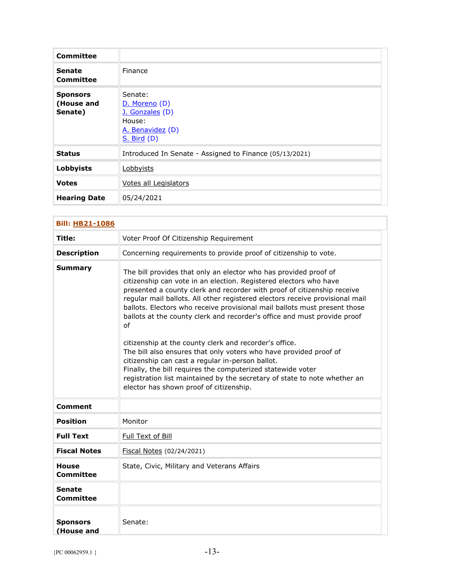| Committee                                |                                                                                                 |
|------------------------------------------|-------------------------------------------------------------------------------------------------|
| <b>Senate</b><br><b>Committee</b>        | Finance                                                                                         |
| <b>Sponsors</b><br>(House and<br>Senate) | Senate:<br>D. Moreno (D)<br>J. Gonzales (D)<br>House:<br>A. Benavidez (D)<br><b>S. Bird (D)</b> |
| <b>Status</b>                            | Introduced In Senate - Assigned to Finance (05/13/2021)                                         |
| Lobbyists                                | Lobbyists                                                                                       |
| <b>Votes</b>                             | Votes all Legislators                                                                           |
| <b>Hearing Date</b>                      | 05/24/2021                                                                                      |

| <b>Bill: HB21-1086</b>           |                                                                                                                                                                                                                                                                                                                                                                                                                                                                                                                                                                                                                                                                                                                                                                                                                                           |
|----------------------------------|-------------------------------------------------------------------------------------------------------------------------------------------------------------------------------------------------------------------------------------------------------------------------------------------------------------------------------------------------------------------------------------------------------------------------------------------------------------------------------------------------------------------------------------------------------------------------------------------------------------------------------------------------------------------------------------------------------------------------------------------------------------------------------------------------------------------------------------------|
| Title:                           | Voter Proof Of Citizenship Requirement                                                                                                                                                                                                                                                                                                                                                                                                                                                                                                                                                                                                                                                                                                                                                                                                    |
| <b>Description</b>               | Concerning requirements to provide proof of citizenship to vote.                                                                                                                                                                                                                                                                                                                                                                                                                                                                                                                                                                                                                                                                                                                                                                          |
| <b>Summary</b>                   | The bill provides that only an elector who has provided proof of<br>citizenship can vote in an election. Registered electors who have<br>presented a county clerk and recorder with proof of citizenship receive<br>regular mail ballots. All other registered electors receive provisional mail<br>ballots. Electors who receive provisional mail ballots must present those<br>ballots at the county clerk and recorder's office and must provide proof<br>of<br>citizenship at the county clerk and recorder's office.<br>The bill also ensures that only voters who have provided proof of<br>citizenship can cast a regular in-person ballot.<br>Finally, the bill requires the computerized statewide voter<br>registration list maintained by the secretary of state to note whether an<br>elector has shown proof of citizenship. |
| <b>Comment</b>                   |                                                                                                                                                                                                                                                                                                                                                                                                                                                                                                                                                                                                                                                                                                                                                                                                                                           |
| <b>Position</b>                  | Monitor                                                                                                                                                                                                                                                                                                                                                                                                                                                                                                                                                                                                                                                                                                                                                                                                                                   |
| <b>Full Text</b>                 | Full Text of Bill                                                                                                                                                                                                                                                                                                                                                                                                                                                                                                                                                                                                                                                                                                                                                                                                                         |
| <b>Fiscal Notes</b>              | Fiscal Notes (02/24/2021)                                                                                                                                                                                                                                                                                                                                                                                                                                                                                                                                                                                                                                                                                                                                                                                                                 |
| <b>House</b><br><b>Committee</b> | State, Civic, Military and Veterans Affairs                                                                                                                                                                                                                                                                                                                                                                                                                                                                                                                                                                                                                                                                                                                                                                                               |
| <b>Senate</b><br>Committee       |                                                                                                                                                                                                                                                                                                                                                                                                                                                                                                                                                                                                                                                                                                                                                                                                                                           |
| <b>Sponsors</b><br>(House and    | Senate:                                                                                                                                                                                                                                                                                                                                                                                                                                                                                                                                                                                                                                                                                                                                                                                                                                   |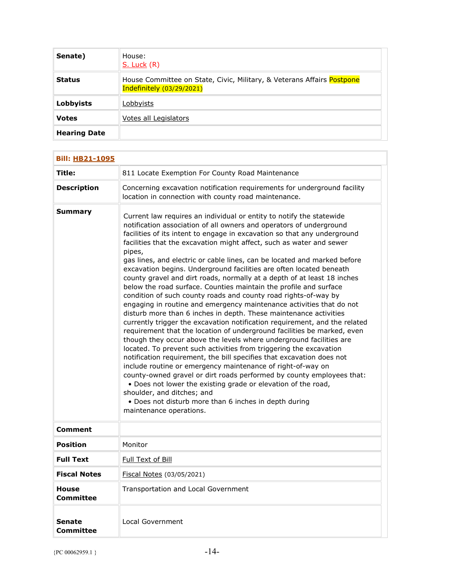| Senate)             | House:<br>$S.$ Luck $(R)$                                                                           |
|---------------------|-----------------------------------------------------------------------------------------------------|
| <b>Status</b>       | House Committee on State, Civic, Military, & Veterans Affairs Postpone<br>Indefinitely (03/29/2021) |
| Lobbyists           | Lobbyists                                                                                           |
| <b>Votes</b>        | Votes all Legislators                                                                               |
| <b>Hearing Date</b> |                                                                                                     |

| <b>Bill: HB21-1095</b>     |                                                                                                                                                                                                                                                                                                                                                                                                                                                                                                                                                                                                                                                                                                                                                                                                                                                                                                                                                                                                                                                                                                                                                                                                                                                                                                                                                                                                                                                                                                                                        |
|----------------------------|----------------------------------------------------------------------------------------------------------------------------------------------------------------------------------------------------------------------------------------------------------------------------------------------------------------------------------------------------------------------------------------------------------------------------------------------------------------------------------------------------------------------------------------------------------------------------------------------------------------------------------------------------------------------------------------------------------------------------------------------------------------------------------------------------------------------------------------------------------------------------------------------------------------------------------------------------------------------------------------------------------------------------------------------------------------------------------------------------------------------------------------------------------------------------------------------------------------------------------------------------------------------------------------------------------------------------------------------------------------------------------------------------------------------------------------------------------------------------------------------------------------------------------------|
| Title:                     | 811 Locate Exemption For County Road Maintenance                                                                                                                                                                                                                                                                                                                                                                                                                                                                                                                                                                                                                                                                                                                                                                                                                                                                                                                                                                                                                                                                                                                                                                                                                                                                                                                                                                                                                                                                                       |
| <b>Description</b>         | Concerning excavation notification requirements for underground facility<br>location in connection with county road maintenance.                                                                                                                                                                                                                                                                                                                                                                                                                                                                                                                                                                                                                                                                                                                                                                                                                                                                                                                                                                                                                                                                                                                                                                                                                                                                                                                                                                                                       |
| Summary                    | Current law requires an individual or entity to notify the statewide<br>notification association of all owners and operators of underground<br>facilities of its intent to engage in excavation so that any underground<br>facilities that the excavation might affect, such as water and sewer<br>pipes,<br>gas lines, and electric or cable lines, can be located and marked before<br>excavation begins. Underground facilities are often located beneath<br>county gravel and dirt roads, normally at a depth of at least 18 inches<br>below the road surface. Counties maintain the profile and surface<br>condition of such county roads and county road rights-of-way by<br>engaging in routine and emergency maintenance activities that do not<br>disturb more than 6 inches in depth. These maintenance activities<br>currently trigger the excavation notification requirement, and the related<br>requirement that the location of underground facilities be marked, even<br>though they occur above the levels where underground facilities are<br>located. To prevent such activities from triggering the excavation<br>notification requirement, the bill specifies that excavation does not<br>include routine or emergency maintenance of right-of-way on<br>county-owned gravel or dirt roads performed by county employees that:<br>. Does not lower the existing grade or elevation of the road,<br>shoulder, and ditches; and<br>• Does not disturb more than 6 inches in depth during<br>maintenance operations. |
| Comment                    |                                                                                                                                                                                                                                                                                                                                                                                                                                                                                                                                                                                                                                                                                                                                                                                                                                                                                                                                                                                                                                                                                                                                                                                                                                                                                                                                                                                                                                                                                                                                        |
| <b>Position</b>            | Monitor                                                                                                                                                                                                                                                                                                                                                                                                                                                                                                                                                                                                                                                                                                                                                                                                                                                                                                                                                                                                                                                                                                                                                                                                                                                                                                                                                                                                                                                                                                                                |
| <b>Full Text</b>           | Full Text of Bill                                                                                                                                                                                                                                                                                                                                                                                                                                                                                                                                                                                                                                                                                                                                                                                                                                                                                                                                                                                                                                                                                                                                                                                                                                                                                                                                                                                                                                                                                                                      |
| <b>Fiscal Notes</b>        | Fiscal Notes (03/05/2021)                                                                                                                                                                                                                                                                                                                                                                                                                                                                                                                                                                                                                                                                                                                                                                                                                                                                                                                                                                                                                                                                                                                                                                                                                                                                                                                                                                                                                                                                                                              |
| <b>House</b><br>Committee  | Transportation and Local Government                                                                                                                                                                                                                                                                                                                                                                                                                                                                                                                                                                                                                                                                                                                                                                                                                                                                                                                                                                                                                                                                                                                                                                                                                                                                                                                                                                                                                                                                                                    |
| Senate<br><b>Committee</b> | Local Government                                                                                                                                                                                                                                                                                                                                                                                                                                                                                                                                                                                                                                                                                                                                                                                                                                                                                                                                                                                                                                                                                                                                                                                                                                                                                                                                                                                                                                                                                                                       |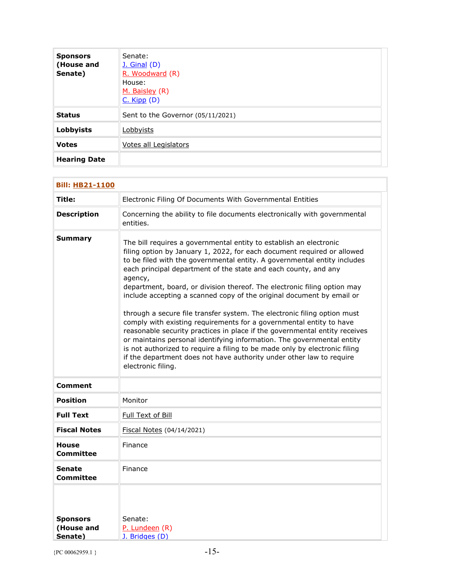| <b>Sponsors</b><br>(House and<br>Senate) | Senate:<br><u>J. Ginal</u> (D)<br>R. Woodward (R)<br>House:<br>M. Baisley (R)<br>$C.$ Kipp $(D)$ |
|------------------------------------------|--------------------------------------------------------------------------------------------------|
| <b>Status</b>                            | Sent to the Governor (05/11/2021)                                                                |
| Lobbyists                                | Lobbyists                                                                                        |
| <b>Votes</b>                             | Votes all Legislators                                                                            |
| <b>Hearing Date</b>                      |                                                                                                  |

| <b>Bill: HB21-1100</b>                   |                                                                                                                                                                                                                                                                                                                                                                                                                                                                                                                                                                                                                                                                                                                                                                                                                                                                                                                                                     |  |
|------------------------------------------|-----------------------------------------------------------------------------------------------------------------------------------------------------------------------------------------------------------------------------------------------------------------------------------------------------------------------------------------------------------------------------------------------------------------------------------------------------------------------------------------------------------------------------------------------------------------------------------------------------------------------------------------------------------------------------------------------------------------------------------------------------------------------------------------------------------------------------------------------------------------------------------------------------------------------------------------------------|--|
| Title:                                   | Electronic Filing Of Documents With Governmental Entities                                                                                                                                                                                                                                                                                                                                                                                                                                                                                                                                                                                                                                                                                                                                                                                                                                                                                           |  |
| <b>Description</b>                       | Concerning the ability to file documents electronically with governmental<br>entities.                                                                                                                                                                                                                                                                                                                                                                                                                                                                                                                                                                                                                                                                                                                                                                                                                                                              |  |
| <b>Summary</b>                           | The bill requires a governmental entity to establish an electronic<br>filing option by January 1, 2022, for each document required or allowed<br>to be filed with the governmental entity. A governmental entity includes<br>each principal department of the state and each county, and any<br>agency,<br>department, board, or division thereof. The electronic filing option may<br>include accepting a scanned copy of the original document by email or<br>through a secure file transfer system. The electronic filing option must<br>comply with existing requirements for a governmental entity to have<br>reasonable security practices in place if the governmental entity receives<br>or maintains personal identifying information. The governmental entity<br>is not authorized to require a filing to be made only by electronic filing<br>if the department does not have authority under other law to require<br>electronic filing. |  |
| Comment                                  |                                                                                                                                                                                                                                                                                                                                                                                                                                                                                                                                                                                                                                                                                                                                                                                                                                                                                                                                                     |  |
| <b>Position</b>                          | Monitor                                                                                                                                                                                                                                                                                                                                                                                                                                                                                                                                                                                                                                                                                                                                                                                                                                                                                                                                             |  |
| <b>Full Text</b>                         | Full Text of Bill                                                                                                                                                                                                                                                                                                                                                                                                                                                                                                                                                                                                                                                                                                                                                                                                                                                                                                                                   |  |
| <b>Fiscal Notes</b>                      | Fiscal Notes (04/14/2021)                                                                                                                                                                                                                                                                                                                                                                                                                                                                                                                                                                                                                                                                                                                                                                                                                                                                                                                           |  |
| <b>House</b><br><b>Committee</b>         | Finance                                                                                                                                                                                                                                                                                                                                                                                                                                                                                                                                                                                                                                                                                                                                                                                                                                                                                                                                             |  |
| <b>Senate</b><br>Committee               | Finance                                                                                                                                                                                                                                                                                                                                                                                                                                                                                                                                                                                                                                                                                                                                                                                                                                                                                                                                             |  |
| <b>Sponsors</b><br>(House and<br>Senate) | Senate:<br>P. Lundeen (R)<br>J. Bridges (D)                                                                                                                                                                                                                                                                                                                                                                                                                                                                                                                                                                                                                                                                                                                                                                                                                                                                                                         |  |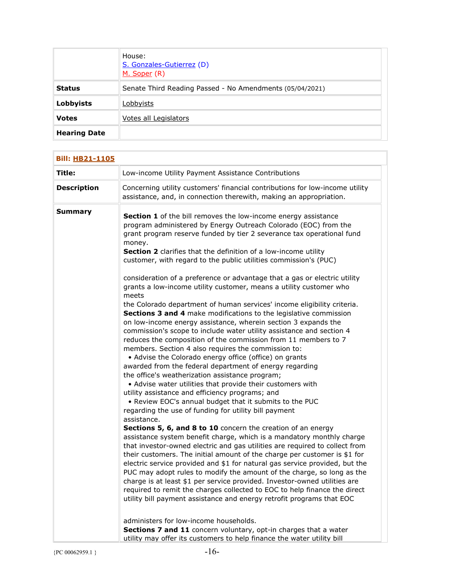|                     | House:<br>S. Gonzales-Gutierrez (D)<br>M. Soper (R)      |
|---------------------|----------------------------------------------------------|
| <b>Status</b>       | Senate Third Reading Passed - No Amendments (05/04/2021) |
| <b>Lobbyists</b>    | Lobbyists                                                |
| <b>Votes</b>        | Votes all Legislators                                    |
| <b>Hearing Date</b> |                                                          |

| <b>Bill: HB21-1105</b> |                                                                                                                                                                                                                                                                                                                                                                                                                                                                                                                                                                                                                                                                                                                                                                                                                                                                                                                                                                                                                                                                                                                                                                                                                                                                                                                                                                                                                                                                                                                                                                                                                                                                                                                                                                                                                                                                                                                                                                                                                                                                                                                                                                                       |
|------------------------|---------------------------------------------------------------------------------------------------------------------------------------------------------------------------------------------------------------------------------------------------------------------------------------------------------------------------------------------------------------------------------------------------------------------------------------------------------------------------------------------------------------------------------------------------------------------------------------------------------------------------------------------------------------------------------------------------------------------------------------------------------------------------------------------------------------------------------------------------------------------------------------------------------------------------------------------------------------------------------------------------------------------------------------------------------------------------------------------------------------------------------------------------------------------------------------------------------------------------------------------------------------------------------------------------------------------------------------------------------------------------------------------------------------------------------------------------------------------------------------------------------------------------------------------------------------------------------------------------------------------------------------------------------------------------------------------------------------------------------------------------------------------------------------------------------------------------------------------------------------------------------------------------------------------------------------------------------------------------------------------------------------------------------------------------------------------------------------------------------------------------------------------------------------------------------------|
| Title:                 | Low-income Utility Payment Assistance Contributions                                                                                                                                                                                                                                                                                                                                                                                                                                                                                                                                                                                                                                                                                                                                                                                                                                                                                                                                                                                                                                                                                                                                                                                                                                                                                                                                                                                                                                                                                                                                                                                                                                                                                                                                                                                                                                                                                                                                                                                                                                                                                                                                   |
| <b>Description</b>     | Concerning utility customers' financial contributions for low-income utility<br>assistance, and, in connection therewith, making an appropriation.                                                                                                                                                                                                                                                                                                                                                                                                                                                                                                                                                                                                                                                                                                                                                                                                                                                                                                                                                                                                                                                                                                                                                                                                                                                                                                                                                                                                                                                                                                                                                                                                                                                                                                                                                                                                                                                                                                                                                                                                                                    |
| <b>Summary</b>         | Section 1 of the bill removes the low-income energy assistance<br>program administered by Energy Outreach Colorado (EOC) from the<br>grant program reserve funded by tier 2 severance tax operational fund<br>money.<br>Section 2 clarifies that the definition of a low-income utility<br>customer, with regard to the public utilities commission's (PUC)<br>consideration of a preference or advantage that a gas or electric utility<br>grants a low-income utility customer, means a utility customer who<br>meets<br>the Colorado department of human services' income eligibility criteria.<br>Sections 3 and 4 make modifications to the legislative commission<br>on low-income energy assistance, wherein section 3 expands the<br>commission's scope to include water utility assistance and section 4<br>reduces the composition of the commission from 11 members to 7<br>members. Section 4 also requires the commission to:<br>• Advise the Colorado energy office (office) on grants<br>awarded from the federal department of energy regarding<br>the office's weatherization assistance program;<br>• Advise water utilities that provide their customers with<br>utility assistance and efficiency programs; and<br>. Review EOC's annual budget that it submits to the PUC<br>regarding the use of funding for utility bill payment<br>assistance.<br>Sections 5, 6, and 8 to 10 concern the creation of an energy<br>assistance system benefit charge, which is a mandatory monthly charge<br>that investor-owned electric and gas utilities are required to collect from<br>their customers. The initial amount of the charge per customer is \$1 for<br>electric service provided and \$1 for natural gas service provided, but the<br>PUC may adopt rules to modify the amount of the charge, so long as the<br>charge is at least \$1 per service provided. Investor-owned utilities are<br>required to remit the charges collected to EOC to help finance the direct<br>utility bill payment assistance and energy retrofit programs that EOC<br>administers for low-income households.<br>Sections 7 and 11 concern voluntary, opt-in charges that a water |
|                        | utility may offer its customers to help finance the water utility bill                                                                                                                                                                                                                                                                                                                                                                                                                                                                                                                                                                                                                                                                                                                                                                                                                                                                                                                                                                                                                                                                                                                                                                                                                                                                                                                                                                                                                                                                                                                                                                                                                                                                                                                                                                                                                                                                                                                                                                                                                                                                                                                |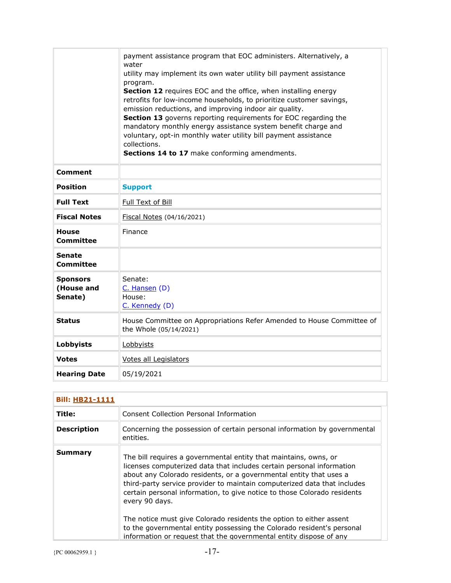|                                          | payment assistance program that EOC administers. Alternatively, a<br>water<br>utility may implement its own water utility bill payment assistance<br>program.<br>Section 12 requires EOC and the office, when installing energy<br>retrofits for low-income households, to prioritize customer savings,<br>emission reductions, and improving indoor air quality.<br>Section 13 governs reporting requirements for EOC regarding the<br>mandatory monthly energy assistance system benefit charge and<br>voluntary, opt-in monthly water utility bill payment assistance<br>collections.<br>Sections 14 to 17 make conforming amendments. |
|------------------------------------------|-------------------------------------------------------------------------------------------------------------------------------------------------------------------------------------------------------------------------------------------------------------------------------------------------------------------------------------------------------------------------------------------------------------------------------------------------------------------------------------------------------------------------------------------------------------------------------------------------------------------------------------------|
| Comment                                  |                                                                                                                                                                                                                                                                                                                                                                                                                                                                                                                                                                                                                                           |
| <b>Position</b>                          | <b>Support</b>                                                                                                                                                                                                                                                                                                                                                                                                                                                                                                                                                                                                                            |
| <b>Full Text</b>                         | Full Text of Bill                                                                                                                                                                                                                                                                                                                                                                                                                                                                                                                                                                                                                         |
| <b>Fiscal Notes</b>                      | Fiscal Notes (04/16/2021)                                                                                                                                                                                                                                                                                                                                                                                                                                                                                                                                                                                                                 |
| <b>House</b><br><b>Committee</b>         | Finance                                                                                                                                                                                                                                                                                                                                                                                                                                                                                                                                                                                                                                   |
| <b>Senate</b><br><b>Committee</b>        |                                                                                                                                                                                                                                                                                                                                                                                                                                                                                                                                                                                                                                           |
| <b>Sponsors</b><br>(House and<br>Senate) | Senate:<br>C. Hansen (D)<br>House:<br>C. Kennedy (D)                                                                                                                                                                                                                                                                                                                                                                                                                                                                                                                                                                                      |
| <b>Status</b>                            | House Committee on Appropriations Refer Amended to House Committee of<br>the Whole (05/14/2021)                                                                                                                                                                                                                                                                                                                                                                                                                                                                                                                                           |
| Lobbyists                                | Lobbyists                                                                                                                                                                                                                                                                                                                                                                                                                                                                                                                                                                                                                                 |
| <b>Votes</b>                             | Votes all Legislators                                                                                                                                                                                                                                                                                                                                                                                                                                                                                                                                                                                                                     |
| <b>Hearing Date</b>                      | 05/19/2021                                                                                                                                                                                                                                                                                                                                                                                                                                                                                                                                                                                                                                |

| <b>Bill: HB21-1111</b> |                                                                                                                                                                                                                                                                                                                                                                                                                                                                                                                                                                                                                  |
|------------------------|------------------------------------------------------------------------------------------------------------------------------------------------------------------------------------------------------------------------------------------------------------------------------------------------------------------------------------------------------------------------------------------------------------------------------------------------------------------------------------------------------------------------------------------------------------------------------------------------------------------|
| Title:                 | Consent Collection Personal Information                                                                                                                                                                                                                                                                                                                                                                                                                                                                                                                                                                          |
| <b>Description</b>     | Concerning the possession of certain personal information by governmental<br>entities.                                                                                                                                                                                                                                                                                                                                                                                                                                                                                                                           |
| Summary                | The bill requires a governmental entity that maintains, owns, or<br>licenses computerized data that includes certain personal information<br>about any Colorado residents, or a governmental entity that uses a<br>third-party service provider to maintain computerized data that includes<br>certain personal information, to give notice to those Colorado residents<br>every 90 days.<br>The notice must give Colorado residents the option to either assent<br>to the governmental entity possessing the Colorado resident's personal<br>information or request that the governmental entity dispose of any |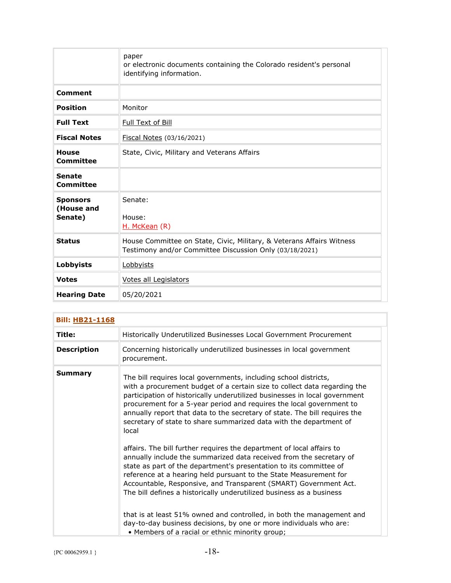|                                          | paper<br>or electronic documents containing the Colorado resident's personal<br>identifying information.                         |
|------------------------------------------|----------------------------------------------------------------------------------------------------------------------------------|
| <b>Comment</b>                           |                                                                                                                                  |
| <b>Position</b>                          | Monitor                                                                                                                          |
| <b>Full Text</b>                         | Full Text of Bill                                                                                                                |
| <b>Fiscal Notes</b>                      | Fiscal Notes (03/16/2021)                                                                                                        |
| <b>House</b><br><b>Committee</b>         | State, Civic, Military and Veterans Affairs                                                                                      |
| <b>Senate</b><br>Committee               |                                                                                                                                  |
| <b>Sponsors</b><br>(House and<br>Senate) | Senate:<br>House:<br>H. McKean (R)                                                                                               |
| <b>Status</b>                            | House Committee on State, Civic, Military, & Veterans Affairs Witness<br>Testimony and/or Committee Discussion Only (03/18/2021) |
| <b>Lobbyists</b>                         | Lobbyists                                                                                                                        |
| <b>Votes</b>                             | Votes all Legislators                                                                                                            |
| <b>Hearing Date</b>                      | 05/20/2021                                                                                                                       |

| <b>Bill: HB21-1168</b> |                                                                                                                                                                                                                                                                                                                                                                                                                                                                                                                                                                                                                                                                                                                                                             |  |
|------------------------|-------------------------------------------------------------------------------------------------------------------------------------------------------------------------------------------------------------------------------------------------------------------------------------------------------------------------------------------------------------------------------------------------------------------------------------------------------------------------------------------------------------------------------------------------------------------------------------------------------------------------------------------------------------------------------------------------------------------------------------------------------------|--|
| Title:                 | Historically Underutilized Businesses Local Government Procurement                                                                                                                                                                                                                                                                                                                                                                                                                                                                                                                                                                                                                                                                                          |  |
| <b>Description</b>     | Concerning historically underutilized businesses in local government<br>procurement.                                                                                                                                                                                                                                                                                                                                                                                                                                                                                                                                                                                                                                                                        |  |
| Summary                | The bill requires local governments, including school districts,<br>with a procurement budget of a certain size to collect data regarding the<br>participation of historically underutilized businesses in local government<br>procurement for a 5-year period and requires the local government to<br>annually report that data to the secretary of state. The bill requires the<br>secretary of state to share summarized data with the department of<br>local<br>affairs. The bill further requires the department of local affairs to<br>annually include the summarized data received from the secretary of<br>state as part of the department's presentation to its committee of<br>reference at a hearing held pursuant to the State Measurement for |  |
|                        | Accountable, Responsive, and Transparent (SMART) Government Act.<br>The bill defines a historically underutilized business as a business                                                                                                                                                                                                                                                                                                                                                                                                                                                                                                                                                                                                                    |  |
|                        | that is at least 51% owned and controlled, in both the management and<br>day-to-day business decisions, by one or more individuals who are:<br>• Members of a racial or ethnic minority group;                                                                                                                                                                                                                                                                                                                                                                                                                                                                                                                                                              |  |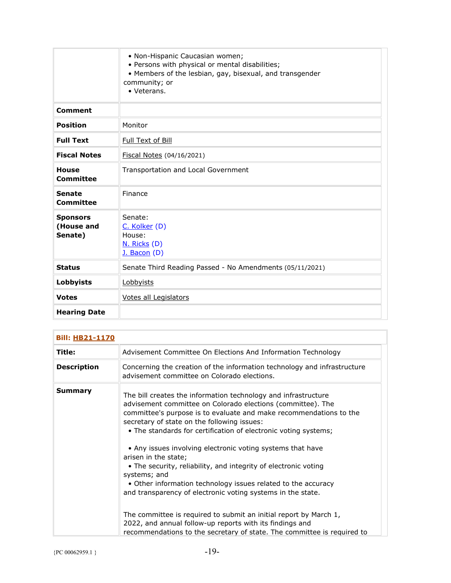|                                          | • Non-Hispanic Caucasian women;<br>• Persons with physical or mental disabilities;<br>• Members of the lesbian, gay, bisexual, and transgender<br>community; or<br>• Veterans. |
|------------------------------------------|--------------------------------------------------------------------------------------------------------------------------------------------------------------------------------|
| <b>Comment</b>                           |                                                                                                                                                                                |
| <b>Position</b>                          | Monitor                                                                                                                                                                        |
| <b>Full Text</b>                         | Full Text of Bill                                                                                                                                                              |
| <b>Fiscal Notes</b>                      | Fiscal Notes (04/16/2021)                                                                                                                                                      |
| <b>House</b><br>Committee                | Transportation and Local Government                                                                                                                                            |
| <b>Senate</b><br>Committee               | Finance                                                                                                                                                                        |
| <b>Sponsors</b><br>(House and<br>Senate) | Senate:<br>C. Kolker (D)<br>House:<br>N. Ricks (D)<br>$J.$ Bacon $(D)$                                                                                                         |
| <b>Status</b>                            | Senate Third Reading Passed - No Amendments (05/11/2021)                                                                                                                       |
| <b>Lobbyists</b>                         | Lobbyists                                                                                                                                                                      |
| <b>Votes</b>                             | Votes all Legislators                                                                                                                                                          |
| <b>Hearing Date</b>                      |                                                                                                                                                                                |

| <b>Bill: HB21-1170</b> |                                                                                                                                                                                                                                                                                                                                                                                                                                                                                                                                                                                                                                                                                                                                                                                                                                            |
|------------------------|--------------------------------------------------------------------------------------------------------------------------------------------------------------------------------------------------------------------------------------------------------------------------------------------------------------------------------------------------------------------------------------------------------------------------------------------------------------------------------------------------------------------------------------------------------------------------------------------------------------------------------------------------------------------------------------------------------------------------------------------------------------------------------------------------------------------------------------------|
| Title:                 | Advisement Committee On Elections And Information Technology                                                                                                                                                                                                                                                                                                                                                                                                                                                                                                                                                                                                                                                                                                                                                                               |
| <b>Description</b>     | Concerning the creation of the information technology and infrastructure<br>advisement committee on Colorado elections.                                                                                                                                                                                                                                                                                                                                                                                                                                                                                                                                                                                                                                                                                                                    |
| Summary                | The bill creates the information technology and infrastructure<br>advisement committee on Colorado elections (committee). The<br>committee's purpose is to evaluate and make recommendations to the<br>secretary of state on the following issues:<br>• The standards for certification of electronic voting systems;<br>• Any issues involving electronic voting systems that have<br>arisen in the state;<br>• The security, reliability, and integrity of electronic voting<br>systems; and<br>• Other information technology issues related to the accuracy<br>and transparency of electronic voting systems in the state.<br>The committee is required to submit an initial report by March 1,<br>2022, and annual follow-up reports with its findings and<br>recommendations to the secretary of state. The committee is required to |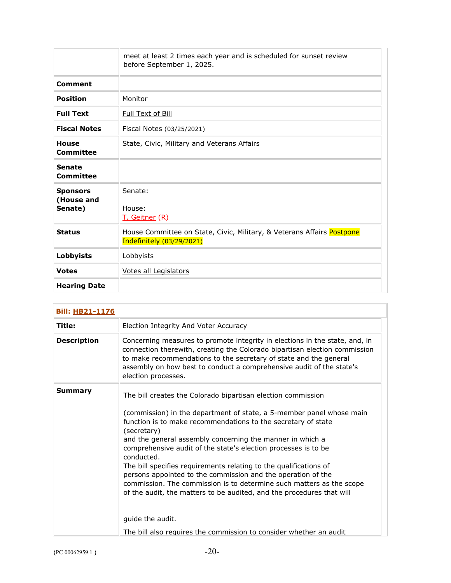|                                          | meet at least 2 times each year and is scheduled for sunset review<br>before September 1, 2025.     |
|------------------------------------------|-----------------------------------------------------------------------------------------------------|
| <b>Comment</b>                           |                                                                                                     |
| <b>Position</b>                          | Monitor                                                                                             |
| <b>Full Text</b>                         | <b>Full Text of Bill</b>                                                                            |
| <b>Fiscal Notes</b>                      | Fiscal Notes (03/25/2021)                                                                           |
| <b>House</b><br>Committee                | State, Civic, Military and Veterans Affairs                                                         |
| <b>Senate</b><br>Committee               |                                                                                                     |
| <b>Sponsors</b><br>(House and<br>Senate) | Senate:<br>House:<br>T. Geitner (R)                                                                 |
| <b>Status</b>                            | House Committee on State, Civic, Military, & Veterans Affairs Postpone<br>Indefinitely (03/29/2021) |
| <b>Lobbyists</b>                         | Lobbyists                                                                                           |
| <b>Votes</b>                             | Votes all Legislators                                                                               |
| <b>Hearing Date</b>                      |                                                                                                     |

| <b>Bill: HB21-1176</b> |                                                                                                                                                                                                                                                                                                                                                                                                                                                                                                                                                                                                                                                                                                                                                   |
|------------------------|---------------------------------------------------------------------------------------------------------------------------------------------------------------------------------------------------------------------------------------------------------------------------------------------------------------------------------------------------------------------------------------------------------------------------------------------------------------------------------------------------------------------------------------------------------------------------------------------------------------------------------------------------------------------------------------------------------------------------------------------------|
| Title:                 | Election Integrity And Voter Accuracy                                                                                                                                                                                                                                                                                                                                                                                                                                                                                                                                                                                                                                                                                                             |
| <b>Description</b>     | Concerning measures to promote integrity in elections in the state, and, in<br>connection therewith, creating the Colorado bipartisan election commission<br>to make recommendations to the secretary of state and the general<br>assembly on how best to conduct a comprehensive audit of the state's<br>election processes.                                                                                                                                                                                                                                                                                                                                                                                                                     |
| <b>Summary</b>         | The bill creates the Colorado bipartisan election commission<br>(commission) in the department of state, a 5-member panel whose main<br>function is to make recommendations to the secretary of state<br>(secretary)<br>and the general assembly concerning the manner in which a<br>comprehensive audit of the state's election processes is to be<br>conducted.<br>The bill specifies requirements relating to the qualifications of<br>persons appointed to the commission and the operation of the<br>commission. The commission is to determine such matters as the scope<br>of the audit, the matters to be audited, and the procedures that will<br>guide the audit.<br>The bill also requires the commission to consider whether an audit |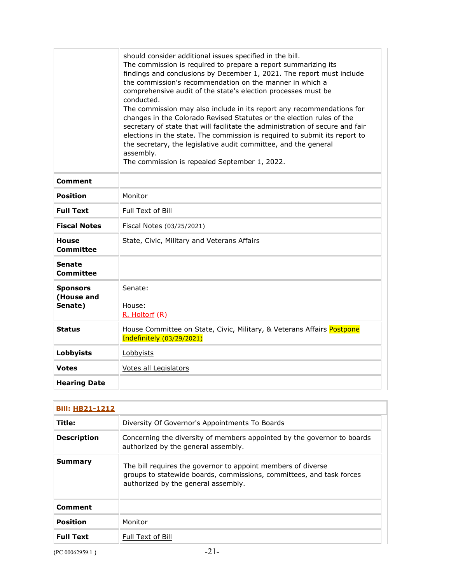|                                   | should consider additional issues specified in the bill.<br>The commission is required to prepare a report summarizing its<br>findings and conclusions by December 1, 2021. The report must include<br>the commission's recommendation on the manner in which a<br>comprehensive audit of the state's election processes must be<br>conducted.<br>The commission may also include in its report any recommendations for |
|-----------------------------------|-------------------------------------------------------------------------------------------------------------------------------------------------------------------------------------------------------------------------------------------------------------------------------------------------------------------------------------------------------------------------------------------------------------------------|
|                                   | changes in the Colorado Revised Statutes or the election rules of the<br>secretary of state that will facilitate the administration of secure and fair<br>elections in the state. The commission is required to submit its report to<br>the secretary, the legislative audit committee, and the general<br>assembly.<br>The commission is repealed September 1, 2022.                                                   |
|                                   |                                                                                                                                                                                                                                                                                                                                                                                                                         |
| <b>Comment</b>                    |                                                                                                                                                                                                                                                                                                                                                                                                                         |
| <b>Position</b>                   | Monitor                                                                                                                                                                                                                                                                                                                                                                                                                 |
| <b>Full Text</b>                  | Full Text of Bill                                                                                                                                                                                                                                                                                                                                                                                                       |
| <b>Fiscal Notes</b>               | Fiscal Notes (03/25/2021)                                                                                                                                                                                                                                                                                                                                                                                               |
| <b>House</b><br><b>Committee</b>  | State, Civic, Military and Veterans Affairs                                                                                                                                                                                                                                                                                                                                                                             |
| <b>Senate</b><br><b>Committee</b> |                                                                                                                                                                                                                                                                                                                                                                                                                         |
| <b>Sponsors</b>                   | Senate:                                                                                                                                                                                                                                                                                                                                                                                                                 |
| (House and<br>Senate)             | House:<br>R. Holtorf (R)                                                                                                                                                                                                                                                                                                                                                                                                |
| <b>Status</b>                     | House Committee on State, Civic, Military, & Veterans Affairs Postpone<br><b>Indefinitely (03/29/2021)</b>                                                                                                                                                                                                                                                                                                              |
| Lobbyists                         | Lobbyists                                                                                                                                                                                                                                                                                                                                                                                                               |
| <b>Votes</b>                      | Votes all Legislators                                                                                                                                                                                                                                                                                                                                                                                                   |
| <b>Hearing Date</b>               |                                                                                                                                                                                                                                                                                                                                                                                                                         |

| <b>Bill: HB21-1212</b> |                                                                                                                                                                             |
|------------------------|-----------------------------------------------------------------------------------------------------------------------------------------------------------------------------|
| Title:                 | Diversity Of Governor's Appointments To Boards                                                                                                                              |
| <b>Description</b>     | Concerning the diversity of members appointed by the governor to boards<br>authorized by the general assembly.                                                              |
| Summary                | The bill requires the governor to appoint members of diverse<br>groups to statewide boards, commissions, committees, and task forces<br>authorized by the general assembly. |
| <b>Comment</b>         |                                                                                                                                                                             |
| Position               | Monitor                                                                                                                                                                     |
| <b>Full Text</b>       | Full Text of Bill                                                                                                                                                           |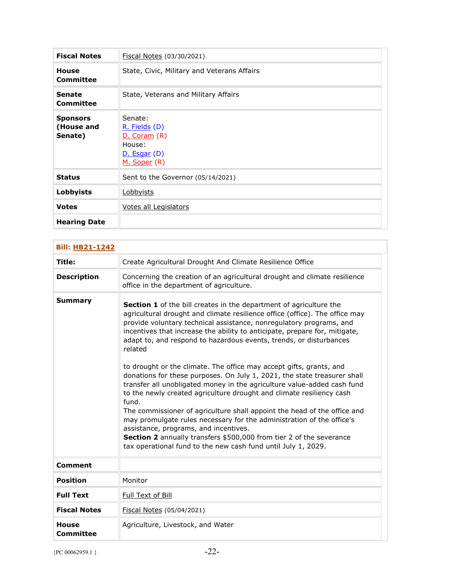| <b>Fiscal Notes</b>                      | Fiscal Notes (03/30/2021)                                                                        |
|------------------------------------------|--------------------------------------------------------------------------------------------------|
| <b>House</b><br>Committee                | State, Civic, Military and Veterans Affairs                                                      |
| <b>Senate</b><br>Committee               | State, Veterans and Military Affairs                                                             |
| <b>Sponsors</b><br>(House and<br>Senate) | Senate:<br>R. Fields (D)<br><u>D. Coram</u> (R)<br>House:<br>D. Esgar (D)<br><u>M. Soper</u> (R) |
| <b>Status</b>                            | Sent to the Governor (05/14/2021)                                                                |
| Lobbyists                                | <u>Lobbyists</u>                                                                                 |
| <b>Votes</b>                             | Votes all Legislators                                                                            |
| <b>Hearing Date</b>                      |                                                                                                  |

| <b>Bill: HB21-1242</b>    |                                                                                                                                                                                                                                                                                                                                                                                                                                                                                                                                                                                                                                                                                                        |  |
|---------------------------|--------------------------------------------------------------------------------------------------------------------------------------------------------------------------------------------------------------------------------------------------------------------------------------------------------------------------------------------------------------------------------------------------------------------------------------------------------------------------------------------------------------------------------------------------------------------------------------------------------------------------------------------------------------------------------------------------------|--|
| Title:                    | Create Agricultural Drought And Climate Resilience Office                                                                                                                                                                                                                                                                                                                                                                                                                                                                                                                                                                                                                                              |  |
| <b>Description</b>        | Concerning the creation of an agricultural drought and climate resilience<br>office in the department of agriculture.                                                                                                                                                                                                                                                                                                                                                                                                                                                                                                                                                                                  |  |
| <b>Summary</b>            | Section 1 of the bill creates in the department of agriculture the<br>agricultural drought and climate resilience office (office). The office may<br>provide voluntary technical assistance, nonregulatory programs, and<br>incentives that increase the ability to anticipate, prepare for, mitigate,<br>adapt to, and respond to hazardous events, trends, or disturbances<br>related<br>to drought or the climate. The office may accept gifts, grants, and<br>donations for these purposes. On July 1, 2021, the state treasurer shall<br>transfer all unobligated money in the agriculture value-added cash fund<br>to the newly created agriculture drought and climate resiliency cash<br>fund. |  |
|                           | The commissioner of agriculture shall appoint the head of the office and<br>may promulgate rules necessary for the administration of the office's<br>assistance, programs, and incentives.<br>Section 2 annually transfers \$500,000 from tier 2 of the severance<br>tax operational fund to the new cash fund until July 1, 2029.                                                                                                                                                                                                                                                                                                                                                                     |  |
| <b>Comment</b>            |                                                                                                                                                                                                                                                                                                                                                                                                                                                                                                                                                                                                                                                                                                        |  |
| <b>Position</b>           | Monitor                                                                                                                                                                                                                                                                                                                                                                                                                                                                                                                                                                                                                                                                                                |  |
| <b>Full Text</b>          | Full Text of Bill                                                                                                                                                                                                                                                                                                                                                                                                                                                                                                                                                                                                                                                                                      |  |
| <b>Fiscal Notes</b>       | Fiscal Notes (05/04/2021)                                                                                                                                                                                                                                                                                                                                                                                                                                                                                                                                                                                                                                                                              |  |
| <b>House</b><br>Committee | Agriculture, Livestock, and Water                                                                                                                                                                                                                                                                                                                                                                                                                                                                                                                                                                                                                                                                      |  |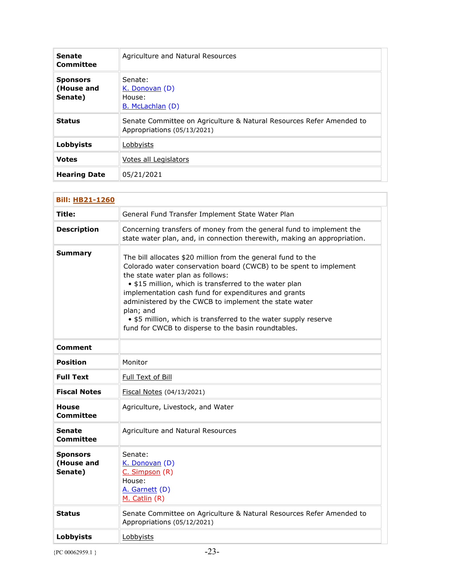| <b>Senate</b><br>Committee               | Agriculture and Natural Resources                                                                   |
|------------------------------------------|-----------------------------------------------------------------------------------------------------|
| <b>Sponsors</b><br>(House and<br>Senate) | Senate:<br>K. Donovan (D)<br>House:<br>B. McLachlan (D)                                             |
| <b>Status</b>                            | Senate Committee on Agriculture & Natural Resources Refer Amended to<br>Appropriations (05/13/2021) |
| Lobbyists                                | Lobbyists                                                                                           |
| <b>Votes</b>                             | Votes all Legislators                                                                               |
| <b>Hearing Date</b>                      | 05/21/2021                                                                                          |

| <b>Bill: HB21-1260</b>                   |                                                                                                                                                                                                                                                                                                                                                                                                                                                                                         |
|------------------------------------------|-----------------------------------------------------------------------------------------------------------------------------------------------------------------------------------------------------------------------------------------------------------------------------------------------------------------------------------------------------------------------------------------------------------------------------------------------------------------------------------------|
| Title:                                   | General Fund Transfer Implement State Water Plan                                                                                                                                                                                                                                                                                                                                                                                                                                        |
| <b>Description</b>                       | Concerning transfers of money from the general fund to implement the<br>state water plan, and, in connection therewith, making an appropriation.                                                                                                                                                                                                                                                                                                                                        |
| <b>Summary</b>                           | The bill allocates \$20 million from the general fund to the<br>Colorado water conservation board (CWCB) to be spent to implement<br>the state water plan as follows:<br>• \$15 million, which is transferred to the water plan<br>implementation cash fund for expenditures and grants<br>administered by the CWCB to implement the state water<br>plan; and<br>• \$5 million, which is transferred to the water supply reserve<br>fund for CWCB to disperse to the basin roundtables. |
| <b>Comment</b>                           |                                                                                                                                                                                                                                                                                                                                                                                                                                                                                         |
| Position                                 | Monitor                                                                                                                                                                                                                                                                                                                                                                                                                                                                                 |
| <b>Full Text</b>                         | Full Text of Bill                                                                                                                                                                                                                                                                                                                                                                                                                                                                       |
| <b>Fiscal Notes</b>                      | Fiscal Notes (04/13/2021)                                                                                                                                                                                                                                                                                                                                                                                                                                                               |
| <b>House</b><br><b>Committee</b>         | Agriculture, Livestock, and Water                                                                                                                                                                                                                                                                                                                                                                                                                                                       |
| <b>Senate</b><br><b>Committee</b>        | Agriculture and Natural Resources                                                                                                                                                                                                                                                                                                                                                                                                                                                       |
| <b>Sponsors</b><br>(House and<br>Senate) | Senate:<br>K. Donovan (D)<br>C. Simpson (R)<br>House:<br>A. Garnett (D)<br>M. Catlin (R)                                                                                                                                                                                                                                                                                                                                                                                                |
| <b>Status</b>                            | Senate Committee on Agriculture & Natural Resources Refer Amended to<br>Appropriations (05/12/2021)                                                                                                                                                                                                                                                                                                                                                                                     |
| Lobbyists                                | Lobbyists                                                                                                                                                                                                                                                                                                                                                                                                                                                                               |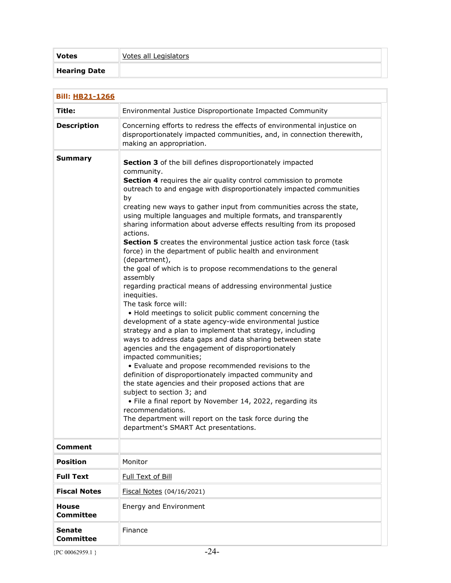| <b>Votes</b>        | Votes all Legislators |  |
|---------------------|-----------------------|--|
| <b>Hearing Date</b> |                       |  |

| <b>Bill: HB21-1266</b>           |                                                                                                                                                                                                                                                                                                                                                                                                                                                                                                                                                                                                                                                                                                                                                                                                                                                                                                                                                                                                                                                                                                                                                                                                                                                                                                                                                                                                                                                                                                                                   |
|----------------------------------|-----------------------------------------------------------------------------------------------------------------------------------------------------------------------------------------------------------------------------------------------------------------------------------------------------------------------------------------------------------------------------------------------------------------------------------------------------------------------------------------------------------------------------------------------------------------------------------------------------------------------------------------------------------------------------------------------------------------------------------------------------------------------------------------------------------------------------------------------------------------------------------------------------------------------------------------------------------------------------------------------------------------------------------------------------------------------------------------------------------------------------------------------------------------------------------------------------------------------------------------------------------------------------------------------------------------------------------------------------------------------------------------------------------------------------------------------------------------------------------------------------------------------------------|
| Title:                           | Environmental Justice Disproportionate Impacted Community                                                                                                                                                                                                                                                                                                                                                                                                                                                                                                                                                                                                                                                                                                                                                                                                                                                                                                                                                                                                                                                                                                                                                                                                                                                                                                                                                                                                                                                                         |
| <b>Description</b>               | Concerning efforts to redress the effects of environmental injustice on<br>disproportionately impacted communities, and, in connection therewith,<br>making an appropriation.                                                                                                                                                                                                                                                                                                                                                                                                                                                                                                                                                                                                                                                                                                                                                                                                                                                                                                                                                                                                                                                                                                                                                                                                                                                                                                                                                     |
| <b>Summary</b>                   | Section 3 of the bill defines disproportionately impacted<br>community.<br>Section 4 requires the air quality control commission to promote<br>outreach to and engage with disproportionately impacted communities<br>by<br>creating new ways to gather input from communities across the state,<br>using multiple languages and multiple formats, and transparently<br>sharing information about adverse effects resulting from its proposed<br>actions.<br>Section 5 creates the environmental justice action task force (task<br>force) in the department of public health and environment<br>(department),<br>the goal of which is to propose recommendations to the general<br>assembly<br>regarding practical means of addressing environmental justice<br>inequities.<br>The task force will:<br>. Hold meetings to solicit public comment concerning the<br>development of a state agency-wide environmental justice<br>strategy and a plan to implement that strategy, including<br>ways to address data gaps and data sharing between state<br>agencies and the engagement of disproportionately<br>impacted communities;<br>• Evaluate and propose recommended revisions to the<br>definition of disproportionately impacted community and<br>the state agencies and their proposed actions that are<br>subject to section 3; and<br>• File a final report by November 14, 2022, regarding its<br>recommendations.<br>The department will report on the task force during the<br>department's SMART Act presentations. |
| <b>Comment</b>                   |                                                                                                                                                                                                                                                                                                                                                                                                                                                                                                                                                                                                                                                                                                                                                                                                                                                                                                                                                                                                                                                                                                                                                                                                                                                                                                                                                                                                                                                                                                                                   |
| <b>Position</b>                  | Monitor                                                                                                                                                                                                                                                                                                                                                                                                                                                                                                                                                                                                                                                                                                                                                                                                                                                                                                                                                                                                                                                                                                                                                                                                                                                                                                                                                                                                                                                                                                                           |
| <b>Full Text</b>                 | Full Text of Bill                                                                                                                                                                                                                                                                                                                                                                                                                                                                                                                                                                                                                                                                                                                                                                                                                                                                                                                                                                                                                                                                                                                                                                                                                                                                                                                                                                                                                                                                                                                 |
| <b>Fiscal Notes</b>              | Fiscal Notes (04/16/2021)                                                                                                                                                                                                                                                                                                                                                                                                                                                                                                                                                                                                                                                                                                                                                                                                                                                                                                                                                                                                                                                                                                                                                                                                                                                                                                                                                                                                                                                                                                         |
| <b>House</b><br><b>Committee</b> | Energy and Environment                                                                                                                                                                                                                                                                                                                                                                                                                                                                                                                                                                                                                                                                                                                                                                                                                                                                                                                                                                                                                                                                                                                                                                                                                                                                                                                                                                                                                                                                                                            |
| <b>Senate</b><br>Committee       | Finance                                                                                                                                                                                                                                                                                                                                                                                                                                                                                                                                                                                                                                                                                                                                                                                                                                                                                                                                                                                                                                                                                                                                                                                                                                                                                                                                                                                                                                                                                                                           |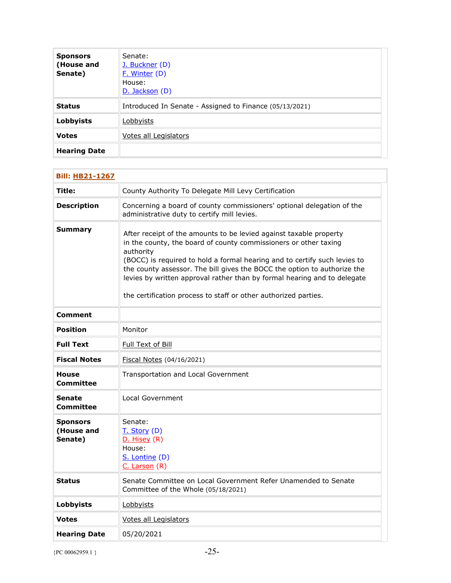| <b>Sponsors</b><br>(House and<br>Senate) | Senate:<br>J. Buckner (D)<br>F. Winter (D)<br>House:<br>D. Jackson (D) |
|------------------------------------------|------------------------------------------------------------------------|
| <b>Status</b>                            | Introduced In Senate - Assigned to Finance (05/13/2021)                |
| Lobbyists                                | <b>Lobbyists</b>                                                       |
| <b>Votes</b>                             | Votes all Legislators                                                  |
| <b>Hearing Date</b>                      |                                                                        |

| <b>Bill: HB21-1267</b>                   |                                                                                                                                                                                                                                                                                                                                                                                                                                                             |
|------------------------------------------|-------------------------------------------------------------------------------------------------------------------------------------------------------------------------------------------------------------------------------------------------------------------------------------------------------------------------------------------------------------------------------------------------------------------------------------------------------------|
| Title:                                   | County Authority To Delegate Mill Levy Certification                                                                                                                                                                                                                                                                                                                                                                                                        |
| <b>Description</b>                       | Concerning a board of county commissioners' optional delegation of the<br>administrative duty to certify mill levies.                                                                                                                                                                                                                                                                                                                                       |
| Summary                                  | After receipt of the amounts to be levied against taxable property<br>in the county, the board of county commissioners or other taxing<br>authority<br>(BOCC) is required to hold a formal hearing and to certify such levies to<br>the county assessor. The bill gives the BOCC the option to authorize the<br>levies by written approval rather than by formal hearing and to delegate<br>the certification process to staff or other authorized parties. |
| Comment                                  |                                                                                                                                                                                                                                                                                                                                                                                                                                                             |
| <b>Position</b>                          | Monitor                                                                                                                                                                                                                                                                                                                                                                                                                                                     |
| <b>Full Text</b>                         | Full Text of Bill                                                                                                                                                                                                                                                                                                                                                                                                                                           |
| <b>Fiscal Notes</b>                      | Fiscal Notes (04/16/2021)                                                                                                                                                                                                                                                                                                                                                                                                                                   |
| House<br>Committee                       | Transportation and Local Government                                                                                                                                                                                                                                                                                                                                                                                                                         |
| Senate<br>Committee                      | <b>Local Government</b>                                                                                                                                                                                                                                                                                                                                                                                                                                     |
| <b>Sponsors</b><br>(House and<br>Senate) | Senate:<br>T. Story (D)<br>D. Hisey (R)<br>House:<br>S. Lontine (D)<br>C. Larson (R)                                                                                                                                                                                                                                                                                                                                                                        |
| Status                                   | Senate Committee on Local Government Refer Unamended to Senate<br>Committee of the Whole (05/18/2021)                                                                                                                                                                                                                                                                                                                                                       |
| <b>Lobbyists</b>                         | Lobbyists                                                                                                                                                                                                                                                                                                                                                                                                                                                   |
| Votes                                    | Votes all Legislators                                                                                                                                                                                                                                                                                                                                                                                                                                       |
| <b>Hearing Date</b>                      | 05/20/2021                                                                                                                                                                                                                                                                                                                                                                                                                                                  |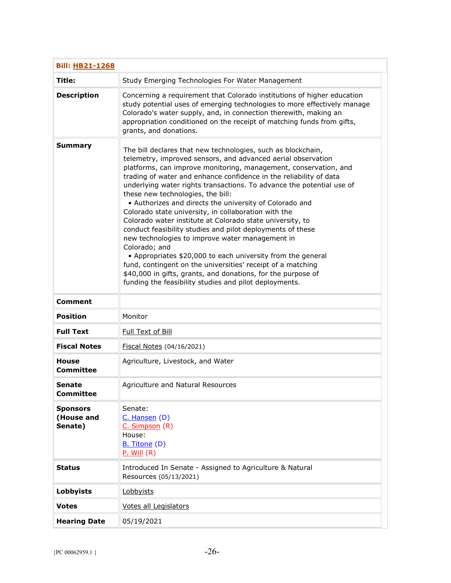| <b>Bill: HB21-1268</b>                   |                                                                                                                                                                                                                                                                                                                                                                                                                                                                                                                                                                                                                                                                                                                                                                                                                                                                                                                                                                |
|------------------------------------------|----------------------------------------------------------------------------------------------------------------------------------------------------------------------------------------------------------------------------------------------------------------------------------------------------------------------------------------------------------------------------------------------------------------------------------------------------------------------------------------------------------------------------------------------------------------------------------------------------------------------------------------------------------------------------------------------------------------------------------------------------------------------------------------------------------------------------------------------------------------------------------------------------------------------------------------------------------------|
| Title:                                   | Study Emerging Technologies For Water Management                                                                                                                                                                                                                                                                                                                                                                                                                                                                                                                                                                                                                                                                                                                                                                                                                                                                                                               |
| <b>Description</b>                       | Concerning a requirement that Colorado institutions of higher education<br>study potential uses of emerging technologies to more effectively manage<br>Colorado's water supply, and, in connection therewith, making an<br>appropriation conditioned on the receipt of matching funds from gifts,<br>grants, and donations.                                                                                                                                                                                                                                                                                                                                                                                                                                                                                                                                                                                                                                    |
| <b>Summary</b>                           | The bill declares that new technologies, such as blockchain,<br>telemetry, improved sensors, and advanced aerial observation<br>platforms, can improve monitoring, management, conservation, and<br>trading of water and enhance confidence in the reliability of data<br>underlying water rights transactions. To advance the potential use of<br>these new technologies, the bill:<br>• Authorizes and directs the university of Colorado and<br>Colorado state university, in collaboration with the<br>Colorado water institute at Colorado state university, to<br>conduct feasibility studies and pilot deployments of these<br>new technologies to improve water management in<br>Colorado; and<br>• Appropriates \$20,000 to each university from the general<br>fund, contingent on the universities' receipt of a matching<br>\$40,000 in gifts, grants, and donations, for the purpose of<br>funding the feasibility studies and pilot deployments. |
| <b>Comment</b>                           |                                                                                                                                                                                                                                                                                                                                                                                                                                                                                                                                                                                                                                                                                                                                                                                                                                                                                                                                                                |
| <b>Position</b>                          | Monitor                                                                                                                                                                                                                                                                                                                                                                                                                                                                                                                                                                                                                                                                                                                                                                                                                                                                                                                                                        |
| <b>Full Text</b>                         | Full Text of Bill                                                                                                                                                                                                                                                                                                                                                                                                                                                                                                                                                                                                                                                                                                                                                                                                                                                                                                                                              |
| <b>Fiscal Notes</b>                      | Fiscal Notes (04/16/2021)                                                                                                                                                                                                                                                                                                                                                                                                                                                                                                                                                                                                                                                                                                                                                                                                                                                                                                                                      |
| <b>House</b><br><b>Committee</b>         | Agriculture, Livestock, and Water                                                                                                                                                                                                                                                                                                                                                                                                                                                                                                                                                                                                                                                                                                                                                                                                                                                                                                                              |
| Senate<br><b>Committee</b>               | Agriculture and Natural Resources                                                                                                                                                                                                                                                                                                                                                                                                                                                                                                                                                                                                                                                                                                                                                                                                                                                                                                                              |
| <b>Sponsors</b><br>(House and<br>Senate) | Senate:<br>$C.$ Hansen $(D)$<br>C. Simpson (R)<br>House:<br>B. Titone (D)<br>$P.$ Will $(R)$                                                                                                                                                                                                                                                                                                                                                                                                                                                                                                                                                                                                                                                                                                                                                                                                                                                                   |
| <b>Status</b>                            | Introduced In Senate - Assigned to Agriculture & Natural<br>Resources (05/13/2021)                                                                                                                                                                                                                                                                                                                                                                                                                                                                                                                                                                                                                                                                                                                                                                                                                                                                             |
| Lobbyists                                | Lobbyists                                                                                                                                                                                                                                                                                                                                                                                                                                                                                                                                                                                                                                                                                                                                                                                                                                                                                                                                                      |
| <b>Votes</b>                             | <b>Votes all Legislators</b>                                                                                                                                                                                                                                                                                                                                                                                                                                                                                                                                                                                                                                                                                                                                                                                                                                                                                                                                   |
| <b>Hearing Date</b>                      | 05/19/2021                                                                                                                                                                                                                                                                                                                                                                                                                                                                                                                                                                                                                                                                                                                                                                                                                                                                                                                                                     |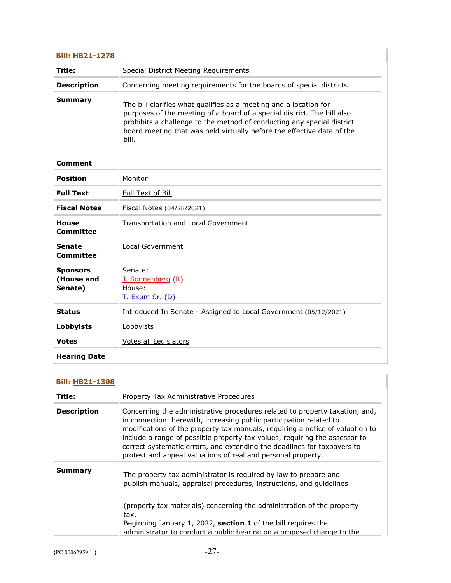| <b>Bill: HB21-1278</b>                   |                                                                                                                                                                                                                                                                                                           |
|------------------------------------------|-----------------------------------------------------------------------------------------------------------------------------------------------------------------------------------------------------------------------------------------------------------------------------------------------------------|
| Title:                                   | Special District Meeting Requirements                                                                                                                                                                                                                                                                     |
| <b>Description</b>                       | Concerning meeting requirements for the boards of special districts.                                                                                                                                                                                                                                      |
| <b>Summary</b>                           | The bill clarifies what qualifies as a meeting and a location for<br>purposes of the meeting of a board of a special district. The bill also<br>prohibits a challenge to the method of conducting any special district<br>board meeting that was held virtually before the effective date of the<br>bill. |
| <b>Comment</b>                           |                                                                                                                                                                                                                                                                                                           |
| <b>Position</b>                          | Monitor                                                                                                                                                                                                                                                                                                   |
| <b>Full Text</b>                         | Full Text of Bill                                                                                                                                                                                                                                                                                         |
| <b>Fiscal Notes</b>                      | Fiscal Notes (04/28/2021)                                                                                                                                                                                                                                                                                 |
| <b>House</b><br><b>Committee</b>         | Transportation and Local Government                                                                                                                                                                                                                                                                       |
| <b>Senate</b><br><b>Committee</b>        | Local Government                                                                                                                                                                                                                                                                                          |
| <b>Sponsors</b><br>(House and<br>Senate) | Senate:<br>J. Sonnenberg (R)<br>House:<br><b>T. Exum Sr. (D)</b>                                                                                                                                                                                                                                          |
| <b>Status</b>                            | Introduced In Senate - Assigned to Local Government (05/12/2021)                                                                                                                                                                                                                                          |
| Lobbyists                                | Lobbyists                                                                                                                                                                                                                                                                                                 |
| <b>Votes</b>                             | Votes all Legislators                                                                                                                                                                                                                                                                                     |
| <b>Hearing Date</b>                      |                                                                                                                                                                                                                                                                                                           |

| <b>Bill: HB21-1308</b> |                                                                                                                                                                                                                                                                                                                                                                                                                                                              |
|------------------------|--------------------------------------------------------------------------------------------------------------------------------------------------------------------------------------------------------------------------------------------------------------------------------------------------------------------------------------------------------------------------------------------------------------------------------------------------------------|
| Title:                 | Property Tax Administrative Procedures                                                                                                                                                                                                                                                                                                                                                                                                                       |
| <b>Description</b>     | Concerning the administrative procedures related to property taxation, and,<br>in connection therewith, increasing public participation related to<br>modifications of the property tax manuals, requiring a notice of valuation to<br>include a range of possible property tax values, requiring the assessor to<br>correct systematic errors, and extending the deadlines for taxpayers to<br>protest and appeal valuations of real and personal property. |
| <b>Summary</b>         | The property tax administrator is required by law to prepare and<br>publish manuals, appraisal procedures, instructions, and guidelines                                                                                                                                                                                                                                                                                                                      |
|                        | (property tax materials) concerning the administration of the property<br>tax.<br>Beginning January 1, 2022, section 1 of the bill requires the<br>administrator to conduct a public hearing on a proposed change to the                                                                                                                                                                                                                                     |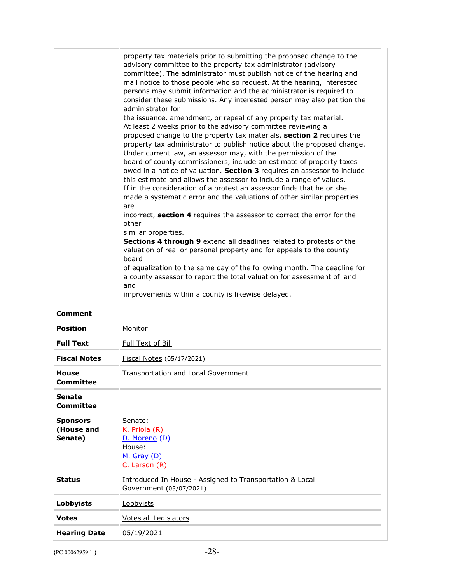|                                          | property tax materials prior to submitting the proposed change to the<br>advisory committee to the property tax administrator (advisory<br>committee). The administrator must publish notice of the hearing and<br>mail notice to those people who so request. At the hearing, interested<br>persons may submit information and the administrator is required to<br>consider these submissions. Any interested person may also petition the<br>administrator for<br>the issuance, amendment, or repeal of any property tax material.<br>At least 2 weeks prior to the advisory committee reviewing a<br>proposed change to the property tax materials, section 2 requires the<br>property tax administrator to publish notice about the proposed change.<br>Under current law, an assessor may, with the permission of the<br>board of county commissioners, include an estimate of property taxes<br>owed in a notice of valuation. Section 3 requires an assessor to include<br>this estimate and allows the assessor to include a range of values.<br>If in the consideration of a protest an assessor finds that he or she<br>made a systematic error and the valuations of other similar properties<br>are<br>incorrect, section 4 requires the assessor to correct the error for the<br>other<br>similar properties.<br>Sections 4 through 9 extend all deadlines related to protests of the<br>valuation of real or personal property and for appeals to the county<br>board<br>of equalization to the same day of the following month. The deadline for<br>a county assessor to report the total valuation for assessment of land<br>and<br>improvements within a county is likewise delayed. |
|------------------------------------------|-------------------------------------------------------------------------------------------------------------------------------------------------------------------------------------------------------------------------------------------------------------------------------------------------------------------------------------------------------------------------------------------------------------------------------------------------------------------------------------------------------------------------------------------------------------------------------------------------------------------------------------------------------------------------------------------------------------------------------------------------------------------------------------------------------------------------------------------------------------------------------------------------------------------------------------------------------------------------------------------------------------------------------------------------------------------------------------------------------------------------------------------------------------------------------------------------------------------------------------------------------------------------------------------------------------------------------------------------------------------------------------------------------------------------------------------------------------------------------------------------------------------------------------------------------------------------------------------------------------------------------------------------------------------------------------------------------|
| <b>Comment</b>                           |                                                                                                                                                                                                                                                                                                                                                                                                                                                                                                                                                                                                                                                                                                                                                                                                                                                                                                                                                                                                                                                                                                                                                                                                                                                                                                                                                                                                                                                                                                                                                                                                                                                                                                       |
| <b>Position</b>                          | Monitor                                                                                                                                                                                                                                                                                                                                                                                                                                                                                                                                                                                                                                                                                                                                                                                                                                                                                                                                                                                                                                                                                                                                                                                                                                                                                                                                                                                                                                                                                                                                                                                                                                                                                               |
| <b>Full Text</b>                         | Full Text of Bill                                                                                                                                                                                                                                                                                                                                                                                                                                                                                                                                                                                                                                                                                                                                                                                                                                                                                                                                                                                                                                                                                                                                                                                                                                                                                                                                                                                                                                                                                                                                                                                                                                                                                     |
| <b>Fiscal Notes</b>                      | Fiscal Notes (05/17/2021)                                                                                                                                                                                                                                                                                                                                                                                                                                                                                                                                                                                                                                                                                                                                                                                                                                                                                                                                                                                                                                                                                                                                                                                                                                                                                                                                                                                                                                                                                                                                                                                                                                                                             |
| House<br><b>Committee</b>                | Transportation and Local Government                                                                                                                                                                                                                                                                                                                                                                                                                                                                                                                                                                                                                                                                                                                                                                                                                                                                                                                                                                                                                                                                                                                                                                                                                                                                                                                                                                                                                                                                                                                                                                                                                                                                   |
| <b>Senate</b><br><b>Committee</b>        |                                                                                                                                                                                                                                                                                                                                                                                                                                                                                                                                                                                                                                                                                                                                                                                                                                                                                                                                                                                                                                                                                                                                                                                                                                                                                                                                                                                                                                                                                                                                                                                                                                                                                                       |
| <b>Sponsors</b><br>(House and<br>Senate) | Senate:<br>K. Priola (R)<br>D. Moreno (D)<br>House:<br>$M.$ Gray (D)<br>C. Larson (R)                                                                                                                                                                                                                                                                                                                                                                                                                                                                                                                                                                                                                                                                                                                                                                                                                                                                                                                                                                                                                                                                                                                                                                                                                                                                                                                                                                                                                                                                                                                                                                                                                 |
| Status                                   | Introduced In House - Assigned to Transportation & Local<br>Government (05/07/2021)                                                                                                                                                                                                                                                                                                                                                                                                                                                                                                                                                                                                                                                                                                                                                                                                                                                                                                                                                                                                                                                                                                                                                                                                                                                                                                                                                                                                                                                                                                                                                                                                                   |
| Lobbyists                                | Lobbyists                                                                                                                                                                                                                                                                                                                                                                                                                                                                                                                                                                                                                                                                                                                                                                                                                                                                                                                                                                                                                                                                                                                                                                                                                                                                                                                                                                                                                                                                                                                                                                                                                                                                                             |
| <b>Votes</b>                             | Votes all Legislators                                                                                                                                                                                                                                                                                                                                                                                                                                                                                                                                                                                                                                                                                                                                                                                                                                                                                                                                                                                                                                                                                                                                                                                                                                                                                                                                                                                                                                                                                                                                                                                                                                                                                 |
| <b>Hearing Date</b>                      | 05/19/2021                                                                                                                                                                                                                                                                                                                                                                                                                                                                                                                                                                                                                                                                                                                                                                                                                                                                                                                                                                                                                                                                                                                                                                                                                                                                                                                                                                                                                                                                                                                                                                                                                                                                                            |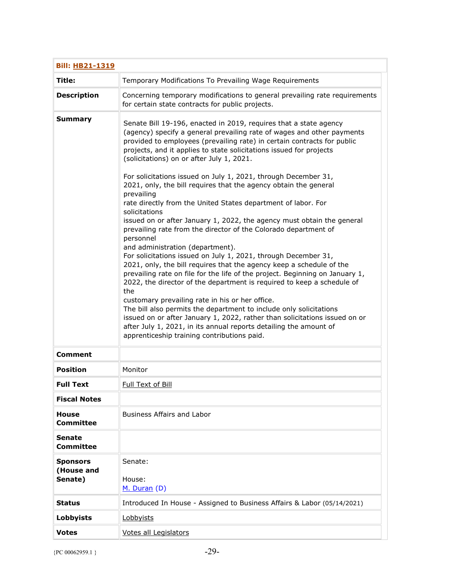| <b>Bill: HB21-1319</b>                   |                                                                                                                                                                                                                                                                                                                                                                                                                                                                                                                                                                                                                                                                                                                                                                                                                                                                                                                                                                                                                                                                                                                                                                                                                                                                                                                                                                                                                      |  |
|------------------------------------------|----------------------------------------------------------------------------------------------------------------------------------------------------------------------------------------------------------------------------------------------------------------------------------------------------------------------------------------------------------------------------------------------------------------------------------------------------------------------------------------------------------------------------------------------------------------------------------------------------------------------------------------------------------------------------------------------------------------------------------------------------------------------------------------------------------------------------------------------------------------------------------------------------------------------------------------------------------------------------------------------------------------------------------------------------------------------------------------------------------------------------------------------------------------------------------------------------------------------------------------------------------------------------------------------------------------------------------------------------------------------------------------------------------------------|--|
| Title:                                   | Temporary Modifications To Prevailing Wage Requirements                                                                                                                                                                                                                                                                                                                                                                                                                                                                                                                                                                                                                                                                                                                                                                                                                                                                                                                                                                                                                                                                                                                                                                                                                                                                                                                                                              |  |
| <b>Description</b>                       | Concerning temporary modifications to general prevailing rate requirements<br>for certain state contracts for public projects.                                                                                                                                                                                                                                                                                                                                                                                                                                                                                                                                                                                                                                                                                                                                                                                                                                                                                                                                                                                                                                                                                                                                                                                                                                                                                       |  |
| <b>Summary</b>                           | Senate Bill 19-196, enacted in 2019, requires that a state agency<br>(agency) specify a general prevailing rate of wages and other payments<br>provided to employees (prevailing rate) in certain contracts for public<br>projects, and it applies to state solicitations issued for projects<br>(solicitations) on or after July 1, 2021.<br>For solicitations issued on July 1, 2021, through December 31,<br>2021, only, the bill requires that the agency obtain the general<br>prevailing<br>rate directly from the United States department of labor. For<br>solicitations<br>issued on or after January 1, 2022, the agency must obtain the general<br>prevailing rate from the director of the Colorado department of<br>personnel<br>and administration (department).<br>For solicitations issued on July 1, 2021, through December 31,<br>2021, only, the bill requires that the agency keep a schedule of the<br>prevailing rate on file for the life of the project. Beginning on January 1,<br>2022, the director of the department is required to keep a schedule of<br>the<br>customary prevailing rate in his or her office.<br>The bill also permits the department to include only solicitations<br>issued on or after January 1, 2022, rather than solicitations issued on or<br>after July 1, 2021, in its annual reports detailing the amount of<br>apprenticeship training contributions paid. |  |
| <b>Comment</b>                           |                                                                                                                                                                                                                                                                                                                                                                                                                                                                                                                                                                                                                                                                                                                                                                                                                                                                                                                                                                                                                                                                                                                                                                                                                                                                                                                                                                                                                      |  |
| <b>Position</b>                          | Monitor                                                                                                                                                                                                                                                                                                                                                                                                                                                                                                                                                                                                                                                                                                                                                                                                                                                                                                                                                                                                                                                                                                                                                                                                                                                                                                                                                                                                              |  |
| <b>Full Text</b>                         | <b>Full Text of Bill</b>                                                                                                                                                                                                                                                                                                                                                                                                                                                                                                                                                                                                                                                                                                                                                                                                                                                                                                                                                                                                                                                                                                                                                                                                                                                                                                                                                                                             |  |
| <b>Fiscal Notes</b>                      |                                                                                                                                                                                                                                                                                                                                                                                                                                                                                                                                                                                                                                                                                                                                                                                                                                                                                                                                                                                                                                                                                                                                                                                                                                                                                                                                                                                                                      |  |
| <b>House</b><br><b>Committee</b>         | <b>Business Affairs and Labor</b>                                                                                                                                                                                                                                                                                                                                                                                                                                                                                                                                                                                                                                                                                                                                                                                                                                                                                                                                                                                                                                                                                                                                                                                                                                                                                                                                                                                    |  |
| <b>Senate</b><br><b>Committee</b>        |                                                                                                                                                                                                                                                                                                                                                                                                                                                                                                                                                                                                                                                                                                                                                                                                                                                                                                                                                                                                                                                                                                                                                                                                                                                                                                                                                                                                                      |  |
| <b>Sponsors</b><br>(House and<br>Senate) | Senate:<br>House:<br>M. Duran (D)                                                                                                                                                                                                                                                                                                                                                                                                                                                                                                                                                                                                                                                                                                                                                                                                                                                                                                                                                                                                                                                                                                                                                                                                                                                                                                                                                                                    |  |
| Status                                   | Introduced In House - Assigned to Business Affairs & Labor (05/14/2021)                                                                                                                                                                                                                                                                                                                                                                                                                                                                                                                                                                                                                                                                                                                                                                                                                                                                                                                                                                                                                                                                                                                                                                                                                                                                                                                                              |  |
| <b>Lobbyists</b>                         | Lobbyists                                                                                                                                                                                                                                                                                                                                                                                                                                                                                                                                                                                                                                                                                                                                                                                                                                                                                                                                                                                                                                                                                                                                                                                                                                                                                                                                                                                                            |  |
| <b>Votes</b>                             | <b>Votes all Legislators</b>                                                                                                                                                                                                                                                                                                                                                                                                                                                                                                                                                                                                                                                                                                                                                                                                                                                                                                                                                                                                                                                                                                                                                                                                                                                                                                                                                                                         |  |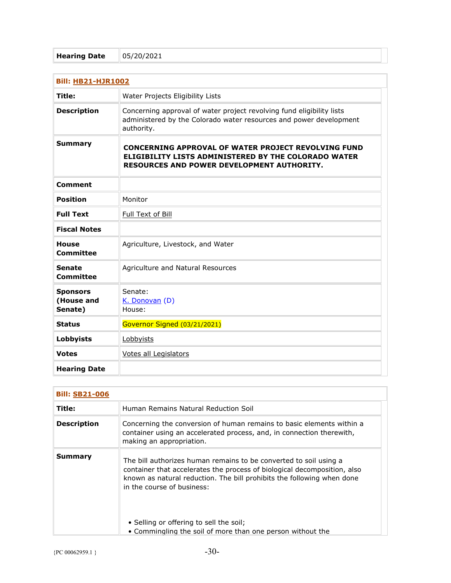| <b>Bill: HB21-HJR1002</b>                |                                                                                                                                                                         |
|------------------------------------------|-------------------------------------------------------------------------------------------------------------------------------------------------------------------------|
| Title:                                   | Water Projects Eligibility Lists                                                                                                                                        |
| <b>Description</b>                       | Concerning approval of water project revolving fund eligibility lists<br>administered by the Colorado water resources and power development<br>authority.               |
| <b>Summary</b>                           | <b>CONCERNING APPROVAL OF WATER PROJECT REVOLVING FUND</b><br><b>ELIGIBILITY LISTS ADMINISTERED BY THE COLORADO WATER</b><br>RESOURCES AND POWER DEVELOPMENT AUTHORITY. |
| <b>Comment</b>                           |                                                                                                                                                                         |
| <b>Position</b>                          | Monitor                                                                                                                                                                 |
| <b>Full Text</b>                         | Full Text of Bill                                                                                                                                                       |
| <b>Fiscal Notes</b>                      |                                                                                                                                                                         |
| <b>House</b><br>Committee                | Agriculture, Livestock, and Water                                                                                                                                       |
| <b>Senate</b><br>Committee               | Agriculture and Natural Resources                                                                                                                                       |
| <b>Sponsors</b><br>(House and<br>Senate) | Senate:<br>K. Donovan (D)<br>House:                                                                                                                                     |
| <b>Status</b>                            | Governor Signed (03/21/2021)                                                                                                                                            |
| Lobbyists                                | Lobbyists                                                                                                                                                               |
| <b>Votes</b>                             | <b>Votes all Legislators</b>                                                                                                                                            |
| <b>Hearing Date</b>                      |                                                                                                                                                                         |

| <b>Bill: SB21-006</b> |                                                                                                                                                                                                                                                       |
|-----------------------|-------------------------------------------------------------------------------------------------------------------------------------------------------------------------------------------------------------------------------------------------------|
| Title:                | Human Remains Natural Reduction Soil                                                                                                                                                                                                                  |
| <b>Description</b>    | Concerning the conversion of human remains to basic elements within a<br>container using an accelerated process, and, in connection therewith,<br>making an appropriation.                                                                            |
| Summary               | The bill authorizes human remains to be converted to soil using a<br>container that accelerates the process of biological decomposition, also<br>known as natural reduction. The bill prohibits the following when done<br>in the course of business: |
|                       | • Selling or offering to sell the soil;<br>• Commingling the soil of more than one person without the                                                                                                                                                 |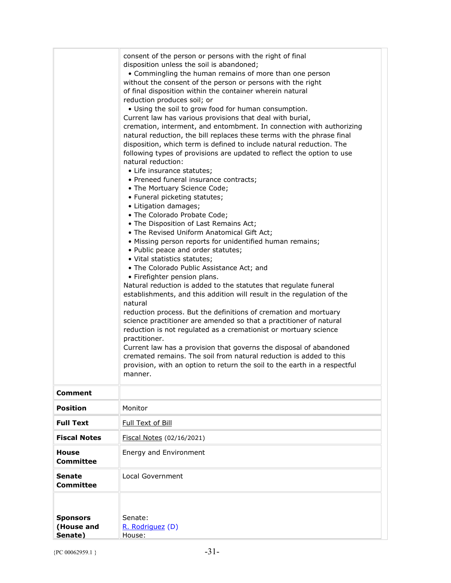|                                          | consent of the person or persons with the right of final<br>disposition unless the soil is abandoned;<br>• Commingling the human remains of more than one person<br>without the consent of the person or persons with the right<br>of final disposition within the container wherein natural<br>reduction produces soil; or<br>. Using the soil to grow food for human consumption.<br>Current law has various provisions that deal with burial,<br>cremation, interment, and entombment. In connection with authorizing<br>natural reduction, the bill replaces these terms with the phrase final<br>disposition, which term is defined to include natural reduction. The<br>following types of provisions are updated to reflect the option to use<br>natural reduction:<br>• Life insurance statutes;<br>• Preneed funeral insurance contracts;<br>• The Mortuary Science Code;<br>• Funeral picketing statutes;<br>• Litigation damages;<br>• The Colorado Probate Code;<br>• The Disposition of Last Remains Act;<br>. The Revised Uniform Anatomical Gift Act;<br>• Missing person reports for unidentified human remains;<br>• Public peace and order statutes;<br>· Vital statistics statutes;<br>• The Colorado Public Assistance Act; and<br>• Firefighter pension plans.<br>Natural reduction is added to the statutes that regulate funeral<br>establishments, and this addition will result in the regulation of the<br>natural<br>reduction process. But the definitions of cremation and mortuary<br>science practitioner are amended so that a practitioner of natural<br>reduction is not regulated as a cremationist or mortuary science<br>practitioner.<br>Current law has a provision that governs the disposal of abandoned<br>cremated remains. The soil from natural reduction is added to this<br>provision, with an option to return the soil to the earth in a respectful<br>manner. |
|------------------------------------------|-----------------------------------------------------------------------------------------------------------------------------------------------------------------------------------------------------------------------------------------------------------------------------------------------------------------------------------------------------------------------------------------------------------------------------------------------------------------------------------------------------------------------------------------------------------------------------------------------------------------------------------------------------------------------------------------------------------------------------------------------------------------------------------------------------------------------------------------------------------------------------------------------------------------------------------------------------------------------------------------------------------------------------------------------------------------------------------------------------------------------------------------------------------------------------------------------------------------------------------------------------------------------------------------------------------------------------------------------------------------------------------------------------------------------------------------------------------------------------------------------------------------------------------------------------------------------------------------------------------------------------------------------------------------------------------------------------------------------------------------------------------------------------------------------------------------------------------------------------------------------------------------------------------------|
| <b>Comment</b>                           |                                                                                                                                                                                                                                                                                                                                                                                                                                                                                                                                                                                                                                                                                                                                                                                                                                                                                                                                                                                                                                                                                                                                                                                                                                                                                                                                                                                                                                                                                                                                                                                                                                                                                                                                                                                                                                                                                                                 |
| <b>Position</b>                          | Monitor                                                                                                                                                                                                                                                                                                                                                                                                                                                                                                                                                                                                                                                                                                                                                                                                                                                                                                                                                                                                                                                                                                                                                                                                                                                                                                                                                                                                                                                                                                                                                                                                                                                                                                                                                                                                                                                                                                         |
| <b>Full Text</b>                         | Full Text of Bill                                                                                                                                                                                                                                                                                                                                                                                                                                                                                                                                                                                                                                                                                                                                                                                                                                                                                                                                                                                                                                                                                                                                                                                                                                                                                                                                                                                                                                                                                                                                                                                                                                                                                                                                                                                                                                                                                               |
| <b>Fiscal Notes</b>                      | Fiscal Notes (02/16/2021)                                                                                                                                                                                                                                                                                                                                                                                                                                                                                                                                                                                                                                                                                                                                                                                                                                                                                                                                                                                                                                                                                                                                                                                                                                                                                                                                                                                                                                                                                                                                                                                                                                                                                                                                                                                                                                                                                       |
| <b>House</b><br><b>Committee</b>         | Energy and Environment                                                                                                                                                                                                                                                                                                                                                                                                                                                                                                                                                                                                                                                                                                                                                                                                                                                                                                                                                                                                                                                                                                                                                                                                                                                                                                                                                                                                                                                                                                                                                                                                                                                                                                                                                                                                                                                                                          |
| <b>Senate</b><br>Committee               | Local Government                                                                                                                                                                                                                                                                                                                                                                                                                                                                                                                                                                                                                                                                                                                                                                                                                                                                                                                                                                                                                                                                                                                                                                                                                                                                                                                                                                                                                                                                                                                                                                                                                                                                                                                                                                                                                                                                                                |
| <b>Sponsors</b><br>(House and<br>Senate) | Senate:<br>R. Rodriguez (D)<br>House:                                                                                                                                                                                                                                                                                                                                                                                                                                                                                                                                                                                                                                                                                                                                                                                                                                                                                                                                                                                                                                                                                                                                                                                                                                                                                                                                                                                                                                                                                                                                                                                                                                                                                                                                                                                                                                                                           |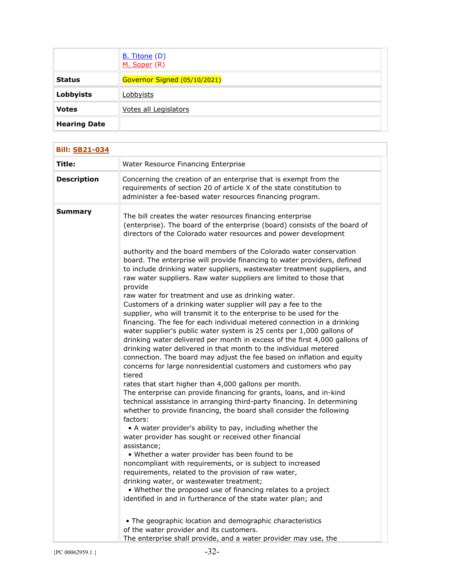|                     | <b>B.</b> Titone (D)<br>M. Soper (R) |
|---------------------|--------------------------------------|
| <b>Status</b>       | Governor Signed (05/10/2021)         |
| <b>Lobbyists</b>    | Lobbyists                            |
| <b>Votes</b>        | Votes all Legislators                |
| <b>Hearing Date</b> |                                      |

| <b>Bill: SB21-034</b> |                                                                                                                                                                                                                                                                                                                                                                                                                                                                                                                                                                                                                                                                                                                                                                                                                                                                                                                                                                                                                                                                                                                                                                                                                                                                                                                                                                                                                                                                                                                                                                                                                                                                                                                                                                                                                                                                                                                                                                                                                                                                                           |
|-----------------------|-------------------------------------------------------------------------------------------------------------------------------------------------------------------------------------------------------------------------------------------------------------------------------------------------------------------------------------------------------------------------------------------------------------------------------------------------------------------------------------------------------------------------------------------------------------------------------------------------------------------------------------------------------------------------------------------------------------------------------------------------------------------------------------------------------------------------------------------------------------------------------------------------------------------------------------------------------------------------------------------------------------------------------------------------------------------------------------------------------------------------------------------------------------------------------------------------------------------------------------------------------------------------------------------------------------------------------------------------------------------------------------------------------------------------------------------------------------------------------------------------------------------------------------------------------------------------------------------------------------------------------------------------------------------------------------------------------------------------------------------------------------------------------------------------------------------------------------------------------------------------------------------------------------------------------------------------------------------------------------------------------------------------------------------------------------------------------------------|
| Title:                | Water Resource Financing Enterprise                                                                                                                                                                                                                                                                                                                                                                                                                                                                                                                                                                                                                                                                                                                                                                                                                                                                                                                                                                                                                                                                                                                                                                                                                                                                                                                                                                                                                                                                                                                                                                                                                                                                                                                                                                                                                                                                                                                                                                                                                                                       |
| <b>Description</b>    | Concerning the creation of an enterprise that is exempt from the<br>requirements of section 20 of article X of the state constitution to<br>administer a fee-based water resources financing program.                                                                                                                                                                                                                                                                                                                                                                                                                                                                                                                                                                                                                                                                                                                                                                                                                                                                                                                                                                                                                                                                                                                                                                                                                                                                                                                                                                                                                                                                                                                                                                                                                                                                                                                                                                                                                                                                                     |
| <b>Summary</b>        | The bill creates the water resources financing enterprise<br>(enterprise). The board of the enterprise (board) consists of the board of<br>directors of the Colorado water resources and power development<br>authority and the board members of the Colorado water conservation<br>board. The enterprise will provide financing to water providers, defined<br>to include drinking water suppliers, wastewater treatment suppliers, and<br>raw water suppliers. Raw water suppliers are limited to those that<br>provide<br>raw water for treatment and use as drinking water.<br>Customers of a drinking water supplier will pay a fee to the<br>supplier, who will transmit it to the enterprise to be used for the<br>financing. The fee for each individual metered connection in a drinking<br>water supplier's public water system is 25 cents per 1,000 gallons of<br>drinking water delivered per month in excess of the first 4,000 gallons of<br>drinking water delivered in that month to the individual metered<br>connection. The board may adjust the fee based on inflation and equity<br>concerns for large nonresidential customers and customers who pay<br>tiered<br>rates that start higher than 4,000 gallons per month.<br>The enterprise can provide financing for grants, loans, and in-kind<br>technical assistance in arranging third-party financing. In determining<br>whether to provide financing, the board shall consider the following<br>factors:<br>• A water provider's ability to pay, including whether the<br>water provider has sought or received other financial<br>assistance;<br>• Whether a water provider has been found to be<br>noncompliant with requirements, or is subject to increased<br>requirements, related to the provision of raw water,<br>drinking water, or wastewater treatment;<br>• Whether the proposed use of financing relates to a project<br>identified in and in furtherance of the state water plan; and<br>• The geographic location and demographic characteristics<br>of the water provider and its customers. |
|                       | The enterprise shall provide, and a water provider may use, the                                                                                                                                                                                                                                                                                                                                                                                                                                                                                                                                                                                                                                                                                                                                                                                                                                                                                                                                                                                                                                                                                                                                                                                                                                                                                                                                                                                                                                                                                                                                                                                                                                                                                                                                                                                                                                                                                                                                                                                                                           |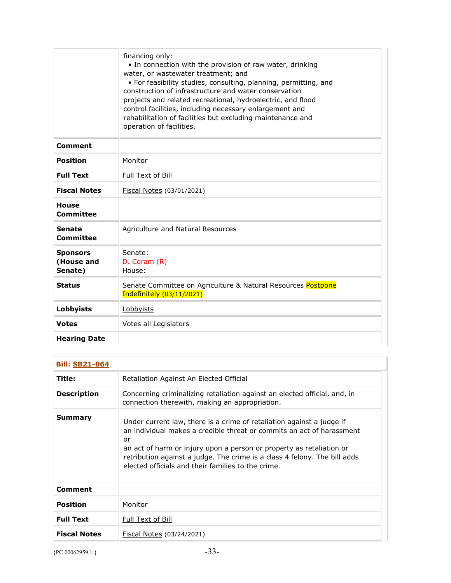|                                          | financing only:<br>• In connection with the provision of raw water, drinking<br>water, or wastewater treatment; and<br>• For feasibility studies, consulting, planning, permitting, and<br>construction of infrastructure and water conservation<br>projects and related recreational, hydroelectric, and flood<br>control facilities, including necessary enlargement and<br>rehabilitation of facilities but excluding maintenance and<br>operation of facilities. |
|------------------------------------------|----------------------------------------------------------------------------------------------------------------------------------------------------------------------------------------------------------------------------------------------------------------------------------------------------------------------------------------------------------------------------------------------------------------------------------------------------------------------|
| <b>Comment</b>                           |                                                                                                                                                                                                                                                                                                                                                                                                                                                                      |
| <b>Position</b>                          | Monitor                                                                                                                                                                                                                                                                                                                                                                                                                                                              |
| <b>Full Text</b>                         | Full Text of Bill                                                                                                                                                                                                                                                                                                                                                                                                                                                    |
| <b>Fiscal Notes</b>                      | Fiscal Notes (03/01/2021)                                                                                                                                                                                                                                                                                                                                                                                                                                            |
| <b>House</b><br>Committee                |                                                                                                                                                                                                                                                                                                                                                                                                                                                                      |
| <b>Senate</b><br><b>Committee</b>        | Agriculture and Natural Resources                                                                                                                                                                                                                                                                                                                                                                                                                                    |
| <b>Sponsors</b><br>(House and<br>Senate) | Senate:<br>D. Coram (R)<br>House:                                                                                                                                                                                                                                                                                                                                                                                                                                    |
| <b>Status</b>                            | Senate Committee on Agriculture & Natural Resources Postpone<br>Indefinitely (03/11/2021)                                                                                                                                                                                                                                                                                                                                                                            |
| Lobbyists                                | Lobbyists                                                                                                                                                                                                                                                                                                                                                                                                                                                            |
| <b>Votes</b>                             | Votes all Legislators                                                                                                                                                                                                                                                                                                                                                                                                                                                |
| <b>Hearing Date</b>                      |                                                                                                                                                                                                                                                                                                                                                                                                                                                                      |

| <b>Bill: SB21-064</b> |                                                                                                                                                                                                                                                                                                                                                                 |
|-----------------------|-----------------------------------------------------------------------------------------------------------------------------------------------------------------------------------------------------------------------------------------------------------------------------------------------------------------------------------------------------------------|
| Title:                | Retaliation Against An Elected Official                                                                                                                                                                                                                                                                                                                         |
| <b>Description</b>    | Concerning criminalizing retaliation against an elected official, and, in<br>connection therewith, making an appropriation.                                                                                                                                                                                                                                     |
| Summary               | Under current law, there is a crime of retaliation against a judge if<br>an individual makes a credible threat or commits an act of harassment<br>or<br>an act of harm or injury upon a person or property as retaliation or<br>retribution against a judge. The crime is a class 4 felony. The bill adds<br>elected officials and their families to the crime. |
| Comment               |                                                                                                                                                                                                                                                                                                                                                                 |
| Position              | Monitor                                                                                                                                                                                                                                                                                                                                                         |
| <b>Full Text</b>      | Full Text of Bill                                                                                                                                                                                                                                                                                                                                               |
| <b>Fiscal Notes</b>   | Fiscal Notes (03/24/2021)                                                                                                                                                                                                                                                                                                                                       |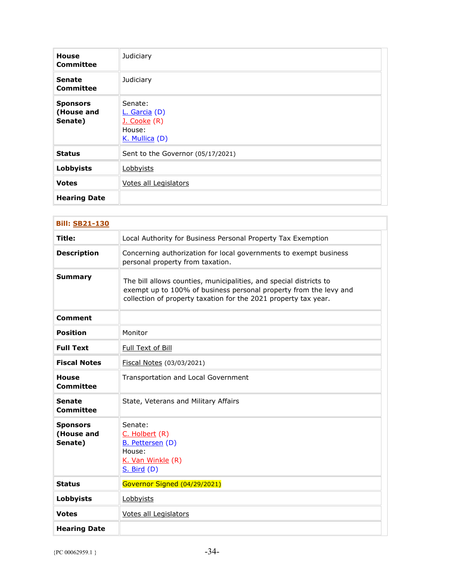| <b>House</b><br><b>Committee</b>         | Judiciary                                                              |
|------------------------------------------|------------------------------------------------------------------------|
| <b>Senate</b><br>Committee               | Judiciary                                                              |
| <b>Sponsors</b><br>(House and<br>Senate) | Senate:<br>$L.$ Garcia (D)<br>J. Cooke (R)<br>House:<br>K. Mullica (D) |
| <b>Status</b>                            | Sent to the Governor (05/17/2021)                                      |
| <b>Lobbyists</b>                         | Lobbyists                                                              |
| <b>Votes</b>                             | Votes all Legislators                                                  |
| <b>Hearing Date</b>                      |                                                                        |

| <b>Bill: SB21-130</b>                    |                                                                                                                                                                                                            |
|------------------------------------------|------------------------------------------------------------------------------------------------------------------------------------------------------------------------------------------------------------|
| Title:                                   | Local Authority for Business Personal Property Tax Exemption                                                                                                                                               |
| <b>Description</b>                       | Concerning authorization for local governments to exempt business<br>personal property from taxation.                                                                                                      |
| <b>Summary</b>                           | The bill allows counties, municipalities, and special districts to<br>exempt up to 100% of business personal property from the levy and<br>collection of property taxation for the 2021 property tax year. |
| Comment                                  |                                                                                                                                                                                                            |
| <b>Position</b>                          | Monitor                                                                                                                                                                                                    |
| <b>Full Text</b>                         | Full Text of Bill                                                                                                                                                                                          |
| <b>Fiscal Notes</b>                      | Fiscal Notes (03/03/2021)                                                                                                                                                                                  |
| <b>House</b><br><b>Committee</b>         | Transportation and Local Government                                                                                                                                                                        |
| <b>Senate</b><br>Committee               | State, Veterans and Military Affairs                                                                                                                                                                       |
| <b>Sponsors</b><br>(House and<br>Senate) | Senate:<br>C. Holbert (R)<br>B. Pettersen (D)<br>House:<br>K. Van Winkle (R)<br>$S.$ Bird $(D)$                                                                                                            |
| <b>Status</b>                            | Governor Signed (04/29/2021)                                                                                                                                                                               |
| <b>Lobbyists</b>                         | Lobbyists                                                                                                                                                                                                  |
| <b>Votes</b>                             | <b>Votes all Legislators</b>                                                                                                                                                                               |
| <b>Hearing Date</b>                      |                                                                                                                                                                                                            |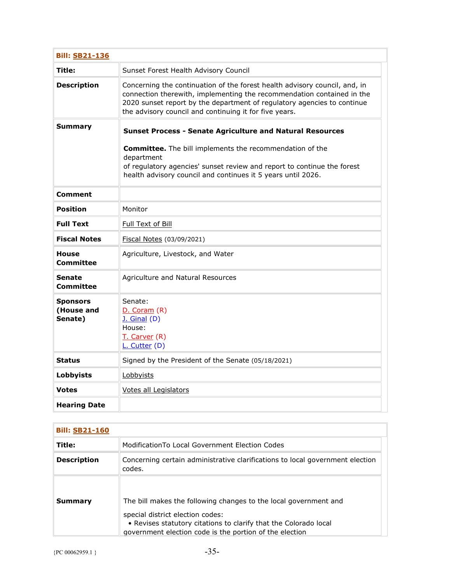| <b>Bill: SB21-136</b>                    |                                                                                                                                                                                                                                                                                           |
|------------------------------------------|-------------------------------------------------------------------------------------------------------------------------------------------------------------------------------------------------------------------------------------------------------------------------------------------|
| Title:                                   | Sunset Forest Health Advisory Council                                                                                                                                                                                                                                                     |
| <b>Description</b>                       | Concerning the continuation of the forest health advisory council, and, in<br>connection therewith, implementing the recommendation contained in the<br>2020 sunset report by the department of regulatory agencies to continue<br>the advisory council and continuing it for five years. |
| Summary                                  | <b>Sunset Process - Senate Agriculture and Natural Resources</b>                                                                                                                                                                                                                          |
|                                          | <b>Committee.</b> The bill implements the recommendation of the<br>department<br>of regulatory agencies' sunset review and report to continue the forest<br>health advisory council and continues it 5 years until 2026.                                                                  |
| Comment                                  |                                                                                                                                                                                                                                                                                           |
| <b>Position</b>                          | Monitor                                                                                                                                                                                                                                                                                   |
| <b>Full Text</b>                         | Full Text of Bill                                                                                                                                                                                                                                                                         |
| <b>Fiscal Notes</b>                      | Fiscal Notes (03/09/2021)                                                                                                                                                                                                                                                                 |
| <b>House</b><br>Committee                | Agriculture, Livestock, and Water                                                                                                                                                                                                                                                         |
| <b>Senate</b><br>Committee               | Agriculture and Natural Resources                                                                                                                                                                                                                                                         |
| <b>Sponsors</b><br>(House and<br>Senate) | Senate:<br>D. Coram (R)<br><b>J. Ginal (D)</b><br>House:<br>T. Carver (R)<br>L. Cutter (D)                                                                                                                                                                                                |
| <b>Status</b>                            | Signed by the President of the Senate (05/18/2021)                                                                                                                                                                                                                                        |
| Lobbyists                                | Lobbyists                                                                                                                                                                                                                                                                                 |
| <b>Votes</b>                             | Votes all Legislators                                                                                                                                                                                                                                                                     |
| <b>Hearing Date</b>                      |                                                                                                                                                                                                                                                                                           |

| <b>Bill: SB21-160</b> |                                                                                                                                                                                                                                     |
|-----------------------|-------------------------------------------------------------------------------------------------------------------------------------------------------------------------------------------------------------------------------------|
| Title:                | ModificationTo Local Government Election Codes                                                                                                                                                                                      |
| <b>Description</b>    | Concerning certain administrative clarifications to local government election<br>codes.                                                                                                                                             |
| Summary               | The bill makes the following changes to the local government and<br>special district election codes:<br>• Revises statutory citations to clarify that the Colorado local<br>government election code is the portion of the election |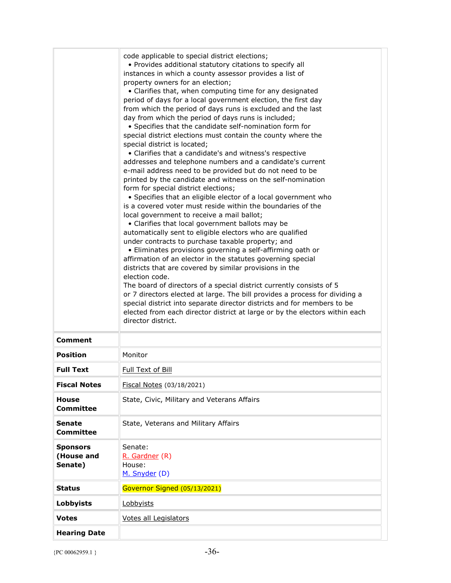|                                          | code applicable to special district elections;<br>• Provides additional statutory citations to specify all<br>instances in which a county assessor provides a list of<br>property owners for an election;<br>• Clarifies that, when computing time for any designated<br>period of days for a local government election, the first day<br>from which the period of days runs is excluded and the last<br>day from which the period of days runs is included;<br>• Specifies that the candidate self-nomination form for<br>special district elections must contain the county where the<br>special district is located;<br>• Clarifies that a candidate's and witness's respective<br>addresses and telephone numbers and a candidate's current<br>e-mail address need to be provided but do not need to be<br>printed by the candidate and witness on the self-nomination<br>form for special district elections;<br>• Specifies that an eligible elector of a local government who<br>is a covered voter must reside within the boundaries of the<br>local government to receive a mail ballot;<br>• Clarifies that local government ballots may be<br>automatically sent to eligible electors who are qualified<br>under contracts to purchase taxable property; and<br>• Eliminates provisions governing a self-affirming oath or<br>affirmation of an elector in the statutes governing special<br>districts that are covered by similar provisions in the<br>election code.<br>The board of directors of a special district currently consists of 5<br>or 7 directors elected at large. The bill provides a process for dividing a<br>special district into separate director districts and for members to be<br>elected from each director district at large or by the electors within each<br>director district. |  |
|------------------------------------------|--------------------------------------------------------------------------------------------------------------------------------------------------------------------------------------------------------------------------------------------------------------------------------------------------------------------------------------------------------------------------------------------------------------------------------------------------------------------------------------------------------------------------------------------------------------------------------------------------------------------------------------------------------------------------------------------------------------------------------------------------------------------------------------------------------------------------------------------------------------------------------------------------------------------------------------------------------------------------------------------------------------------------------------------------------------------------------------------------------------------------------------------------------------------------------------------------------------------------------------------------------------------------------------------------------------------------------------------------------------------------------------------------------------------------------------------------------------------------------------------------------------------------------------------------------------------------------------------------------------------------------------------------------------------------------------------------------------------------------------------------------------------------------------------------------------------------|--|
| Comment<br><b>Position</b>               | Monitor                                                                                                                                                                                                                                                                                                                                                                                                                                                                                                                                                                                                                                                                                                                                                                                                                                                                                                                                                                                                                                                                                                                                                                                                                                                                                                                                                                                                                                                                                                                                                                                                                                                                                                                                                                                                                  |  |
| <b>Full Text</b>                         | <b>Full Text of Bill</b>                                                                                                                                                                                                                                                                                                                                                                                                                                                                                                                                                                                                                                                                                                                                                                                                                                                                                                                                                                                                                                                                                                                                                                                                                                                                                                                                                                                                                                                                                                                                                                                                                                                                                                                                                                                                 |  |
| <b>Fiscal Notes</b>                      | Fiscal Notes (03/18/2021)                                                                                                                                                                                                                                                                                                                                                                                                                                                                                                                                                                                                                                                                                                                                                                                                                                                                                                                                                                                                                                                                                                                                                                                                                                                                                                                                                                                                                                                                                                                                                                                                                                                                                                                                                                                                |  |
| <b>House</b><br><b>Committee</b>         | State, Civic, Military and Veterans Affairs                                                                                                                                                                                                                                                                                                                                                                                                                                                                                                                                                                                                                                                                                                                                                                                                                                                                                                                                                                                                                                                                                                                                                                                                                                                                                                                                                                                                                                                                                                                                                                                                                                                                                                                                                                              |  |
| <b>Senate</b><br><b>Committee</b>        | State, Veterans and Military Affairs                                                                                                                                                                                                                                                                                                                                                                                                                                                                                                                                                                                                                                                                                                                                                                                                                                                                                                                                                                                                                                                                                                                                                                                                                                                                                                                                                                                                                                                                                                                                                                                                                                                                                                                                                                                     |  |
| <b>Sponsors</b><br>(House and<br>Senate) | Senate:<br>R. Gardner (R)<br>House:<br>M. Snyder (D)                                                                                                                                                                                                                                                                                                                                                                                                                                                                                                                                                                                                                                                                                                                                                                                                                                                                                                                                                                                                                                                                                                                                                                                                                                                                                                                                                                                                                                                                                                                                                                                                                                                                                                                                                                     |  |
| <b>Status</b>                            | Governor Signed (05/13/2021)                                                                                                                                                                                                                                                                                                                                                                                                                                                                                                                                                                                                                                                                                                                                                                                                                                                                                                                                                                                                                                                                                                                                                                                                                                                                                                                                                                                                                                                                                                                                                                                                                                                                                                                                                                                             |  |
| <b>Lobbyists</b>                         | Lobbyists                                                                                                                                                                                                                                                                                                                                                                                                                                                                                                                                                                                                                                                                                                                                                                                                                                                                                                                                                                                                                                                                                                                                                                                                                                                                                                                                                                                                                                                                                                                                                                                                                                                                                                                                                                                                                |  |
| <b>Votes</b>                             | Votes all Legislators                                                                                                                                                                                                                                                                                                                                                                                                                                                                                                                                                                                                                                                                                                                                                                                                                                                                                                                                                                                                                                                                                                                                                                                                                                                                                                                                                                                                                                                                                                                                                                                                                                                                                                                                                                                                    |  |
| <b>Hearing Date</b>                      |                                                                                                                                                                                                                                                                                                                                                                                                                                                                                                                                                                                                                                                                                                                                                                                                                                                                                                                                                                                                                                                                                                                                                                                                                                                                                                                                                                                                                                                                                                                                                                                                                                                                                                                                                                                                                          |  |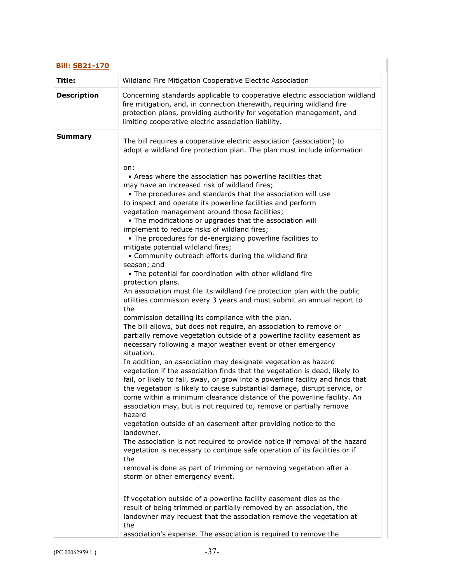| <b>Bill: SB21-170</b> |                                                                                                                                                                                                                                                                                                                                                                                                                                                                                                                                                                                                                                                                                                                                                                                                                                                                                                                                                                                                                                                                                                                                                                                                                                                                                                                                                                                                                                                                                                                                                                                                                                                                                                                                                                                                                                                                                                                                                                                                                                                                                                                                                                                                                                                                                                                                                                                                                                 |
|-----------------------|---------------------------------------------------------------------------------------------------------------------------------------------------------------------------------------------------------------------------------------------------------------------------------------------------------------------------------------------------------------------------------------------------------------------------------------------------------------------------------------------------------------------------------------------------------------------------------------------------------------------------------------------------------------------------------------------------------------------------------------------------------------------------------------------------------------------------------------------------------------------------------------------------------------------------------------------------------------------------------------------------------------------------------------------------------------------------------------------------------------------------------------------------------------------------------------------------------------------------------------------------------------------------------------------------------------------------------------------------------------------------------------------------------------------------------------------------------------------------------------------------------------------------------------------------------------------------------------------------------------------------------------------------------------------------------------------------------------------------------------------------------------------------------------------------------------------------------------------------------------------------------------------------------------------------------------------------------------------------------------------------------------------------------------------------------------------------------------------------------------------------------------------------------------------------------------------------------------------------------------------------------------------------------------------------------------------------------------------------------------------------------------------------------------------------------|
| Title:                | Wildland Fire Mitigation Cooperative Electric Association                                                                                                                                                                                                                                                                                                                                                                                                                                                                                                                                                                                                                                                                                                                                                                                                                                                                                                                                                                                                                                                                                                                                                                                                                                                                                                                                                                                                                                                                                                                                                                                                                                                                                                                                                                                                                                                                                                                                                                                                                                                                                                                                                                                                                                                                                                                                                                       |
| <b>Description</b>    | Concerning standards applicable to cooperative electric association wildland<br>fire mitigation, and, in connection therewith, requiring wildland fire<br>protection plans, providing authority for vegetation management, and<br>limiting cooperative electric association liability.                                                                                                                                                                                                                                                                                                                                                                                                                                                                                                                                                                                                                                                                                                                                                                                                                                                                                                                                                                                                                                                                                                                                                                                                                                                                                                                                                                                                                                                                                                                                                                                                                                                                                                                                                                                                                                                                                                                                                                                                                                                                                                                                          |
| <b>Summary</b>        | The bill requires a cooperative electric association (association) to<br>adopt a wildland fire protection plan. The plan must include information<br>on:<br>• Areas where the association has powerline facilities that<br>may have an increased risk of wildland fires;<br>. The procedures and standards that the association will use<br>to inspect and operate its powerline facilities and perform<br>vegetation management around those facilities;<br>• The modifications or upgrades that the association will<br>implement to reduce risks of wildland fires;<br>• The procedures for de-energizing powerline facilities to<br>mitigate potential wildland fires;<br>• Community outreach efforts during the wildland fire<br>season; and<br>• The potential for coordination with other wildland fire<br>protection plans.<br>An association must file its wildland fire protection plan with the public<br>utilities commission every 3 years and must submit an annual report to<br>the<br>commission detailing its compliance with the plan.<br>The bill allows, but does not require, an association to remove or<br>partially remove vegetation outside of a powerline facility easement as<br>necessary following a major weather event or other emergency<br>situation.<br>In addition, an association may designate vegetation as hazard<br>vegetation if the association finds that the vegetation is dead, likely to<br>fail, or likely to fall, sway, or grow into a powerline facility and finds that<br>the vegetation is likely to cause substantial damage, disrupt service, or<br>come within a minimum clearance distance of the powerline facility. An<br>association may, but is not required to, remove or partially remove<br>hazard<br>vegetation outside of an easement after providing notice to the<br>landowner.<br>The association is not required to provide notice if removal of the hazard<br>vegetation is necessary to continue safe operation of its facilities or if<br>the<br>removal is done as part of trimming or removing vegetation after a<br>storm or other emergency event.<br>If vegetation outside of a powerline facility easement dies as the<br>result of being trimmed or partially removed by an association, the<br>landowner may request that the association remove the vegetation at<br>the<br>association's expense. The association is required to remove the |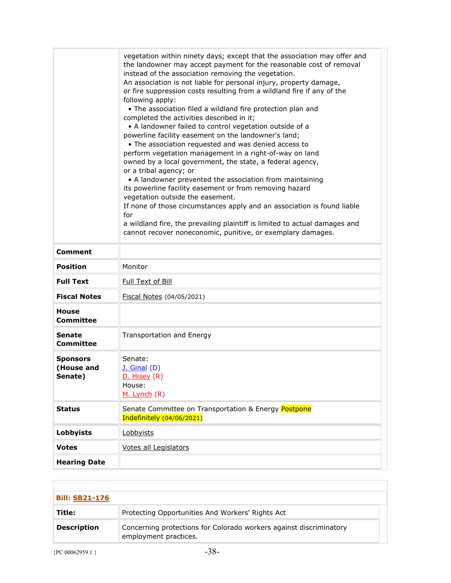|                                          | vegetation within ninety days; except that the association may offer and<br>the landowner may accept payment for the reasonable cost of removal<br>instead of the association removing the vegetation.<br>An association is not liable for personal injury, property damage,<br>or fire suppression costs resulting from a wildland fire if any of the<br>following apply:<br>. The association filed a wildland fire protection plan and<br>completed the activities described in it;<br>• A landowner failed to control vegetation outside of a<br>powerline facility easement on the landowner's land;<br>• The association requested and was denied access to<br>perform vegetation management in a right-of-way on land<br>owned by a local government, the state, a federal agency,<br>or a tribal agency; or<br>• A landowner prevented the association from maintaining<br>its powerline facility easement or from removing hazard<br>vegetation outside the easement.<br>If none of those circumstances apply and an association is found liable<br>for<br>a wildland fire, the prevailing plaintiff is limited to actual damages and<br>cannot recover noneconomic, punitive, or exemplary damages. |
|------------------------------------------|---------------------------------------------------------------------------------------------------------------------------------------------------------------------------------------------------------------------------------------------------------------------------------------------------------------------------------------------------------------------------------------------------------------------------------------------------------------------------------------------------------------------------------------------------------------------------------------------------------------------------------------------------------------------------------------------------------------------------------------------------------------------------------------------------------------------------------------------------------------------------------------------------------------------------------------------------------------------------------------------------------------------------------------------------------------------------------------------------------------------------------------------------------------------------------------------------------------|
| <b>Comment</b>                           |                                                                                                                                                                                                                                                                                                                                                                                                                                                                                                                                                                                                                                                                                                                                                                                                                                                                                                                                                                                                                                                                                                                                                                                                               |
| <b>Position</b>                          | Monitor                                                                                                                                                                                                                                                                                                                                                                                                                                                                                                                                                                                                                                                                                                                                                                                                                                                                                                                                                                                                                                                                                                                                                                                                       |
| <b>Full Text</b>                         | Full Text of Bill                                                                                                                                                                                                                                                                                                                                                                                                                                                                                                                                                                                                                                                                                                                                                                                                                                                                                                                                                                                                                                                                                                                                                                                             |
| <b>Fiscal Notes</b>                      | Fiscal Notes (04/05/2021)                                                                                                                                                                                                                                                                                                                                                                                                                                                                                                                                                                                                                                                                                                                                                                                                                                                                                                                                                                                                                                                                                                                                                                                     |
| <b>House</b><br><b>Committee</b>         |                                                                                                                                                                                                                                                                                                                                                                                                                                                                                                                                                                                                                                                                                                                                                                                                                                                                                                                                                                                                                                                                                                                                                                                                               |
| <b>Senate</b><br><b>Committee</b>        | Transportation and Energy                                                                                                                                                                                                                                                                                                                                                                                                                                                                                                                                                                                                                                                                                                                                                                                                                                                                                                                                                                                                                                                                                                                                                                                     |
| <b>Sponsors</b><br>(House and<br>Senate) | Senate:<br><b>J.</b> Ginal (D)<br>D. Hisey (R)<br>House:<br>M. Lynch (R)                                                                                                                                                                                                                                                                                                                                                                                                                                                                                                                                                                                                                                                                                                                                                                                                                                                                                                                                                                                                                                                                                                                                      |
| <b>Status</b>                            | Senate Committee on Transportation & Energy Postpone<br>Indefinitely (04/06/2021)                                                                                                                                                                                                                                                                                                                                                                                                                                                                                                                                                                                                                                                                                                                                                                                                                                                                                                                                                                                                                                                                                                                             |
| Lobbyists                                | Lobbyists                                                                                                                                                                                                                                                                                                                                                                                                                                                                                                                                                                                                                                                                                                                                                                                                                                                                                                                                                                                                                                                                                                                                                                                                     |
| <b>Votes</b>                             | <b>Votes all Legislators</b>                                                                                                                                                                                                                                                                                                                                                                                                                                                                                                                                                                                                                                                                                                                                                                                                                                                                                                                                                                                                                                                                                                                                                                                  |
| <b>Hearing Date</b>                      |                                                                                                                                                                                                                                                                                                                                                                                                                                                                                                                                                                                                                                                                                                                                                                                                                                                                                                                                                                                                                                                                                                                                                                                                               |

| <b>Bill: SB21-176</b> |                                                                                             |  |
|-----------------------|---------------------------------------------------------------------------------------------|--|
| Title:                | Protecting Opportunities And Workers' Rights Act                                            |  |
| <b>Description</b>    | Concerning protections for Colorado workers against discriminatory<br>employment practices. |  |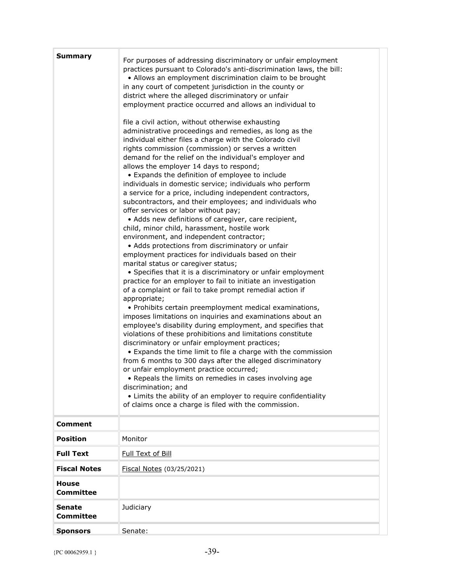| Summary                           | For purposes of addressing discriminatory or unfair employment<br>practices pursuant to Colorado's anti-discrimination laws, the bill:<br>• Allows an employment discrimination claim to be brought<br>in any court of competent jurisdiction in the county or<br>district where the alleged discriminatory or unfair<br>employment practice occurred and allows an individual to<br>file a civil action, without otherwise exhausting<br>administrative proceedings and remedies, as long as the<br>individual either files a charge with the Colorado civil<br>rights commission (commission) or serves a written<br>demand for the relief on the individual's employer and<br>allows the employer 14 days to respond;<br>• Expands the definition of employee to include<br>individuals in domestic service; individuals who perform<br>a service for a price, including independent contractors,<br>subcontractors, and their employees; and individuals who<br>offer services or labor without pay;<br>• Adds new definitions of caregiver, care recipient,<br>child, minor child, harassment, hostile work<br>environment, and independent contractor;<br>• Adds protections from discriminatory or unfair<br>employment practices for individuals based on their<br>marital status or caregiver status;<br>• Specifies that it is a discriminatory or unfair employment<br>practice for an employer to fail to initiate an investigation<br>of a complaint or fail to take prompt remedial action if<br>appropriate;<br>• Prohibits certain preemployment medical examinations,<br>imposes limitations on inquiries and examinations about an<br>employee's disability during employment, and specifies that<br>violations of these prohibitions and limitations constitute<br>discriminatory or unfair employment practices;<br>• Expands the time limit to file a charge with the commission<br>from 6 months to 300 days after the alleged discriminatory<br>or unfair employment practice occurred;<br>• Repeals the limits on remedies in cases involving age<br>discrimination; and<br>• Limits the ability of an employer to require confidentiality<br>of claims once a charge is filed with the commission. |
|-----------------------------------|-----------------------------------------------------------------------------------------------------------------------------------------------------------------------------------------------------------------------------------------------------------------------------------------------------------------------------------------------------------------------------------------------------------------------------------------------------------------------------------------------------------------------------------------------------------------------------------------------------------------------------------------------------------------------------------------------------------------------------------------------------------------------------------------------------------------------------------------------------------------------------------------------------------------------------------------------------------------------------------------------------------------------------------------------------------------------------------------------------------------------------------------------------------------------------------------------------------------------------------------------------------------------------------------------------------------------------------------------------------------------------------------------------------------------------------------------------------------------------------------------------------------------------------------------------------------------------------------------------------------------------------------------------------------------------------------------------------------------------------------------------------------------------------------------------------------------------------------------------------------------------------------------------------------------------------------------------------------------------------------------------------------------------------------------------------------------------------------------------------------------------------------------------------------------------------------------------------------------------|
| <b>Comment</b>                    |                                                                                                                                                                                                                                                                                                                                                                                                                                                                                                                                                                                                                                                                                                                                                                                                                                                                                                                                                                                                                                                                                                                                                                                                                                                                                                                                                                                                                                                                                                                                                                                                                                                                                                                                                                                                                                                                                                                                                                                                                                                                                                                                                                                                                             |
| <b>Position</b>                   | Monitor                                                                                                                                                                                                                                                                                                                                                                                                                                                                                                                                                                                                                                                                                                                                                                                                                                                                                                                                                                                                                                                                                                                                                                                                                                                                                                                                                                                                                                                                                                                                                                                                                                                                                                                                                                                                                                                                                                                                                                                                                                                                                                                                                                                                                     |
| <b>Full Text</b>                  | Full Text of Bill                                                                                                                                                                                                                                                                                                                                                                                                                                                                                                                                                                                                                                                                                                                                                                                                                                                                                                                                                                                                                                                                                                                                                                                                                                                                                                                                                                                                                                                                                                                                                                                                                                                                                                                                                                                                                                                                                                                                                                                                                                                                                                                                                                                                           |
| <b>Fiscal Notes</b>               | Fiscal Notes (03/25/2021)                                                                                                                                                                                                                                                                                                                                                                                                                                                                                                                                                                                                                                                                                                                                                                                                                                                                                                                                                                                                                                                                                                                                                                                                                                                                                                                                                                                                                                                                                                                                                                                                                                                                                                                                                                                                                                                                                                                                                                                                                                                                                                                                                                                                   |
| <b>House</b><br><b>Committee</b>  |                                                                                                                                                                                                                                                                                                                                                                                                                                                                                                                                                                                                                                                                                                                                                                                                                                                                                                                                                                                                                                                                                                                                                                                                                                                                                                                                                                                                                                                                                                                                                                                                                                                                                                                                                                                                                                                                                                                                                                                                                                                                                                                                                                                                                             |
| <b>Senate</b><br><b>Committee</b> | Judiciary                                                                                                                                                                                                                                                                                                                                                                                                                                                                                                                                                                                                                                                                                                                                                                                                                                                                                                                                                                                                                                                                                                                                                                                                                                                                                                                                                                                                                                                                                                                                                                                                                                                                                                                                                                                                                                                                                                                                                                                                                                                                                                                                                                                                                   |
| <b>Sponsors</b>                   | Senate:                                                                                                                                                                                                                                                                                                                                                                                                                                                                                                                                                                                                                                                                                                                                                                                                                                                                                                                                                                                                                                                                                                                                                                                                                                                                                                                                                                                                                                                                                                                                                                                                                                                                                                                                                                                                                                                                                                                                                                                                                                                                                                                                                                                                                     |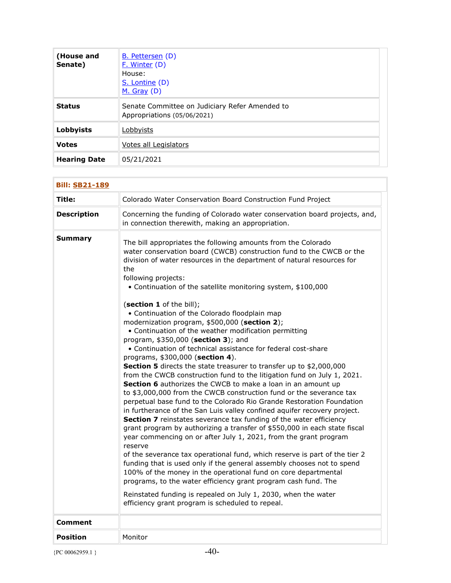| (House and<br>Senate) | <b>B.</b> Pettersen (D)<br>F. Winter (D)<br>House:<br>S. Lontine (D)<br>$M.$ Gray (D) |
|-----------------------|---------------------------------------------------------------------------------------|
| <b>Status</b>         | Senate Committee on Judiciary Refer Amended to<br>Appropriations (05/06/2021)         |
| Lobbyists             | Lobbyists                                                                             |
| <b>Votes</b>          | Votes all Legislators                                                                 |
| <b>Hearing Date</b>   | 05/21/2021                                                                            |

| <b>Bill: SB21-189</b> |                                                                                                                                                                                                                                                                                                                                                                                                                                                                                                                                                                                                                                                                                                                                                                                                                                                                                                                                                                                                                                                                                                                                                                                                                                                                                                                                                                                                                                                                                                                                                                                                                                                                                                                                                    |
|-----------------------|----------------------------------------------------------------------------------------------------------------------------------------------------------------------------------------------------------------------------------------------------------------------------------------------------------------------------------------------------------------------------------------------------------------------------------------------------------------------------------------------------------------------------------------------------------------------------------------------------------------------------------------------------------------------------------------------------------------------------------------------------------------------------------------------------------------------------------------------------------------------------------------------------------------------------------------------------------------------------------------------------------------------------------------------------------------------------------------------------------------------------------------------------------------------------------------------------------------------------------------------------------------------------------------------------------------------------------------------------------------------------------------------------------------------------------------------------------------------------------------------------------------------------------------------------------------------------------------------------------------------------------------------------------------------------------------------------------------------------------------------------|
| Title:                | Colorado Water Conservation Board Construction Fund Project                                                                                                                                                                                                                                                                                                                                                                                                                                                                                                                                                                                                                                                                                                                                                                                                                                                                                                                                                                                                                                                                                                                                                                                                                                                                                                                                                                                                                                                                                                                                                                                                                                                                                        |
| <b>Description</b>    | Concerning the funding of Colorado water conservation board projects, and,<br>in connection therewith, making an appropriation.                                                                                                                                                                                                                                                                                                                                                                                                                                                                                                                                                                                                                                                                                                                                                                                                                                                                                                                                                                                                                                                                                                                                                                                                                                                                                                                                                                                                                                                                                                                                                                                                                    |
| <b>Summary</b>        | The bill appropriates the following amounts from the Colorado<br>water conservation board (CWCB) construction fund to the CWCB or the<br>division of water resources in the department of natural resources for<br>the<br>following projects:<br>• Continuation of the satellite monitoring system, \$100,000<br>(section 1 of the bill);<br>• Continuation of the Colorado floodplain map<br>modernization program, \$500,000 (section 2);<br>• Continuation of the weather modification permitting<br>program, \$350,000 (section 3); and<br>• Continuation of technical assistance for federal cost-share<br>programs, \$300,000 (section 4).<br>Section 5 directs the state treasurer to transfer up to \$2,000,000<br>from the CWCB construction fund to the litigation fund on July 1, 2021.<br>Section 6 authorizes the CWCB to make a loan in an amount up<br>to \$3,000,000 from the CWCB construction fund or the severance tax<br>perpetual base fund to the Colorado Rio Grande Restoration Foundation<br>in furtherance of the San Luis valley confined aquifer recovery project.<br>Section 7 reinstates severance tax funding of the water efficiency<br>grant program by authorizing a transfer of \$550,000 in each state fiscal<br>year commencing on or after July 1, 2021, from the grant program<br>reserve<br>of the severance tax operational fund, which reserve is part of the tier 2<br>funding that is used only if the general assembly chooses not to spend<br>100% of the money in the operational fund on core departmental<br>programs, to the water efficiency grant program cash fund. The<br>Reinstated funding is repealed on July 1, 2030, when the water<br>efficiency grant program is scheduled to repeal. |
| <b>Comment</b>        |                                                                                                                                                                                                                                                                                                                                                                                                                                                                                                                                                                                                                                                                                                                                                                                                                                                                                                                                                                                                                                                                                                                                                                                                                                                                                                                                                                                                                                                                                                                                                                                                                                                                                                                                                    |
| <b>Position</b>       | Monitor                                                                                                                                                                                                                                                                                                                                                                                                                                                                                                                                                                                                                                                                                                                                                                                                                                                                                                                                                                                                                                                                                                                                                                                                                                                                                                                                                                                                                                                                                                                                                                                                                                                                                                                                            |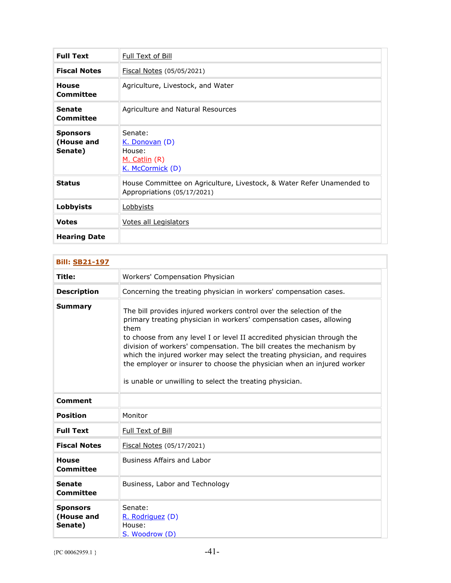| <b>Full Text</b>                         | <b>Full Text of Bill</b>                                                                             |
|------------------------------------------|------------------------------------------------------------------------------------------------------|
| <b>Fiscal Notes</b>                      | Fiscal Notes (05/05/2021)                                                                            |
| House<br>Committee                       | Agriculture, Livestock, and Water                                                                    |
| <b>Senate</b><br>Committee               | Agriculture and Natural Resources                                                                    |
| <b>Sponsors</b><br>(House and<br>Senate) | Senate:<br>K. Donovan (D)<br>House:<br><u>M. Catlin</u> (R)<br>K. McCormick (D)                      |
| <b>Status</b>                            | House Committee on Agriculture, Livestock, & Water Refer Unamended to<br>Appropriations (05/17/2021) |
| <b>Lobbyists</b>                         | Lobbyists                                                                                            |
| <b>Votes</b>                             | <b>Votes all Legislators</b>                                                                         |
| <b>Hearing Date</b>                      |                                                                                                      |

| <b>Bill: SB21-197</b>                    |                                                                                                                                                                                                                                                                                                                                                                                                                                                                                                                         |
|------------------------------------------|-------------------------------------------------------------------------------------------------------------------------------------------------------------------------------------------------------------------------------------------------------------------------------------------------------------------------------------------------------------------------------------------------------------------------------------------------------------------------------------------------------------------------|
| Title:                                   | Workers' Compensation Physician                                                                                                                                                                                                                                                                                                                                                                                                                                                                                         |
| <b>Description</b>                       | Concerning the treating physician in workers' compensation cases.                                                                                                                                                                                                                                                                                                                                                                                                                                                       |
| <b>Summary</b>                           | The bill provides injured workers control over the selection of the<br>primary treating physician in workers' compensation cases, allowing<br>them<br>to choose from any level I or level II accredited physician through the<br>division of workers' compensation. The bill creates the mechanism by<br>which the injured worker may select the treating physician, and requires<br>the employer or insurer to choose the physician when an injured worker<br>is unable or unwilling to select the treating physician. |
| Comment                                  |                                                                                                                                                                                                                                                                                                                                                                                                                                                                                                                         |
| <b>Position</b>                          | Monitor                                                                                                                                                                                                                                                                                                                                                                                                                                                                                                                 |
| <b>Full Text</b>                         | Full Text of Bill                                                                                                                                                                                                                                                                                                                                                                                                                                                                                                       |
| <b>Fiscal Notes</b>                      | Fiscal Notes (05/17/2021)                                                                                                                                                                                                                                                                                                                                                                                                                                                                                               |
| <b>House</b><br>Committee                | <b>Business Affairs and Labor</b>                                                                                                                                                                                                                                                                                                                                                                                                                                                                                       |
| <b>Senate</b><br>Committee               | Business, Labor and Technology                                                                                                                                                                                                                                                                                                                                                                                                                                                                                          |
| <b>Sponsors</b><br>(House and<br>Senate) | Senate:<br>R. Rodriguez (D)<br>House:<br>S. Woodrow (D)                                                                                                                                                                                                                                                                                                                                                                                                                                                                 |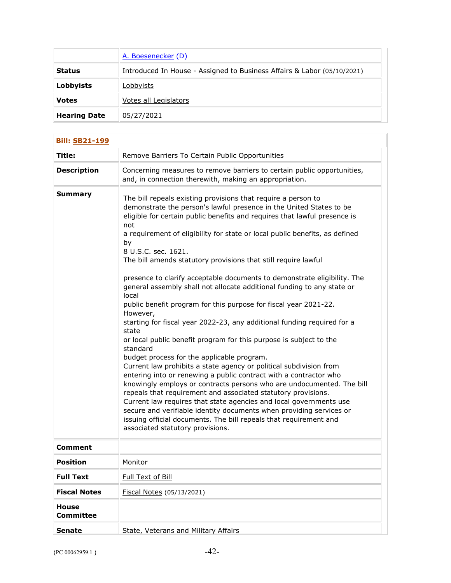|                     | A. Boesenecker (D)                                                      |
|---------------------|-------------------------------------------------------------------------|
| <b>Status</b>       | Introduced In House - Assigned to Business Affairs & Labor (05/10/2021) |
| Lobbyists           | Lobbyists                                                               |
| <b>Votes</b>        | Votes all Legislators                                                   |
| <b>Hearing Date</b> | 05/27/2021                                                              |

| <b>Bill: SB21-199</b>     |                                                                                                                                                                                                                                                                                                                                                                                                                                                                                                                                                                                                                                                                                                                                                                                                                                                                                                                                                                                                                                                                                                                                                                                                                                                                                                                                                                                                                      |
|---------------------------|----------------------------------------------------------------------------------------------------------------------------------------------------------------------------------------------------------------------------------------------------------------------------------------------------------------------------------------------------------------------------------------------------------------------------------------------------------------------------------------------------------------------------------------------------------------------------------------------------------------------------------------------------------------------------------------------------------------------------------------------------------------------------------------------------------------------------------------------------------------------------------------------------------------------------------------------------------------------------------------------------------------------------------------------------------------------------------------------------------------------------------------------------------------------------------------------------------------------------------------------------------------------------------------------------------------------------------------------------------------------------------------------------------------------|
| Title:                    | Remove Barriers To Certain Public Opportunities                                                                                                                                                                                                                                                                                                                                                                                                                                                                                                                                                                                                                                                                                                                                                                                                                                                                                                                                                                                                                                                                                                                                                                                                                                                                                                                                                                      |
| <b>Description</b>        | Concerning measures to remove barriers to certain public opportunities,<br>and, in connection therewith, making an appropriation.                                                                                                                                                                                                                                                                                                                                                                                                                                                                                                                                                                                                                                                                                                                                                                                                                                                                                                                                                                                                                                                                                                                                                                                                                                                                                    |
| <b>Summary</b>            | The bill repeals existing provisions that require a person to<br>demonstrate the person's lawful presence in the United States to be<br>eligible for certain public benefits and requires that lawful presence is<br>not<br>a requirement of eligibility for state or local public benefits, as defined<br>by<br>8 U.S.C. sec. 1621.<br>The bill amends statutory provisions that still require lawful<br>presence to clarify acceptable documents to demonstrate eligibility. The<br>general assembly shall not allocate additional funding to any state or<br>local<br>public benefit program for this purpose for fiscal year 2021-22.<br>However,<br>starting for fiscal year 2022-23, any additional funding required for a<br>state<br>or local public benefit program for this purpose is subject to the<br>standard<br>budget process for the applicable program.<br>Current law prohibits a state agency or political subdivision from<br>entering into or renewing a public contract with a contractor who<br>knowingly employs or contracts persons who are undocumented. The bill<br>repeals that requirement and associated statutory provisions.<br>Current law requires that state agencies and local governments use<br>secure and verifiable identity documents when providing services or<br>issuing official documents. The bill repeals that requirement and<br>associated statutory provisions. |
| <b>Comment</b>            |                                                                                                                                                                                                                                                                                                                                                                                                                                                                                                                                                                                                                                                                                                                                                                                                                                                                                                                                                                                                                                                                                                                                                                                                                                                                                                                                                                                                                      |
| <b>Position</b>           | Monitor                                                                                                                                                                                                                                                                                                                                                                                                                                                                                                                                                                                                                                                                                                                                                                                                                                                                                                                                                                                                                                                                                                                                                                                                                                                                                                                                                                                                              |
| <b>Full Text</b>          | Full Text of Bill                                                                                                                                                                                                                                                                                                                                                                                                                                                                                                                                                                                                                                                                                                                                                                                                                                                                                                                                                                                                                                                                                                                                                                                                                                                                                                                                                                                                    |
| <b>Fiscal Notes</b>       | Fiscal Notes (05/13/2021)                                                                                                                                                                                                                                                                                                                                                                                                                                                                                                                                                                                                                                                                                                                                                                                                                                                                                                                                                                                                                                                                                                                                                                                                                                                                                                                                                                                            |
| <b>House</b><br>Committee |                                                                                                                                                                                                                                                                                                                                                                                                                                                                                                                                                                                                                                                                                                                                                                                                                                                                                                                                                                                                                                                                                                                                                                                                                                                                                                                                                                                                                      |
| <b>Senate</b>             | State, Veterans and Military Affairs                                                                                                                                                                                                                                                                                                                                                                                                                                                                                                                                                                                                                                                                                                                                                                                                                                                                                                                                                                                                                                                                                                                                                                                                                                                                                                                                                                                 |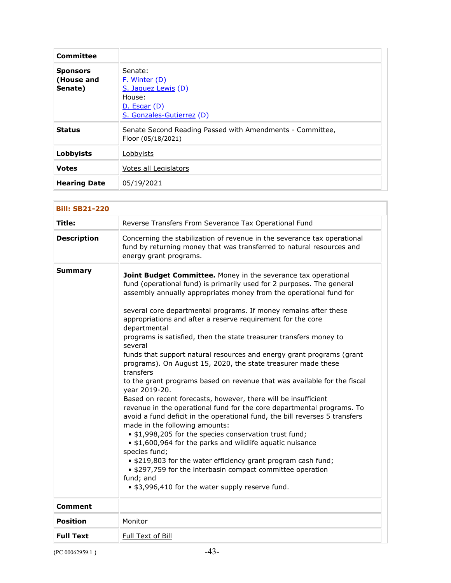| <b>Committee</b>                         |                                                                                                              |
|------------------------------------------|--------------------------------------------------------------------------------------------------------------|
| <b>Sponsors</b><br>(House and<br>Senate) | Senate:<br><u>F. Winter</u> (D)<br>S. Jaquez Lewis (D)<br>House:<br>D. Esgar(D)<br>S. Gonzales-Gutierrez (D) |
| <b>Status</b>                            | Senate Second Reading Passed with Amendments - Committee,<br>Floor (05/18/2021)                              |
| Lobbyists                                | Lobbyists                                                                                                    |
| <b>Votes</b>                             | Votes all Legislators                                                                                        |
| <b>Hearing Date</b>                      | 05/19/2021                                                                                                   |

| <b>Bill: SB21-220</b> |                                                                                                                                                                                                                                                                                                                                                                                                                                                                                                                                                                                                                                                                                                                                                                                                                                                                                                                                                                                                                                                                                                                                                                                                                                                                                                            |
|-----------------------|------------------------------------------------------------------------------------------------------------------------------------------------------------------------------------------------------------------------------------------------------------------------------------------------------------------------------------------------------------------------------------------------------------------------------------------------------------------------------------------------------------------------------------------------------------------------------------------------------------------------------------------------------------------------------------------------------------------------------------------------------------------------------------------------------------------------------------------------------------------------------------------------------------------------------------------------------------------------------------------------------------------------------------------------------------------------------------------------------------------------------------------------------------------------------------------------------------------------------------------------------------------------------------------------------------|
| Title:                | Reverse Transfers From Severance Tax Operational Fund                                                                                                                                                                                                                                                                                                                                                                                                                                                                                                                                                                                                                                                                                                                                                                                                                                                                                                                                                                                                                                                                                                                                                                                                                                                      |
| <b>Description</b>    | Concerning the stabilization of revenue in the severance tax operational<br>fund by returning money that was transferred to natural resources and<br>energy grant programs.                                                                                                                                                                                                                                                                                                                                                                                                                                                                                                                                                                                                                                                                                                                                                                                                                                                                                                                                                                                                                                                                                                                                |
| <b>Summary</b>        | Joint Budget Committee. Money in the severance tax operational<br>fund (operational fund) is primarily used for 2 purposes. The general<br>assembly annually appropriates money from the operational fund for<br>several core departmental programs. If money remains after these<br>appropriations and after a reserve requirement for the core<br>departmental<br>programs is satisfied, then the state treasurer transfers money to<br>several<br>funds that support natural resources and energy grant programs (grant<br>programs). On August 15, 2020, the state treasurer made these<br>transfers<br>to the grant programs based on revenue that was available for the fiscal<br>year 2019-20.<br>Based on recent forecasts, however, there will be insufficient<br>revenue in the operational fund for the core departmental programs. To<br>avoid a fund deficit in the operational fund, the bill reverses 5 transfers<br>made in the following amounts:<br>. \$1,998,205 for the species conservation trust fund;<br>• \$1,600,964 for the parks and wildlife aquatic nuisance<br>species fund;<br>. \$219,803 for the water efficiency grant program cash fund;<br>• \$297,759 for the interbasin compact committee operation<br>fund; and<br>• \$3,996,410 for the water supply reserve fund. |
| Comment               |                                                                                                                                                                                                                                                                                                                                                                                                                                                                                                                                                                                                                                                                                                                                                                                                                                                                                                                                                                                                                                                                                                                                                                                                                                                                                                            |
| <b>Position</b>       | Monitor                                                                                                                                                                                                                                                                                                                                                                                                                                                                                                                                                                                                                                                                                                                                                                                                                                                                                                                                                                                                                                                                                                                                                                                                                                                                                                    |
| <b>Full Text</b>      | Full Text of Bill                                                                                                                                                                                                                                                                                                                                                                                                                                                                                                                                                                                                                                                                                                                                                                                                                                                                                                                                                                                                                                                                                                                                                                                                                                                                                          |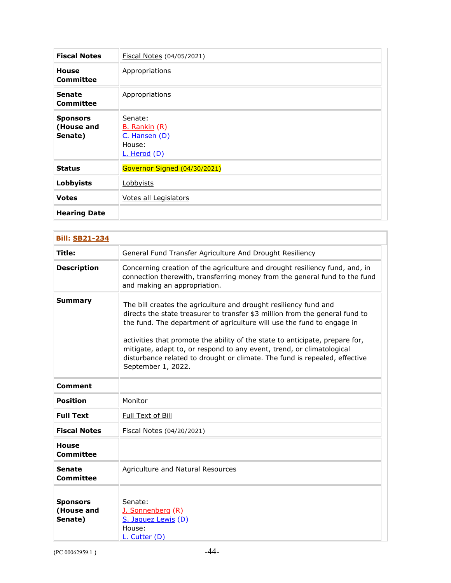| <b>Fiscal Notes</b>                      | Fiscal Notes (04/05/2021)                                           |
|------------------------------------------|---------------------------------------------------------------------|
| <b>House</b><br>Committee                | Appropriations                                                      |
| <b>Senate</b><br>Committee               | Appropriations                                                      |
| <b>Sponsors</b><br>(House and<br>Senate) | Senate:<br>B. Rankin (R)<br>C. Hansen (D)<br>House:<br>L. Herod (D) |
| <b>Status</b>                            | Governor Signed (04/30/2021)                                        |
| <b>Lobbyists</b>                         | Lobbyists                                                           |
| <b>Votes</b>                             | Votes all Legislators                                               |
| <b>Hearing Date</b>                      |                                                                     |

| <b>Bill: SB21-234</b>                    |                                                                                                                                                                                                                                                                                                                                                                                                                                                                                         |
|------------------------------------------|-----------------------------------------------------------------------------------------------------------------------------------------------------------------------------------------------------------------------------------------------------------------------------------------------------------------------------------------------------------------------------------------------------------------------------------------------------------------------------------------|
| Title:                                   | General Fund Transfer Agriculture And Drought Resiliency                                                                                                                                                                                                                                                                                                                                                                                                                                |
| <b>Description</b>                       | Concerning creation of the agriculture and drought resiliency fund, and, in<br>connection therewith, transferring money from the general fund to the fund<br>and making an appropriation.                                                                                                                                                                                                                                                                                               |
| <b>Summary</b>                           | The bill creates the agriculture and drought resiliency fund and<br>directs the state treasurer to transfer \$3 million from the general fund to<br>the fund. The department of agriculture will use the fund to engage in<br>activities that promote the ability of the state to anticipate, prepare for,<br>mitigate, adapt to, or respond to any event, trend, or climatological<br>disturbance related to drought or climate. The fund is repealed, effective<br>September 1, 2022. |
| <b>Comment</b>                           |                                                                                                                                                                                                                                                                                                                                                                                                                                                                                         |
| <b>Position</b>                          | Monitor                                                                                                                                                                                                                                                                                                                                                                                                                                                                                 |
| <b>Full Text</b>                         | Full Text of Bill                                                                                                                                                                                                                                                                                                                                                                                                                                                                       |
| <b>Fiscal Notes</b>                      | Fiscal Notes (04/20/2021)                                                                                                                                                                                                                                                                                                                                                                                                                                                               |
| <b>House</b><br><b>Committee</b>         |                                                                                                                                                                                                                                                                                                                                                                                                                                                                                         |
| <b>Senate</b><br><b>Committee</b>        | Agriculture and Natural Resources                                                                                                                                                                                                                                                                                                                                                                                                                                                       |
| <b>Sponsors</b><br>(House and<br>Senate) | Senate:<br>J. Sonnenberg (R)<br>S. Jaquez Lewis (D)<br>House:<br>L. Cutter (D)                                                                                                                                                                                                                                                                                                                                                                                                          |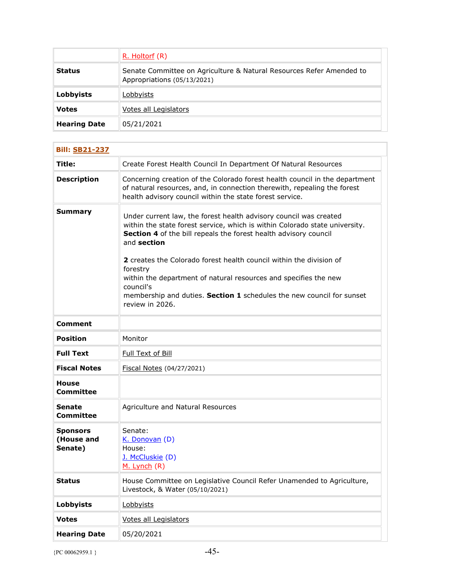|                     | R. Holtorf (R)                                                                                      |
|---------------------|-----------------------------------------------------------------------------------------------------|
| <b>Status</b>       | Senate Committee on Agriculture & Natural Resources Refer Amended to<br>Appropriations (05/13/2021) |
| <b>Lobbyists</b>    | Lobbyists                                                                                           |
| <b>Votes</b>        | Votes all Legislators                                                                               |
| <b>Hearing Date</b> | 05/21/2021                                                                                          |

| <b>Bill: SB21-237</b>                    |                                                                                                                                                                                                                                                                                                                                                                                                                                                                                                     |
|------------------------------------------|-----------------------------------------------------------------------------------------------------------------------------------------------------------------------------------------------------------------------------------------------------------------------------------------------------------------------------------------------------------------------------------------------------------------------------------------------------------------------------------------------------|
| Title:                                   | Create Forest Health Council In Department Of Natural Resources                                                                                                                                                                                                                                                                                                                                                                                                                                     |
| <b>Description</b>                       | Concerning creation of the Colorado forest health council in the department<br>of natural resources, and, in connection therewith, repealing the forest<br>health advisory council within the state forest service.                                                                                                                                                                                                                                                                                 |
| <b>Summary</b>                           | Under current law, the forest health advisory council was created<br>within the state forest service, which is within Colorado state university.<br>Section 4 of the bill repeals the forest health advisory council<br>and section<br>2 creates the Colorado forest health council within the division of<br>forestry<br>within the department of natural resources and specifies the new<br>council's<br>membership and duties. Section 1 schedules the new council for sunset<br>review in 2026. |
| Comment                                  |                                                                                                                                                                                                                                                                                                                                                                                                                                                                                                     |
| <b>Position</b>                          | Monitor                                                                                                                                                                                                                                                                                                                                                                                                                                                                                             |
| <b>Full Text</b>                         | Full Text of Bill                                                                                                                                                                                                                                                                                                                                                                                                                                                                                   |
| <b>Fiscal Notes</b>                      | Fiscal Notes (04/27/2021)                                                                                                                                                                                                                                                                                                                                                                                                                                                                           |
| House<br><b>Committee</b>                |                                                                                                                                                                                                                                                                                                                                                                                                                                                                                                     |
| <b>Senate</b><br>Committee               | Agriculture and Natural Resources                                                                                                                                                                                                                                                                                                                                                                                                                                                                   |
| <b>Sponsors</b><br>(House and<br>Senate) | Senate:<br>K. Donovan (D)<br>House:<br>J. McCluskie (D)<br>M. Lynch (R)                                                                                                                                                                                                                                                                                                                                                                                                                             |
| <b>Status</b>                            | House Committee on Legislative Council Refer Unamended to Agriculture,<br>Livestock, & Water (05/10/2021)                                                                                                                                                                                                                                                                                                                                                                                           |
| <b>Lobbyists</b>                         | Lobbyists                                                                                                                                                                                                                                                                                                                                                                                                                                                                                           |
| <b>Votes</b>                             | Votes all Legislators                                                                                                                                                                                                                                                                                                                                                                                                                                                                               |
| <b>Hearing Date</b>                      | 05/20/2021                                                                                                                                                                                                                                                                                                                                                                                                                                                                                          |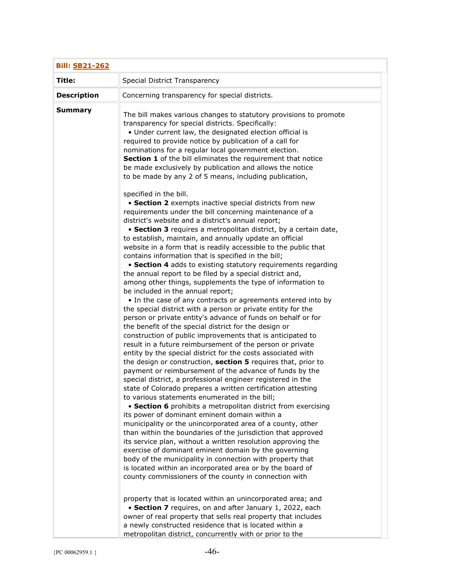| <b>Bill: SB21-262</b> |                                                                                                                                                                                                                                                                                                                                                                                                                                                                                                                                                                                                                                                                                                                                                                                                                                                                                                                                                                                                                                                                                                                                                                                                                                                                                                                                                                                                                                                                                                           |
|-----------------------|-----------------------------------------------------------------------------------------------------------------------------------------------------------------------------------------------------------------------------------------------------------------------------------------------------------------------------------------------------------------------------------------------------------------------------------------------------------------------------------------------------------------------------------------------------------------------------------------------------------------------------------------------------------------------------------------------------------------------------------------------------------------------------------------------------------------------------------------------------------------------------------------------------------------------------------------------------------------------------------------------------------------------------------------------------------------------------------------------------------------------------------------------------------------------------------------------------------------------------------------------------------------------------------------------------------------------------------------------------------------------------------------------------------------------------------------------------------------------------------------------------------|
| Title:                | Special District Transparency                                                                                                                                                                                                                                                                                                                                                                                                                                                                                                                                                                                                                                                                                                                                                                                                                                                                                                                                                                                                                                                                                                                                                                                                                                                                                                                                                                                                                                                                             |
| <b>Description</b>    | Concerning transparency for special districts.                                                                                                                                                                                                                                                                                                                                                                                                                                                                                                                                                                                                                                                                                                                                                                                                                                                                                                                                                                                                                                                                                                                                                                                                                                                                                                                                                                                                                                                            |
| <b>Summary</b>        | The bill makes various changes to statutory provisions to promote<br>transparency for special districts. Specifically:<br>• Under current law, the designated election official is<br>required to provide notice by publication of a call for<br>nominations for a regular local government election.<br>Section 1 of the bill eliminates the requirement that notice<br>be made exclusively by publication and allows the notice<br>to be made by any 2 of 5 means, including publication,<br>specified in the bill.<br>• Section 2 exempts inactive special districts from new<br>requirements under the bill concerning maintenance of a<br>district's website and a district's annual report;<br>• Section 3 requires a metropolitan district, by a certain date,<br>to establish, maintain, and annually update an official<br>website in a form that is readily accessible to the public that<br>contains information that is specified in the bill;<br>• Section 4 adds to existing statutory requirements regarding<br>the annual report to be filed by a special district and,<br>among other things, supplements the type of information to<br>be included in the annual report;<br>• In the case of any contracts or agreements entered into by<br>the special district with a person or private entity for the                                                                                                                                                                                |
|                       | person or private entity's advance of funds on behalf or for<br>the benefit of the special district for the design or<br>construction of public improvements that is anticipated to<br>result in a future reimbursement of the person or private<br>entity by the special district for the costs associated with<br>the design or construction, section 5 requires that, prior to<br>payment or reimbursement of the advance of funds by the<br>special district, a professional engineer registered in the<br>state of Colorado prepares a written certification attesting<br>to various statements enumerated in the bill;<br>• Section 6 prohibits a metropolitan district from exercising<br>its power of dominant eminent domain within a<br>municipality or the unincorporated area of a county, other<br>than within the boundaries of the jurisdiction that approved<br>its service plan, without a written resolution approving the<br>exercise of dominant eminent domain by the governing<br>body of the municipality in connection with property that<br>is located within an incorporated area or by the board of<br>county commissioners of the county in connection with<br>property that is located within an unincorporated area; and<br>• Section 7 requires, on and after January 1, 2022, each<br>owner of real property that sells real property that includes<br>a newly constructed residence that is located within a<br>metropolitan district, concurrently with or prior to the |